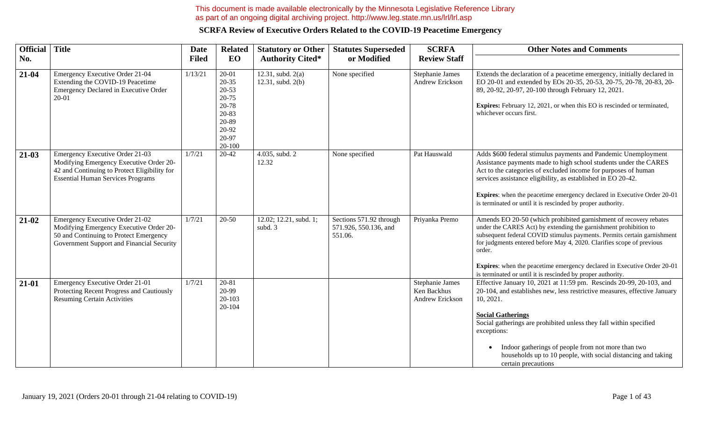#### This document is made available electronically by the Minnesota Legislative Reference Library as part of an ongoing digital archiving project. http://www.leg.state.mn.us/lrl/lrl.asp

| <b>Official</b> | <b>Title</b>                                                                                                                                                                  | <b>Date</b>  | <b>Related</b>                                                                                      | <b>Statutory or Other</b>                | <b>Statutes Superseded</b>                                  | <b>SCRFA</b>                                      | <b>Other Notes and Comments</b>                                                                                                                                                                                                                                                                                                                                                                                                                      |
|-----------------|-------------------------------------------------------------------------------------------------------------------------------------------------------------------------------|--------------|-----------------------------------------------------------------------------------------------------|------------------------------------------|-------------------------------------------------------------|---------------------------------------------------|------------------------------------------------------------------------------------------------------------------------------------------------------------------------------------------------------------------------------------------------------------------------------------------------------------------------------------------------------------------------------------------------------------------------------------------------------|
| No.             |                                                                                                                                                                               | <b>Filed</b> | EO                                                                                                  | <b>Authority Cited*</b>                  | or Modified                                                 | <b>Review Staff</b>                               |                                                                                                                                                                                                                                                                                                                                                                                                                                                      |
| 21-04           | Emergency Executive Order 21-04<br>Extending the COVID-19 Peacetime<br>Emergency Declared in Executive Order<br>$20 - 01$                                                     | 1/13/21      | 20-01<br>$20 - 35$<br>$20 - 53$<br>20-75<br>20-78<br>20-83<br>20-89<br>20-92<br>20-97<br>$20 - 100$ | 12.31, subd. $2(a)$<br>12.31, subd. 2(b) | None specified                                              | Stephanie James<br>Andrew Erickson                | Extends the declaration of a peacetime emergency, initially declared in<br>EO 20-01 and extended by EOs 20-35, 20-53, 20-75, 20-78, 20-83, 20-<br>89, 20-92, 20-97, 20-100 through February 12, 2021.<br>Expires: February 12, 2021, or when this EO is rescinded or terminated,<br>whichever occurs first.                                                                                                                                          |
| $21-03$         | <b>Emergency Executive Order 21-03</b><br>Modifying Emergency Executive Order 20-<br>42 and Continuing to Protect Eligibility for<br><b>Essential Human Services Programs</b> | 1/7/21       | 20-42                                                                                               | 4.035, subd. 2<br>12.32                  | None specified                                              | Pat Hauswald                                      | Adds \$600 federal stimulus payments and Pandemic Unemployment<br>Assistance payments made to high school students under the CARES<br>Act to the categories of excluded income for purposes of human<br>services assistance eligibility, as established in EO 20-42.<br>Expires: when the peacetime emergency declared in Executive Order 20-01<br>is terminated or until it is rescinded by proper authority.                                       |
| 21-02           | Emergency Executive Order 21-02<br>Modifying Emergency Executive Order 20-<br>50 and Continuing to Protect Emergency<br>Government Support and Financial Security             | 1/7/21       | $20 - 50$                                                                                           | 12.02; 12.21, subd. 1;<br>subd. 3        | Sections 571.92 through<br>571.926, 550.136, and<br>551.06. | Priyanka Premo                                    | Amends EO 20-50 (which prohibited garnishment of recovery rebates<br>under the CARES Act) by extending the garnishment prohibition to<br>subsequent federal COVID stimulus payments. Permits certain garnishment<br>for judgments entered before May 4, 2020. Clarifies scope of previous<br>order.<br><b>Expires:</b> when the peacetime emergency declared in Executive Order 20-01<br>is terminated or until it is rescinded by proper authority. |
| $21 - 01$       | Emergency Executive Order 21-01<br>Protecting Recent Progress and Cautiously<br><b>Resuming Certain Activities</b>                                                            | 1/7/21       | 20-81<br>20-99<br>20-103<br>20-104                                                                  |                                          |                                                             | Stephanie James<br>Ken Backhus<br>Andrew Erickson | Effective January 10, 2021 at 11:59 pm. Rescinds 20-99, 20-103, and<br>20-104, and establishes new, less restrictive measures, effective January<br>10, 2021.<br><b>Social Gatherings</b><br>Social gatherings are prohibited unless they fall within specified<br>exceptions:<br>Indoor gatherings of people from not more than two<br>$\bullet$<br>households up to 10 people, with social distancing and taking<br>certain precautions            |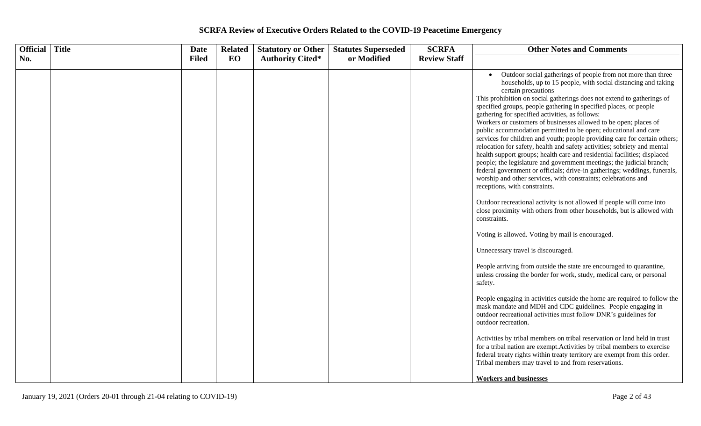| Official   Title | <b>Date</b>  | <b>Related</b> | <b>Statutory or Other</b> | <b>Statutes Superseded</b> | <b>SCRFA</b>        | <b>Other Notes and Comments</b>                                                                                                                                                                                                                                                                                                                                                                                                                                                                                                                                                                                                                                                                                                                                                                                                                                                                                                                                                                                                                                                                                                                                                                                                                                                                                                                                                                                                                                                                                                                                                                                                                                                                                                                                                                                                                                                                                                                                                            |
|------------------|--------------|----------------|---------------------------|----------------------------|---------------------|--------------------------------------------------------------------------------------------------------------------------------------------------------------------------------------------------------------------------------------------------------------------------------------------------------------------------------------------------------------------------------------------------------------------------------------------------------------------------------------------------------------------------------------------------------------------------------------------------------------------------------------------------------------------------------------------------------------------------------------------------------------------------------------------------------------------------------------------------------------------------------------------------------------------------------------------------------------------------------------------------------------------------------------------------------------------------------------------------------------------------------------------------------------------------------------------------------------------------------------------------------------------------------------------------------------------------------------------------------------------------------------------------------------------------------------------------------------------------------------------------------------------------------------------------------------------------------------------------------------------------------------------------------------------------------------------------------------------------------------------------------------------------------------------------------------------------------------------------------------------------------------------------------------------------------------------------------------------------------------------|
| No.              | <b>Filed</b> | EO             | <b>Authority Cited*</b>   | or Modified                | <b>Review Staff</b> |                                                                                                                                                                                                                                                                                                                                                                                                                                                                                                                                                                                                                                                                                                                                                                                                                                                                                                                                                                                                                                                                                                                                                                                                                                                                                                                                                                                                                                                                                                                                                                                                                                                                                                                                                                                                                                                                                                                                                                                            |
|                  |              |                |                           |                            |                     | Outdoor social gatherings of people from not more than three<br>households, up to 15 people, with social distancing and taking<br>certain precautions<br>This prohibition on social gatherings does not extend to gatherings of<br>specified groups, people gathering in specified places, or people<br>gathering for specified activities, as follows:<br>Workers or customers of businesses allowed to be open; places of<br>public accommodation permitted to be open; educational and care<br>services for children and youth; people providing care for certain others;<br>relocation for safety, health and safety activities; sobriety and mental<br>health support groups; health care and residential facilities; displaced<br>people; the legislature and government meetings; the judicial branch;<br>federal government or officials; drive-in gatherings; weddings, funerals,<br>worship and other services, with constraints; celebrations and<br>receptions, with constraints.<br>Outdoor recreational activity is not allowed if people will come into<br>close proximity with others from other households, but is allowed with<br>constraints.<br>Voting is allowed. Voting by mail is encouraged.<br>Unnecessary travel is discouraged.<br>People arriving from outside the state are encouraged to quarantine,<br>unless crossing the border for work, study, medical care, or personal<br>safety.<br>People engaging in activities outside the home are required to follow the<br>mask mandate and MDH and CDC guidelines. People engaging in<br>outdoor recreational activities must follow DNR's guidelines for<br>outdoor recreation.<br>Activities by tribal members on tribal reservation or land held in trust<br>for a tribal nation are exempt. Activities by tribal members to exercise<br>federal treaty rights within treaty territory are exempt from this order.<br>Tribal members may travel to and from reservations.<br><b>Workers and businesses</b> |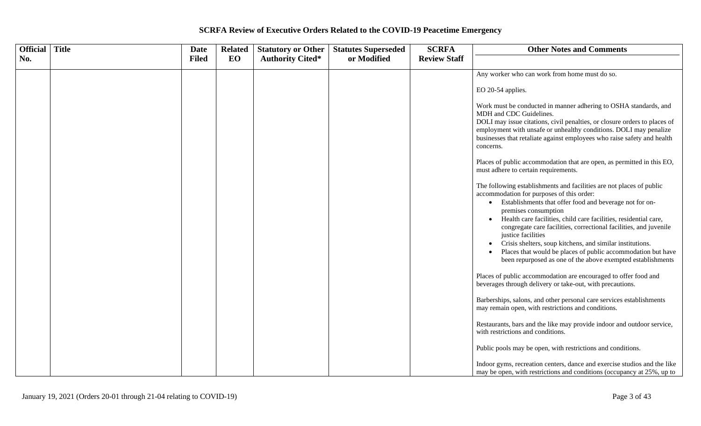| Official   Title | <b>Date</b>  | <b>Related</b> | <b>Statutory or Other</b> | <b>Statutes Superseded</b> | <b>SCRFA</b>        | <b>Other Notes and Comments</b>                                                                                                                                                                                                                                                                                                                                                                                                                                                                                                                                              |
|------------------|--------------|----------------|---------------------------|----------------------------|---------------------|------------------------------------------------------------------------------------------------------------------------------------------------------------------------------------------------------------------------------------------------------------------------------------------------------------------------------------------------------------------------------------------------------------------------------------------------------------------------------------------------------------------------------------------------------------------------------|
| No.              | <b>Filed</b> | EO             | <b>Authority Cited*</b>   | or Modified                | <b>Review Staff</b> |                                                                                                                                                                                                                                                                                                                                                                                                                                                                                                                                                                              |
|                  |              |                |                           |                            |                     | Any worker who can work from home must do so.                                                                                                                                                                                                                                                                                                                                                                                                                                                                                                                                |
|                  |              |                |                           |                            |                     | EO 20-54 applies.                                                                                                                                                                                                                                                                                                                                                                                                                                                                                                                                                            |
|                  |              |                |                           |                            |                     | Work must be conducted in manner adhering to OSHA standards, and<br>MDH and CDC Guidelines.<br>DOLI may issue citations, civil penalties, or closure orders to places of<br>employment with unsafe or unhealthy conditions. DOLI may penalize                                                                                                                                                                                                                                                                                                                                |
|                  |              |                |                           |                            |                     | businesses that retaliate against employees who raise safety and health<br>concerns.                                                                                                                                                                                                                                                                                                                                                                                                                                                                                         |
|                  |              |                |                           |                            |                     | Places of public accommodation that are open, as permitted in this EO,<br>must adhere to certain requirements.                                                                                                                                                                                                                                                                                                                                                                                                                                                               |
|                  |              |                |                           |                            |                     | The following establishments and facilities are not places of public<br>accommodation for purposes of this order:<br>Establishments that offer food and beverage not for on-<br>$\bullet$<br>premises consumption<br>Health care facilities, child care facilities, residential care,<br>congregate care facilities, correctional facilities, and juvenile<br>justice facilities<br>Crisis shelters, soup kitchens, and similar institutions.<br>Places that would be places of public accommodation but have<br>been repurposed as one of the above exempted establishments |
|                  |              |                |                           |                            |                     | Places of public accommodation are encouraged to offer food and<br>beverages through delivery or take-out, with precautions.                                                                                                                                                                                                                                                                                                                                                                                                                                                 |
|                  |              |                |                           |                            |                     | Barberships, salons, and other personal care services establishments<br>may remain open, with restrictions and conditions.                                                                                                                                                                                                                                                                                                                                                                                                                                                   |
|                  |              |                |                           |                            |                     | Restaurants, bars and the like may provide indoor and outdoor service,<br>with restrictions and conditions.                                                                                                                                                                                                                                                                                                                                                                                                                                                                  |
|                  |              |                |                           |                            |                     | Public pools may be open, with restrictions and conditions.                                                                                                                                                                                                                                                                                                                                                                                                                                                                                                                  |
|                  |              |                |                           |                            |                     | Indoor gyms, recreation centers, dance and exercise studios and the like<br>may be open, with restrictions and conditions (occupancy at 25%, up to                                                                                                                                                                                                                                                                                                                                                                                                                           |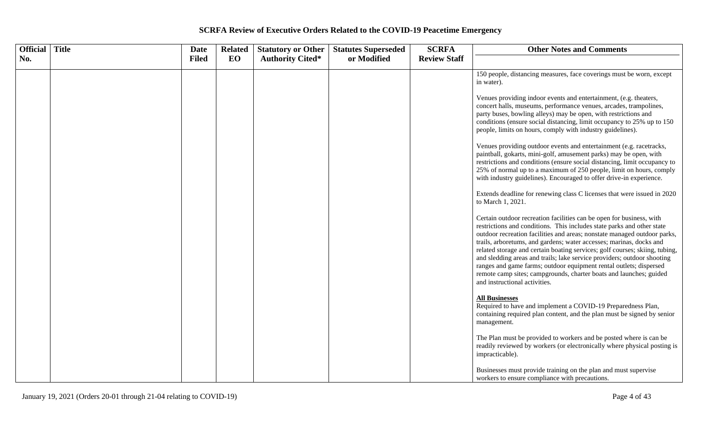| Official | <b>Title</b> | Date         | <b>Related</b> | <b>Statutory or Other</b> | <b>Statutes Superseded</b> | <b>SCRFA</b>        | <b>Other Notes and Comments</b>                                                                                                                                                                                                                                                                                                                                                                                                                                                                                                                                                                                                          |
|----------|--------------|--------------|----------------|---------------------------|----------------------------|---------------------|------------------------------------------------------------------------------------------------------------------------------------------------------------------------------------------------------------------------------------------------------------------------------------------------------------------------------------------------------------------------------------------------------------------------------------------------------------------------------------------------------------------------------------------------------------------------------------------------------------------------------------------|
| No.      |              | <b>Filed</b> | EO             | <b>Authority Cited*</b>   | or Modified                | <b>Review Staff</b> |                                                                                                                                                                                                                                                                                                                                                                                                                                                                                                                                                                                                                                          |
|          |              |              |                |                           |                            |                     | 150 people, distancing measures, face coverings must be worn, except<br>in water).                                                                                                                                                                                                                                                                                                                                                                                                                                                                                                                                                       |
|          |              |              |                |                           |                            |                     | Venues providing indoor events and entertainment, (e.g. theaters,<br>concert halls, museums, performance venues, arcades, trampolines,<br>party buses, bowling alleys) may be open, with restrictions and<br>conditions (ensure social distancing, limit occupancy to 25% up to 150<br>people, limits on hours, comply with industry guidelines).                                                                                                                                                                                                                                                                                        |
|          |              |              |                |                           |                            |                     | Venues providing outdoor events and entertainment (e.g. racetracks,<br>paintball, gokarts, mini-golf, amusement parks) may be open, with<br>restrictions and conditions (ensure social distancing, limit occupancy to<br>25% of normal up to a maximum of 250 people, limit on hours, comply<br>with industry guidelines). Encouraged to offer drive-in experience.                                                                                                                                                                                                                                                                      |
|          |              |              |                |                           |                            |                     | Extends deadline for renewing class C licenses that were issued in 2020<br>to March 1, 2021.                                                                                                                                                                                                                                                                                                                                                                                                                                                                                                                                             |
|          |              |              |                |                           |                            |                     | Certain outdoor recreation facilities can be open for business, with<br>restrictions and conditions. This includes state parks and other state<br>outdoor recreation facilities and areas; nonstate managed outdoor parks,<br>trails, arboretums, and gardens; water accesses; marinas, docks and<br>related storage and certain boating services; golf courses; skiing, tubing,<br>and sledding areas and trails; lake service providers; outdoor shooting<br>ranges and game farms; outdoor equipment rental outlets; dispersed<br>remote camp sites; campgrounds, charter boats and launches; guided<br>and instructional activities. |
|          |              |              |                |                           |                            |                     | <b>All Businesses</b><br>Required to have and implement a COVID-19 Preparedness Plan,<br>containing required plan content, and the plan must be signed by senior<br>management.                                                                                                                                                                                                                                                                                                                                                                                                                                                          |
|          |              |              |                |                           |                            |                     | The Plan must be provided to workers and be posted where is can be<br>readily reviewed by workers (or electronically where physical posting is<br>impracticable).                                                                                                                                                                                                                                                                                                                                                                                                                                                                        |
|          |              |              |                |                           |                            |                     | Businesses must provide training on the plan and must supervise<br>workers to ensure compliance with precautions.                                                                                                                                                                                                                                                                                                                                                                                                                                                                                                                        |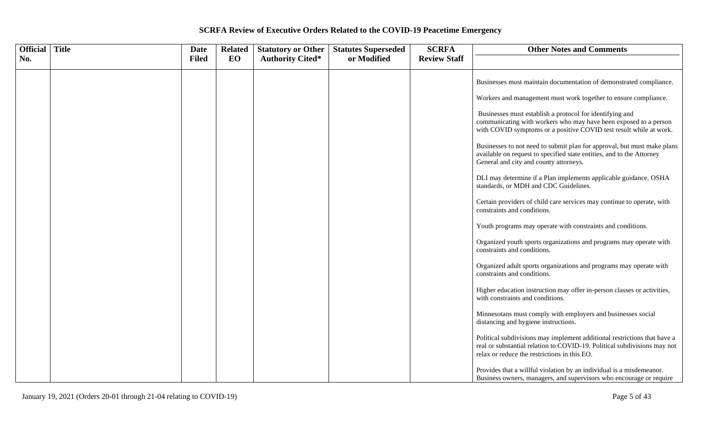| Official Title | <b>Date</b>  | <b>Related</b> | <b>Statutory or Other</b> | <b>Statutes Superseded</b> | <b>SCRFA</b>        | <b>Other Notes and Comments</b>                                                                                                                                                                      |
|----------------|--------------|----------------|---------------------------|----------------------------|---------------------|------------------------------------------------------------------------------------------------------------------------------------------------------------------------------------------------------|
| No.            | <b>Filed</b> | EO             | <b>Authority Cited*</b>   | or Modified                | <b>Review Staff</b> |                                                                                                                                                                                                      |
|                |              |                |                           |                            |                     | Businesses must maintain documentation of demonstrated compliance.                                                                                                                                   |
|                |              |                |                           |                            |                     | Workers and management must work together to ensure compliance.                                                                                                                                      |
|                |              |                |                           |                            |                     | Businesses must establish a protocol for identifying and<br>communicating with workers who may have been exposed to a person<br>with COVID symptoms or a positive COVID test result while at work.   |
|                |              |                |                           |                            |                     | Businesses to not need to submit plan for approval, but must make plans<br>available on request to specified state entities, and to the Attorney<br>General and city and county attorneys.           |
|                |              |                |                           |                            |                     | DLI may determine if a Plan implements applicable guidance, OSHA<br>standards, or MDH and CDC Guidelines.                                                                                            |
|                |              |                |                           |                            |                     | Certain providers of child care services may continue to operate, with<br>constraints and conditions.                                                                                                |
|                |              |                |                           |                            |                     | Youth programs may operate with constraints and conditions.                                                                                                                                          |
|                |              |                |                           |                            |                     | Organized youth sports organizations and programs may operate with<br>constraints and conditions.                                                                                                    |
|                |              |                |                           |                            |                     | Organized adult sports organizations and programs may operate with<br>constraints and conditions.                                                                                                    |
|                |              |                |                           |                            |                     | Higher education instruction may offer in-person classes or activities,<br>with constraints and conditions.                                                                                          |
|                |              |                |                           |                            |                     | Minnesotans must comply with employers and businesses social<br>distancing and hygiene instructions.                                                                                                 |
|                |              |                |                           |                            |                     | Political subdivisions may implement additional restrictions that have a<br>real or substantial relation to COVID-19. Political subdivisions may not<br>relax or reduce the restrictions in this EO. |
|                |              |                |                           |                            |                     | Provides that a willful violation by an individual is a misdemeanor.<br>Business owners, managers, and supervisors who encourage or require                                                          |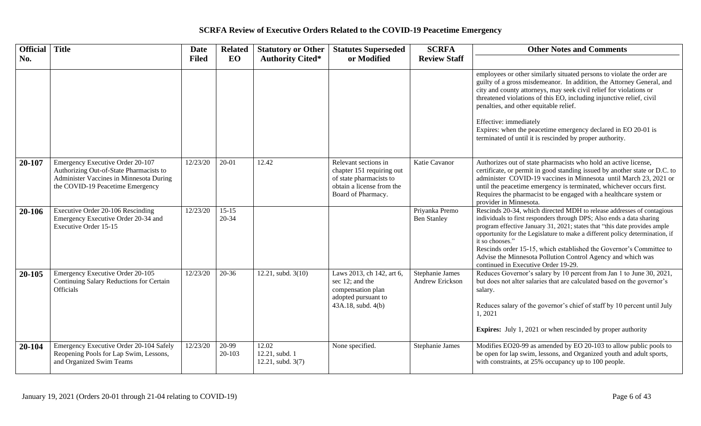| Official Title |                                                                                                                                                            | <b>Date</b>  | <b>Related</b>         | <b>Statutory or Other</b>                    | <b>Statutes Superseded</b>                                                                                                      | <b>SCRFA</b>                         | <b>Other Notes and Comments</b>                                                                                                                                                                                                                                                                                                                                                                                                                                                                             |
|----------------|------------------------------------------------------------------------------------------------------------------------------------------------------------|--------------|------------------------|----------------------------------------------|---------------------------------------------------------------------------------------------------------------------------------|--------------------------------------|-------------------------------------------------------------------------------------------------------------------------------------------------------------------------------------------------------------------------------------------------------------------------------------------------------------------------------------------------------------------------------------------------------------------------------------------------------------------------------------------------------------|
| No.            |                                                                                                                                                            | <b>Filed</b> | EO                     | <b>Authority Cited*</b>                      | or Modified                                                                                                                     | <b>Review Staff</b>                  |                                                                                                                                                                                                                                                                                                                                                                                                                                                                                                             |
|                |                                                                                                                                                            |              |                        |                                              |                                                                                                                                 |                                      | employees or other similarly situated persons to violate the order are<br>guilty of a gross misdemeanor. In addition, the Attorney General, and<br>city and county attorneys, may seek civil relief for violations or<br>threatened violations of this EO, including injunctive relief, civil<br>penalties, and other equitable relief.<br>Effective: immediately<br>Expires: when the peacetime emergency declared in EO 20-01 is<br>terminated of until it is rescinded by proper authority.              |
| 20-107         | Emergency Executive Order 20-107<br>Authorizing Out-of-State Pharmacists to<br>Administer Vaccines in Minnesota During<br>the COVID-19 Peacetime Emergency | 12/23/20     | $20 - 01$              | 12.42                                        | Relevant sections in<br>chapter 151 requiring out<br>of state pharmacists to<br>obtain a license from the<br>Board of Pharmacy. | Katie Cavanor                        | Authorizes out of state pharmacists who hold an active license,<br>certificate, or permit in good standing issued by another state or D.C. to<br>administer COVID-19 vaccines in Minnesota until March 23, 2021 or<br>until the peacetime emergency is terminated, whichever occurs first.<br>Requires the pharmacist to be engaged with a healthcare system or<br>provider in Minnesota.                                                                                                                   |
| 20-106         | Executive Order 20-106 Rescinding<br>Emergency Executive Order 20-34 and<br>Executive Order 15-15                                                          | 12/23/20     | $15 - 15$<br>$20 - 34$ |                                              |                                                                                                                                 | Priyanka Premo<br><b>Ben Stanley</b> | Rescinds 20-34, which directed MDH to release addresses of contagious<br>individuals to first responders through DPS; Also ends a data sharing<br>program effective January 31, 2021; states that "this date provides ample<br>opportunity for the Legislature to make a different policy determination, if<br>it so chooses."<br>Rescinds order 15-15, which established the Governor's Committee to<br>Advise the Minnesota Pollution Control Agency and which was<br>continued in Executive Order 19-29. |
| 20-105         | Emergency Executive Order 20-105<br>Continuing Salary Reductions for Certain<br><b>Officials</b>                                                           | 12/23/20     | $20 - 36$              | 12.21, subd. $3(10)$                         | Laws 2013, ch 142, art 6,<br>sec 12; and the<br>compensation plan<br>adopted pursuant to<br>43A.18, subd. 4(b)                  | Stephanie James<br>Andrew Erickson   | Reduces Governor's salary by 10 percent from Jan 1 to June 30, 2021,<br>but does not alter salaries that are calculated based on the governor's<br>salary.<br>Reduces salary of the governor's chief of staff by 10 percent until July<br>1,2021<br><b>Expires:</b> July 1, 2021 or when rescinded by proper authority                                                                                                                                                                                      |
| 20-104         | Emergency Executive Order 20-104 Safely<br>Reopening Pools for Lap Swim, Lessons,<br>and Organized Swim Teams                                              | 12/23/20     | 20-99<br>20-103        | 12.02<br>12.21, subd. 1<br>12.21, subd. 3(7) | None specified.                                                                                                                 | Stephanie James                      | Modifies EO20-99 as amended by EO 20-103 to allow public pools to<br>be open for lap swim, lessons, and Organized youth and adult sports,<br>with constraints, at 25% occupancy up to 100 people.                                                                                                                                                                                                                                                                                                           |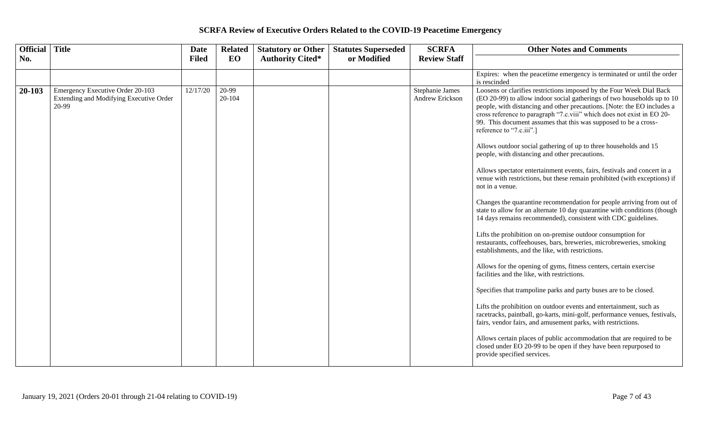| Official Title |                                                                                      | <b>Date</b>  | <b>Related</b>  | <b>Statutory or Other</b> | <b>Statutes Superseded</b> | <b>SCRFA</b>                       | <b>Other Notes and Comments</b>                                                                                                                                                                                                                                                                                                                                                                                                                                         |
|----------------|--------------------------------------------------------------------------------------|--------------|-----------------|---------------------------|----------------------------|------------------------------------|-------------------------------------------------------------------------------------------------------------------------------------------------------------------------------------------------------------------------------------------------------------------------------------------------------------------------------------------------------------------------------------------------------------------------------------------------------------------------|
| No.            |                                                                                      | <b>Filed</b> | EO              | <b>Authority Cited*</b>   | or Modified                | <b>Review Staff</b>                |                                                                                                                                                                                                                                                                                                                                                                                                                                                                         |
|                |                                                                                      |              |                 |                           |                            |                                    | Expires: when the peacetime emergency is terminated or until the order<br>is rescinded                                                                                                                                                                                                                                                                                                                                                                                  |
| 20-103         | Emergency Executive Order 20-103<br>Extending and Modifying Executive Order<br>20-99 | 12/17/20     | 20-99<br>20-104 |                           |                            | Stephanie James<br>Andrew Erickson | Loosens or clarifies restrictions imposed by the Four Week Dial Back<br>(EO 20-99) to allow indoor social gatherings of two households up to 10<br>people, with distancing and other precautions. [Note: the EO includes a<br>cross reference to paragraph "7.c.viii" which does not exist in EO 20-<br>99. This document assumes that this was supposed to be a cross-<br>reference to "7.c.iii".]<br>Allows outdoor social gathering of up to three households and 15 |
|                |                                                                                      |              |                 |                           |                            |                                    | people, with distancing and other precautions.<br>Allows spectator entertainment events, fairs, festivals and concert in a<br>venue with restrictions, but these remain prohibited (with exceptions) if<br>not in a venue.                                                                                                                                                                                                                                              |
|                |                                                                                      |              |                 |                           |                            |                                    | Changes the quarantine recommendation for people arriving from out of<br>state to allow for an alternate 10 day quarantine with conditions (though<br>14 days remains recommended), consistent with CDC guidelines.                                                                                                                                                                                                                                                     |
|                |                                                                                      |              |                 |                           |                            |                                    | Lifts the prohibition on on-premise outdoor consumption for<br>restaurants, coffeehouses, bars, breweries, microbreweries, smoking<br>establishments, and the like, with restrictions.                                                                                                                                                                                                                                                                                  |
|                |                                                                                      |              |                 |                           |                            |                                    | Allows for the opening of gyms, fitness centers, certain exercise<br>facilities and the like, with restrictions.                                                                                                                                                                                                                                                                                                                                                        |
|                |                                                                                      |              |                 |                           |                            |                                    | Specifies that trampoline parks and party buses are to be closed.                                                                                                                                                                                                                                                                                                                                                                                                       |
|                |                                                                                      |              |                 |                           |                            |                                    | Lifts the prohibition on outdoor events and entertainment, such as<br>racetracks, paintball, go-karts, mini-golf, performance venues, festivals,<br>fairs, vendor fairs, and amusement parks, with restrictions.                                                                                                                                                                                                                                                        |
|                |                                                                                      |              |                 |                           |                            |                                    | Allows certain places of public accommodation that are required to be<br>closed under EO 20-99 to be open if they have been repurposed to<br>provide specified services.                                                                                                                                                                                                                                                                                                |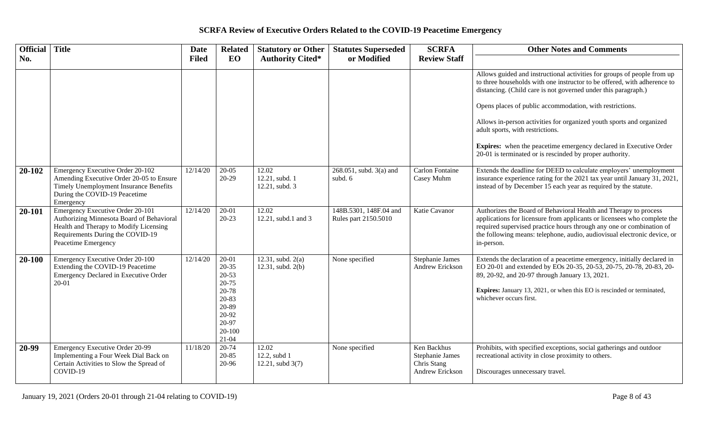| Official Title |                                                                                                                                                                                           | <b>Date</b>  | <b>Related</b>                                                                                                           | <b>Statutory or Other</b>                 | <b>Statutes Superseded</b>                     | <b>SCRFA</b>                                                     | <b>Other Notes and Comments</b>                                                                                                                                                                                                                                                                                                                                                                                                                                                                                                       |
|----------------|-------------------------------------------------------------------------------------------------------------------------------------------------------------------------------------------|--------------|--------------------------------------------------------------------------------------------------------------------------|-------------------------------------------|------------------------------------------------|------------------------------------------------------------------|---------------------------------------------------------------------------------------------------------------------------------------------------------------------------------------------------------------------------------------------------------------------------------------------------------------------------------------------------------------------------------------------------------------------------------------------------------------------------------------------------------------------------------------|
| No.            |                                                                                                                                                                                           | <b>Filed</b> | EO                                                                                                                       | <b>Authority Cited*</b>                   | or Modified                                    | <b>Review Staff</b>                                              |                                                                                                                                                                                                                                                                                                                                                                                                                                                                                                                                       |
|                |                                                                                                                                                                                           |              |                                                                                                                          |                                           |                                                |                                                                  | Allows guided and instructional activities for groups of people from up<br>to three households with one instructor to be offered, with adherence to<br>distancing. (Child care is not governed under this paragraph.)<br>Opens places of public accommodation, with restrictions.<br>Allows in-person activities for organized youth sports and organized<br>adult sports, with restrictions.<br><b>Expires:</b> when the peacetime emergency declared in Executive Order<br>20-01 is terminated or is rescinded by proper authority. |
| 20-102         | Emergency Executive Order 20-102<br>Amending Executive Order 20-05 to Ensure<br>Timely Unemployment Insurance Benefits<br>During the COVID-19 Peacetime<br>Emergency                      | 12/14/20     | $20-05$<br>$20-29$                                                                                                       | 12.02<br>12.21, subd. 1<br>12.21, subd. 3 | 268.051, subd. 3(a) and<br>subd. 6             | <b>Carlon Fontaine</b><br>Casey Muhm                             | Extends the deadline for DEED to calculate employers' unemployment<br>insurance experience rating for the 2021 tax year until January 31, 2021,<br>instead of by December 15 each year as required by the statute.                                                                                                                                                                                                                                                                                                                    |
| 20-101         | <b>Emergency Executive Order 20-101</b><br>Authorizing Minnesota Board of Behavioral<br>Health and Therapy to Modify Licensing<br>Requirements During the COVID-19<br>Peacetime Emergency | 12/14/20     | $20-01$<br>$20 - 23$                                                                                                     | 12.02<br>12.21, subd.1 and 3              | 148B.5301, 148F.04 and<br>Rules part 2150.5010 | Katie Cavanor                                                    | Authorizes the Board of Behavioral Health and Therapy to process<br>applications for licensure from applicants or licensees who complete the<br>required supervised practice hours through any one or combination of<br>the following means: telephone, audio, audiovisual electronic device, or<br>in-person.                                                                                                                                                                                                                        |
| 20-100         | Emergency Executive Order 20-100<br>Extending the COVID-19 Peacetime<br>Emergency Declared in Executive Order<br>20-01                                                                    | 12/14/20     | $20 - 01$<br>$20 - 35$<br>$20 - 53$<br>$20 - 75$<br>20-78<br>20-83<br>20-89<br>20-92<br>20-97<br>$20 - 100$<br>$21 - 04$ | 12.31, subd. $2(a)$<br>12.31, subd. 2(b)  | None specified                                 | Stephanie James<br>Andrew Erickson                               | Extends the declaration of a peacetime emergency, initially declared in<br>EO 20-01 and extended by EOs 20-35, 20-53, 20-75, 20-78, 20-83, 20-<br>89, 20-92, and 20-97 through January 13, 2021.<br>Expires: January 13, 2021, or when this EO is rescinded or terminated,<br>whichever occurs first.                                                                                                                                                                                                                                 |
| 20-99          | Emergency Executive Order 20-99<br>Implementing a Four Week Dial Back on<br>Certain Activities to Slow the Spread of<br>COVID-19                                                          | 11/18/20     | 20-74<br>20-85<br>20-96                                                                                                  | 12.02<br>12.2, subd 1<br>12.21, subd 3(7) | None specified                                 | Ken Backhus<br>Stephanie James<br>Chris Stang<br>Andrew Erickson | Prohibits, with specified exceptions, social gatherings and outdoor<br>recreational activity in close proximity to others.<br>Discourages unnecessary travel.                                                                                                                                                                                                                                                                                                                                                                         |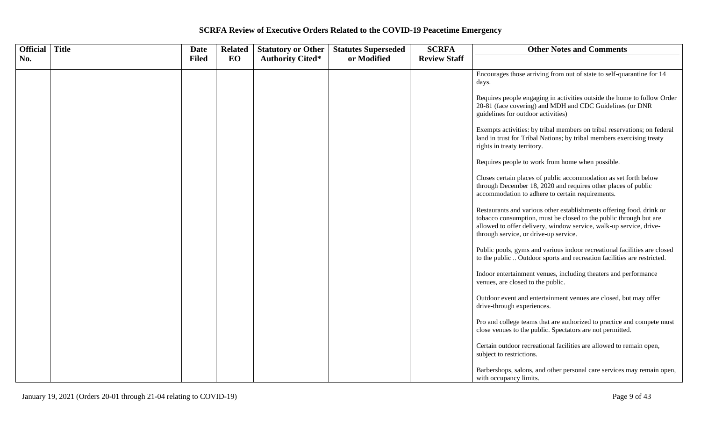| Official   Title | <b>Date</b>  | <b>Related</b> | <b>Statutory or Other</b> | <b>Statutes Superseded</b> | <b>SCRFA</b>        | <b>Other Notes and Comments</b>                                                                                                                                                                                                                          |
|------------------|--------------|----------------|---------------------------|----------------------------|---------------------|----------------------------------------------------------------------------------------------------------------------------------------------------------------------------------------------------------------------------------------------------------|
| No.              | <b>Filed</b> | EO             | <b>Authority Cited*</b>   | or Modified                | <b>Review Staff</b> |                                                                                                                                                                                                                                                          |
|                  |              |                |                           |                            |                     | Encourages those arriving from out of state to self-quarantine for 14<br>days.                                                                                                                                                                           |
|                  |              |                |                           |                            |                     | Requires people engaging in activities outside the home to follow Order<br>20-81 (face covering) and MDH and CDC Guidelines (or DNR<br>guidelines for outdoor activities)                                                                                |
|                  |              |                |                           |                            |                     | Exempts activities: by tribal members on tribal reservations; on federal<br>land in trust for Tribal Nations; by tribal members exercising treaty<br>rights in treaty territory.                                                                         |
|                  |              |                |                           |                            |                     | Requires people to work from home when possible.                                                                                                                                                                                                         |
|                  |              |                |                           |                            |                     | Closes certain places of public accommodation as set forth below<br>through December 18, 2020 and requires other places of public<br>accommodation to adhere to certain requirements.                                                                    |
|                  |              |                |                           |                            |                     | Restaurants and various other establishments offering food, drink or<br>tobacco consumption, must be closed to the public through but are<br>allowed to offer delivery, window service, walk-up service, drive-<br>through service, or drive-up service. |
|                  |              |                |                           |                            |                     | Public pools, gyms and various indoor recreational facilities are closed<br>to the public  Outdoor sports and recreation facilities are restricted.                                                                                                      |
|                  |              |                |                           |                            |                     | Indoor entertainment venues, including theaters and performance<br>venues, are closed to the public.                                                                                                                                                     |
|                  |              |                |                           |                            |                     | Outdoor event and entertainment venues are closed, but may offer<br>drive-through experiences.                                                                                                                                                           |
|                  |              |                |                           |                            |                     | Pro and college teams that are authorized to practice and compete must<br>close venues to the public. Spectators are not permitted.                                                                                                                      |
|                  |              |                |                           |                            |                     | Certain outdoor recreational facilities are allowed to remain open,<br>subject to restrictions.                                                                                                                                                          |
|                  |              |                |                           |                            |                     | Barbershops, salons, and other personal care services may remain open,<br>with occupancy limits.                                                                                                                                                         |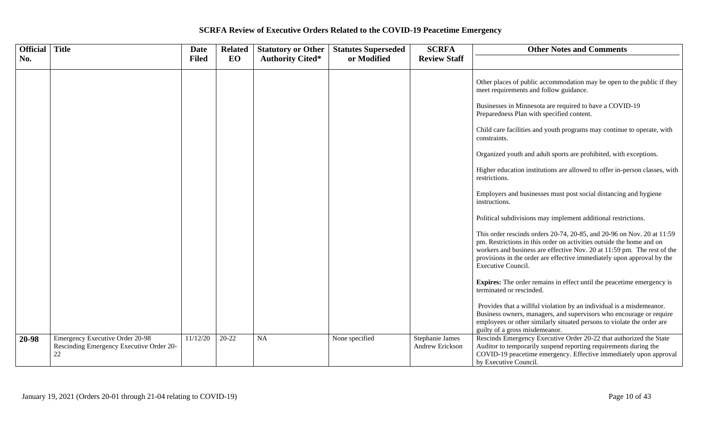| <b>Official</b> | <b>Title</b>                                                                             | <b>Date</b>  | <b>Related</b> | <b>Statutory or Other</b> | <b>Statutes Superseded</b> | <b>SCRFA</b>                       | <b>Other Notes and Comments</b>                                                                                                                                                                                                                                                                                           |
|-----------------|------------------------------------------------------------------------------------------|--------------|----------------|---------------------------|----------------------------|------------------------------------|---------------------------------------------------------------------------------------------------------------------------------------------------------------------------------------------------------------------------------------------------------------------------------------------------------------------------|
| No.             |                                                                                          | <b>Filed</b> | EO             | <b>Authority Cited*</b>   | or Modified                | <b>Review Staff</b>                |                                                                                                                                                                                                                                                                                                                           |
|                 |                                                                                          |              |                |                           |                            |                                    | Other places of public accommodation may be open to the public if they<br>meet requirements and follow guidance.                                                                                                                                                                                                          |
|                 |                                                                                          |              |                |                           |                            |                                    | Businesses in Minnesota are required to have a COVID-19<br>Preparedness Plan with specified content.                                                                                                                                                                                                                      |
|                 |                                                                                          |              |                |                           |                            |                                    | Child care facilities and youth programs may continue to operate, with<br>constraints.                                                                                                                                                                                                                                    |
|                 |                                                                                          |              |                |                           |                            |                                    | Organized youth and adult sports are prohibited, with exceptions.                                                                                                                                                                                                                                                         |
|                 |                                                                                          |              |                |                           |                            |                                    | Higher education institutions are allowed to offer in-person classes, with<br>restrictions.                                                                                                                                                                                                                               |
|                 |                                                                                          |              |                |                           |                            |                                    | Employers and businesses must post social distancing and hygiene<br>instructions.                                                                                                                                                                                                                                         |
|                 |                                                                                          |              |                |                           |                            |                                    | Political subdivisions may implement additional restrictions.                                                                                                                                                                                                                                                             |
|                 |                                                                                          |              |                |                           |                            |                                    | This order rescinds orders 20-74, 20-85, and 20-96 on Nov. 20 at 11:59<br>pm. Restrictions in this order on activities outside the home and on<br>workers and business are effective Nov. 20 at 11:59 pm. The rest of the<br>provisions in the order are effective immediately upon approval by the<br>Executive Council. |
|                 |                                                                                          |              |                |                           |                            |                                    | <b>Expires:</b> The order remains in effect until the peacetime emergency is<br>terminated or rescinded.                                                                                                                                                                                                                  |
|                 |                                                                                          |              |                |                           |                            |                                    | Provides that a willful violation by an individual is a misdemeanor.<br>Business owners, managers, and supervisors who encourage or require<br>employees or other similarly situated persons to violate the order are<br>guilty of a gross misdemeanor.                                                                   |
| 20-98           | <b>Emergency Executive Order 20-98</b><br>Rescinding Emergency Executive Order 20-<br>22 | 11/12/20     | $20 - 22$      | <b>NA</b>                 | None specified             | Stephanie James<br>Andrew Erickson | Rescinds Emergency Executive Order 20-22 that authorized the State<br>Auditor to temporarily suspend reporting requirements during the<br>COVID-19 peacetime emergency. Effective immediately upon approval<br>by Executive Council.                                                                                      |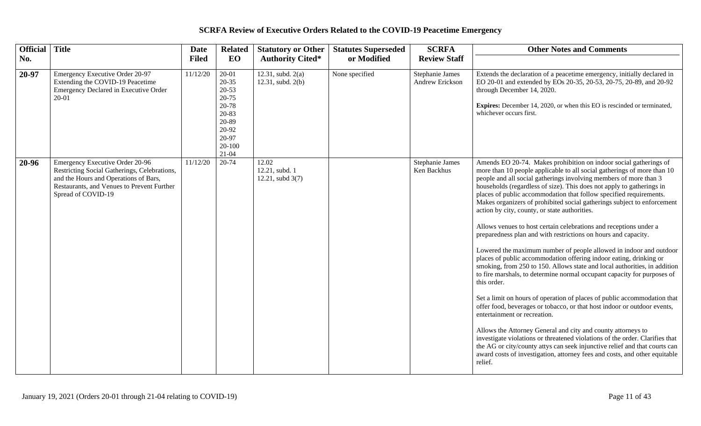| Official Title |                                                                                                                                                                                              | <b>Date</b>  | <b>Related</b>                                                                                                           | <b>Statutory or Other</b>                   | <b>Statutes Superseded</b> | <b>SCRFA</b>                       | <b>Other Notes and Comments</b>                                                                                                                                                                                                                                                                                                                                                                                                                                                                                                                                                                                                                                                                                                                                                                                                                                                                                                                                                                                                                                                                                                                                                                                                                                                                                                                                                                                                                                       |
|----------------|----------------------------------------------------------------------------------------------------------------------------------------------------------------------------------------------|--------------|--------------------------------------------------------------------------------------------------------------------------|---------------------------------------------|----------------------------|------------------------------------|-----------------------------------------------------------------------------------------------------------------------------------------------------------------------------------------------------------------------------------------------------------------------------------------------------------------------------------------------------------------------------------------------------------------------------------------------------------------------------------------------------------------------------------------------------------------------------------------------------------------------------------------------------------------------------------------------------------------------------------------------------------------------------------------------------------------------------------------------------------------------------------------------------------------------------------------------------------------------------------------------------------------------------------------------------------------------------------------------------------------------------------------------------------------------------------------------------------------------------------------------------------------------------------------------------------------------------------------------------------------------------------------------------------------------------------------------------------------------|
| No.            |                                                                                                                                                                                              | <b>Filed</b> | EO                                                                                                                       | <b>Authority Cited*</b>                     | or Modified                | <b>Review Staff</b>                |                                                                                                                                                                                                                                                                                                                                                                                                                                                                                                                                                                                                                                                                                                                                                                                                                                                                                                                                                                                                                                                                                                                                                                                                                                                                                                                                                                                                                                                                       |
| 20-97          | Emergency Executive Order 20-97<br>Extending the COVID-19 Peacetime<br>Emergency Declared in Executive Order<br>20-01                                                                        | 11/12/20     | $20 - 01$<br>$20 - 35$<br>$20 - 53$<br>$20 - 75$<br>20-78<br>20-83<br>20-89<br>20-92<br>20-97<br>$20 - 100$<br>$21 - 04$ | $12.31$ , subd. $2(a)$<br>12.31, subd. 2(b) | None specified             | Stephanie James<br>Andrew Erickson | Extends the declaration of a peacetime emergency, initially declared in<br>EO 20-01 and extended by EOs 20-35, 20-53, 20-75, 20-89, and 20-92<br>through December 14, 2020.<br><b>Expires:</b> December 14, 2020, or when this EO is rescinded or terminated,<br>whichever occurs first.                                                                                                                                                                                                                                                                                                                                                                                                                                                                                                                                                                                                                                                                                                                                                                                                                                                                                                                                                                                                                                                                                                                                                                              |
| 20-96          | Emergency Executive Order 20-96<br>Restricting Social Gatherings, Celebrations,<br>and the Hours and Operations of Bars,<br>Restaurants, and Venues to Prevent Further<br>Spread of COVID-19 | 11/12/20     | 20-74                                                                                                                    | 12.02<br>12.21, subd. 1<br>12.21, subd 3(7) |                            | Stephanie James<br>Ken Backhus     | Amends EO 20-74. Makes prohibition on indoor social gatherings of<br>more than 10 people applicable to all social gatherings of more than 10<br>people and all social gatherings involving members of more than 3<br>households (regardless of size). This does not apply to gatherings in<br>places of public accommodation that follow specified requirements.<br>Makes organizers of prohibited social gatherings subject to enforcement<br>action by city, county, or state authorities.<br>Allows venues to host certain celebrations and receptions under a<br>preparedness plan and with restrictions on hours and capacity.<br>Lowered the maximum number of people allowed in indoor and outdoor<br>places of public accommodation offering indoor eating, drinking or<br>smoking, from 250 to 150. Allows state and local authorities, in addition<br>to fire marshals, to determine normal occupant capacity for purposes of<br>this order.<br>Set a limit on hours of operation of places of public accommodation that<br>offer food, beverages or tobacco, or that host indoor or outdoor events,<br>entertainment or recreation.<br>Allows the Attorney General and city and county attorneys to<br>investigate violations or threatened violations of the order. Clarifies that<br>the AG or city/county attys can seek injunctive relief and that courts can<br>award costs of investigation, attorney fees and costs, and other equitable<br>relief. |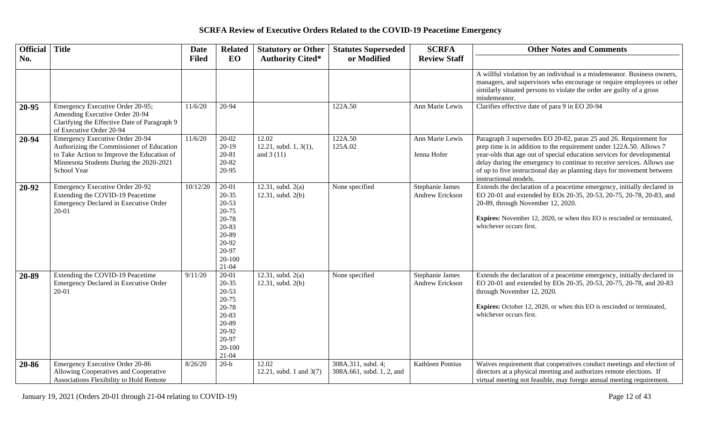| Official Title |                                                                                                                                                                                      | <b>Date</b>  | <b>Related</b>                                                                                                           | <b>Statutory or Other</b>                     | <b>Statutes Superseded</b>                      | <b>SCRFA</b>                       | <b>Other Notes and Comments</b>                                                                                                                                                                                                                                                                                                                                                                |
|----------------|--------------------------------------------------------------------------------------------------------------------------------------------------------------------------------------|--------------|--------------------------------------------------------------------------------------------------------------------------|-----------------------------------------------|-------------------------------------------------|------------------------------------|------------------------------------------------------------------------------------------------------------------------------------------------------------------------------------------------------------------------------------------------------------------------------------------------------------------------------------------------------------------------------------------------|
| No.            |                                                                                                                                                                                      | <b>Filed</b> | EO                                                                                                                       | <b>Authority Cited*</b>                       | or Modified                                     | <b>Review Staff</b>                |                                                                                                                                                                                                                                                                                                                                                                                                |
|                |                                                                                                                                                                                      |              |                                                                                                                          |                                               |                                                 |                                    | A willful violation by an individual is a misdemeanor. Business owners,<br>managers, and supervisors who encourage or require employees or other<br>similarly situated persons to violate the order are guilty of a gross<br>misdemeanor.                                                                                                                                                      |
| 20-95          | Emergency Executive Order 20-95;<br>Amending Executive Order 20-94<br>Clarifying the Effective Date of Paragraph 9<br>of Executive Order 20-94                                       | 11/6/20      | $20 - 94$                                                                                                                |                                               | 122A.50                                         | Ann Marie Lewis                    | Clarifies effective date of para 9 in EO 20-94                                                                                                                                                                                                                                                                                                                                                 |
| 20-94          | Emergency Executive Order 20-94<br>Authorizing the Commissioner of Education<br>to Take Action to Improve the Education of<br>Minnesota Students During the 2020-2021<br>School Year | 11/6/20      | $20-02$<br>$20-19$<br>$20 - 81$<br>20-82<br>20-95                                                                        | 12.02<br>12.21, subd. 1, 3(1),<br>and $3(11)$ | 122A.50<br>125A.02                              | Ann Marie Lewis<br>Jenna Hofer     | Paragraph 3 supersedes EO 20-82, paras 25 and 26. Requirement for<br>prep time is in addition to the requirement under 122A.50. Allows 7<br>year-olds that age out of special education services for developmental<br>delay during the emergency to continue to receive services. Allows use<br>of up to five instructional day as planning days for movement between<br>instructional models. |
| 20-92          | Emergency Executive Order 20-92<br>Extending the COVID-19 Peacetime<br><b>Emergency Declared in Executive Order</b><br>$20 - 01$                                                     | 10/12/20     | $20 - 01$<br>$20 - 35$<br>$20 - 53$<br>$20 - 75$<br>20-78<br>20-83<br>20-89<br>20-92<br>20-97<br>$20 - 100$<br>$21 - 04$ | 12.31, subd. $2(a)$<br>12.31, subd. 2(b)      | None specified                                  | Stephanie James<br>Andrew Erickson | Extends the declaration of a peacetime emergency, initially declared in<br>EO 20-01 and extended by EOs 20-35, 20-53, 20-75, 20-78, 20-83, and<br>20-89, through November 12, 2020.<br><b>Expires:</b> November 12, 2020, or when this EO is rescinded or terminated,<br>whichever occurs first.                                                                                               |
| 20-89          | Extending the COVID-19 Peacetime<br>Emergency Declared in Executive Order<br>$20 - 01$                                                                                               | 9/11/20      | $20-01$<br>$20 - 35$<br>$20 - 53$<br>$20 - 75$<br>20-78<br>20-83<br>20-89<br>20-92<br>20-97<br>$20 - 100$<br>$21 - 04$   | 12.31, subd. $2(a)$<br>12.31, subd. 2(b)      | None specified                                  | Stephanie James<br>Andrew Erickson | Extends the declaration of a peacetime emergency, initially declared in<br>EO 20-01 and extended by EOs 20-35, 20-53, 20-75, 20-78, and 20-83<br>through November 12, 2020.<br><b>Expires:</b> October 12, 2020, or when this EO is rescinded or terminated,<br>whichever occurs first.                                                                                                        |
| 20-86          | Emergency Executive Order 20-86<br>Allowing Cooperatives and Cooperative<br>Associations Flexibility to Hold Remote                                                                  | 8/26/20      | $20-b$                                                                                                                   | 12.02<br>12.21, subd. 1 and 3(7)              | 308A.311, subd. 4;<br>308A.661, subd. 1, 2, and | Kathleen Pontius                   | Waives requirement that cooperatives conduct meetings and election of<br>directors at a physical meeting and authorizes remote elections. If<br>virtual meeting not feasible, may forego annual meeting requirement.                                                                                                                                                                           |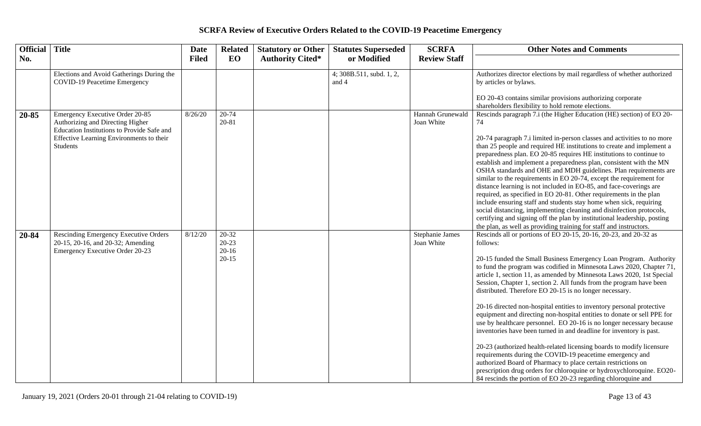| Official Title |                                                                                                                                                                           | <b>Date</b>  | <b>Related</b>                             | <b>Statutory or Other</b> | <b>Statutes Superseded</b>          | <b>SCRFA</b>                   | <b>Other Notes and Comments</b>                                                                                                                                                                                                                                                                                                                                                                                                                                                                                                                                                                                                                                                                                                                                                                                                                                                                                                                                                                                                                                                         |
|----------------|---------------------------------------------------------------------------------------------------------------------------------------------------------------------------|--------------|--------------------------------------------|---------------------------|-------------------------------------|--------------------------------|-----------------------------------------------------------------------------------------------------------------------------------------------------------------------------------------------------------------------------------------------------------------------------------------------------------------------------------------------------------------------------------------------------------------------------------------------------------------------------------------------------------------------------------------------------------------------------------------------------------------------------------------------------------------------------------------------------------------------------------------------------------------------------------------------------------------------------------------------------------------------------------------------------------------------------------------------------------------------------------------------------------------------------------------------------------------------------------------|
| No.            |                                                                                                                                                                           | <b>Filed</b> | EO                                         | <b>Authority Cited*</b>   | or Modified                         | <b>Review Staff</b>            |                                                                                                                                                                                                                                                                                                                                                                                                                                                                                                                                                                                                                                                                                                                                                                                                                                                                                                                                                                                                                                                                                         |
|                | Elections and Avoid Gatherings During the<br>COVID-19 Peacetime Emergency                                                                                                 |              |                                            |                           | $4;308B.511$ , subd. 1, 2,<br>and 4 |                                | Authorizes director elections by mail regardless of whether authorized<br>by articles or bylaws.<br>EO 20-43 contains similar provisions authorizing corporate<br>shareholders flexibility to hold remote elections.                                                                                                                                                                                                                                                                                                                                                                                                                                                                                                                                                                                                                                                                                                                                                                                                                                                                    |
| 20-85          | Emergency Executive Order 20-85<br>Authorizing and Directing Higher<br>Education Institutions to Provide Safe and<br>Effective Learning Environments to their<br>Students | 8/26/20      | $20 - 74$<br>20-81                         |                           |                                     | Hannah Grunewald<br>Joan White | Rescinds paragraph 7.i (the Higher Education (HE) section) of EO 20-<br>74<br>20-74 paragraph 7.i limited in-person classes and activities to no more<br>than 25 people and required HE institutions to create and implement a<br>preparedness plan. EO 20-85 requires HE institutions to continue to<br>establish and implement a preparedness plan, consistent with the MN<br>OSHA standards and OHE and MDH guidelines. Plan requirements are<br>similar to the requirements in EO 20-74, except the requirement for<br>distance learning is not included in EO-85, and face-coverings are<br>required, as specified in EO 20-81. Other requirements in the plan<br>include ensuring staff and students stay home when sick, requiring<br>social distancing, implementing cleaning and disinfection protocols,<br>certifying and signing off the plan by institutional leadership, posting<br>the plan, as well as providing training for staff and instructors.                                                                                                                     |
| 20-84          | Rescinding Emergency Executive Orders<br>20-15, 20-16, and 20-32; Amending<br>Emergency Executive Order 20-23                                                             | 8/12/20      | $20-32$<br>$20-23$<br>$20-16$<br>$20 - 15$ |                           |                                     | Stephanie James<br>Joan White  | Rescinds all or portions of EO 20-15, 20-16, 20-23, and 20-32 as<br>follows:<br>20-15 funded the Small Business Emergency Loan Program. Authority<br>to fund the program was codified in Minnesota Laws 2020, Chapter 71,<br>article 1, section 11, as amended by Minnesota Laws 2020, 1st Special<br>Session, Chapter 1, section 2. All funds from the program have been<br>distributed. Therefore EO 20-15 is no longer necessary.<br>20-16 directed non-hospital entities to inventory personal protective<br>equipment and directing non-hospital entities to donate or sell PPE for<br>use by healthcare personnel. EO 20-16 is no longer necessary because<br>inventories have been turned in and deadline for inventory is past.<br>20-23 (authorized health-related licensing boards to modify licensure<br>requirements during the COVID-19 peacetime emergency and<br>authorized Board of Pharmacy to place certain restrictions on<br>prescription drug orders for chloroquine or hydroxychloroquine. EO20-<br>84 rescinds the portion of EO 20-23 regarding chloroquine and |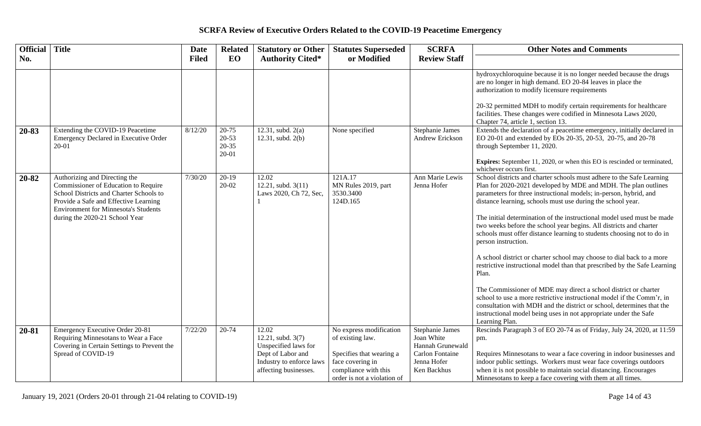| Official Title |                                                                                                                                                                                                                                            | <b>Date</b>  | <b>Related</b>                                   | <b>Statutory or Other</b>                                                                                                    | <b>Statutes Superseded</b>                                                                                                                         | <b>SCRFA</b>                                                                                              | <b>Other Notes and Comments</b>                                                                                                                                                                                                                                                                                                                                                                                                                                                                                                                                                                                                                                                                                                                                                                                                                                                                                                                                                                         |
|----------------|--------------------------------------------------------------------------------------------------------------------------------------------------------------------------------------------------------------------------------------------|--------------|--------------------------------------------------|------------------------------------------------------------------------------------------------------------------------------|----------------------------------------------------------------------------------------------------------------------------------------------------|-----------------------------------------------------------------------------------------------------------|---------------------------------------------------------------------------------------------------------------------------------------------------------------------------------------------------------------------------------------------------------------------------------------------------------------------------------------------------------------------------------------------------------------------------------------------------------------------------------------------------------------------------------------------------------------------------------------------------------------------------------------------------------------------------------------------------------------------------------------------------------------------------------------------------------------------------------------------------------------------------------------------------------------------------------------------------------------------------------------------------------|
| No.            |                                                                                                                                                                                                                                            | <b>Filed</b> | EO                                               | <b>Authority Cited*</b>                                                                                                      | or Modified                                                                                                                                        | <b>Review Staff</b>                                                                                       |                                                                                                                                                                                                                                                                                                                                                                                                                                                                                                                                                                                                                                                                                                                                                                                                                                                                                                                                                                                                         |
|                |                                                                                                                                                                                                                                            |              |                                                  |                                                                                                                              |                                                                                                                                                    |                                                                                                           | hydroxychloroquine because it is no longer needed because the drugs<br>are no longer in high demand. EO 20-84 leaves in place the<br>authorization to modify licensure requirements<br>20-32 permitted MDH to modify certain requirements for healthcare<br>facilities. These changes were codified in Minnesota Laws 2020,<br>Chapter 74, article 1, section 13.                                                                                                                                                                                                                                                                                                                                                                                                                                                                                                                                                                                                                                       |
| 20-83          | Extending the COVID-19 Peacetime<br>Emergency Declared in Executive Order<br>$20 - 01$                                                                                                                                                     | 8/12/20      | $20 - 75$<br>$20 - 53$<br>$20 - 35$<br>$20 - 01$ | 12.31, subd. $2(a)$<br>12.31, subd. 2(b)                                                                                     | None specified                                                                                                                                     | Stephanie James<br>Andrew Erickson                                                                        | Extends the declaration of a peacetime emergency, initially declared in<br>EO 20-01 and extended by EOs 20-35, 20-53, 20-75, and 20-78<br>through September 11, 2020.<br><b>Expires:</b> September 11, 2020, or when this EO is rescinded or terminated,<br>whichever occurs first.                                                                                                                                                                                                                                                                                                                                                                                                                                                                                                                                                                                                                                                                                                                     |
| 20-82          | Authorizing and Directing the<br>Commissioner of Education to Require<br>School Districts and Charter Schools to<br>Provide a Safe and Effective Learning<br><b>Environment for Minnesota's Students</b><br>during the 2020-21 School Year | 7/30/20      | $20-19$<br>$20 - 02$                             | 12.02<br>12.21, subd. 3(11)<br>Laws 2020, Ch 72, Sec,                                                                        | 121A.17<br>MN Rules 2019, part<br>3530.3400<br>124D.165                                                                                            | Ann Marie Lewis<br>Jenna Hofer                                                                            | School districts and charter schools must adhere to the Safe Learning<br>Plan for 2020-2021 developed by MDE and MDH. The plan outlines<br>parameters for three instructional models; in-person, hybrid, and<br>distance learning, schools must use during the school year.<br>The initial determination of the instructional model used must be made<br>two weeks before the school year begins. All districts and charter<br>schools must offer distance learning to students choosing not to do in<br>person instruction.<br>A school district or charter school may choose to dial back to a more<br>restrictive instructional model than that prescribed by the Safe Learning<br>Plan.<br>The Commissioner of MDE may direct a school district or charter<br>school to use a more restrictive instructional model if the Comm'r, in<br>consultation with MDH and the district or school, determines that the<br>instructional model being uses in not appropriate under the Safe<br>Learning Plan. |
| 20-81          | Emergency Executive Order 20-81<br>Requiring Minnesotans to Wear a Face<br>Covering in Certain Settings to Prevent the<br>Spread of COVID-19                                                                                               | 7/22/20      | 20-74                                            | 12.02<br>12.21, subd. 3(7)<br>Unspecified laws for<br>Dept of Labor and<br>Industry to enforce laws<br>affecting businesses. | No express modification<br>of existing law.<br>Specifies that wearing a<br>face covering in<br>compliance with this<br>order is not a violation of | Stephanie James<br>Joan White<br>Hannah Grunewald<br><b>Carlon Fontaine</b><br>Jenna Hofer<br>Ken Backhus | Rescinds Paragraph 3 of EO 20-74 as of Friday, July 24, 2020, at 11:59<br>pm.<br>Requires Minnesotans to wear a face covering in indoor businesses and<br>indoor public settings. Workers must wear face coverings outdoors<br>when it is not possible to maintain social distancing. Encourages<br>Minnesotans to keep a face covering with them at all times.                                                                                                                                                                                                                                                                                                                                                                                                                                                                                                                                                                                                                                         |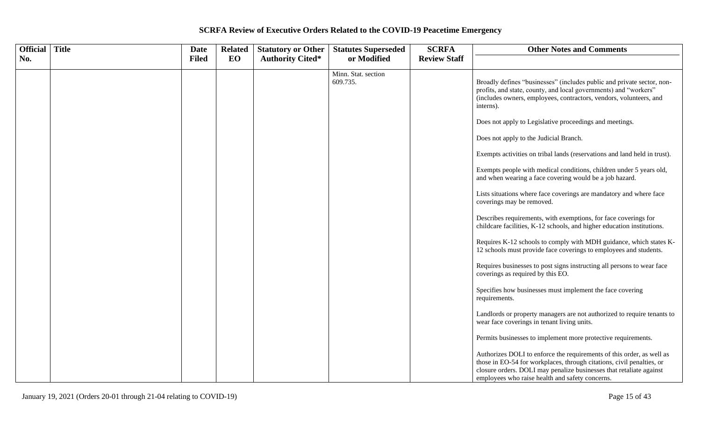| Official   Title | <b>Date</b>  | <b>Related</b> | <b>Statutory or Other</b> | <b>Statutes Superseded</b>      | <b>SCRFA</b>        | <b>Other Notes and Comments</b>                                                                                                                                                                                                                                          |
|------------------|--------------|----------------|---------------------------|---------------------------------|---------------------|--------------------------------------------------------------------------------------------------------------------------------------------------------------------------------------------------------------------------------------------------------------------------|
| No.              | <b>Filed</b> | EO             | <b>Authority Cited*</b>   | or Modified                     | <b>Review Staff</b> |                                                                                                                                                                                                                                                                          |
|                  |              |                |                           | Minn. Stat. section<br>609.735. |                     | Broadly defines "businesses" (includes public and private sector, non-<br>profits, and state, county, and local governments) and "workers"<br>(includes owners, employees, contractors, vendors, volunteers, and<br>interns).                                            |
|                  |              |                |                           |                                 |                     | Does not apply to Legislative proceedings and meetings.                                                                                                                                                                                                                  |
|                  |              |                |                           |                                 |                     | Does not apply to the Judicial Branch.                                                                                                                                                                                                                                   |
|                  |              |                |                           |                                 |                     | Exempts activities on tribal lands (reservations and land held in trust).                                                                                                                                                                                                |
|                  |              |                |                           |                                 |                     | Exempts people with medical conditions, children under 5 years old,<br>and when wearing a face covering would be a job hazard.                                                                                                                                           |
|                  |              |                |                           |                                 |                     | Lists situations where face coverings are mandatory and where face<br>coverings may be removed.                                                                                                                                                                          |
|                  |              |                |                           |                                 |                     | Describes requirements, with exemptions, for face coverings for<br>childcare facilities, K-12 schools, and higher education institutions.                                                                                                                                |
|                  |              |                |                           |                                 |                     | Requires K-12 schools to comply with MDH guidance, which states K-<br>12 schools must provide face coverings to employees and students.                                                                                                                                  |
|                  |              |                |                           |                                 |                     | Requires businesses to post signs instructing all persons to wear face<br>coverings as required by this EO.                                                                                                                                                              |
|                  |              |                |                           |                                 |                     | Specifies how businesses must implement the face covering<br>requirements.                                                                                                                                                                                               |
|                  |              |                |                           |                                 |                     | Landlords or property managers are not authorized to require tenants to<br>wear face coverings in tenant living units.                                                                                                                                                   |
|                  |              |                |                           |                                 |                     | Permits businesses to implement more protective requirements.                                                                                                                                                                                                            |
|                  |              |                |                           |                                 |                     | Authorizes DOLI to enforce the requirements of this order, as well as<br>those in EO-54 for workplaces, through citations, civil penalties, or<br>closure orders. DOLI may penalize businesses that retaliate against<br>employees who raise health and safety concerns. |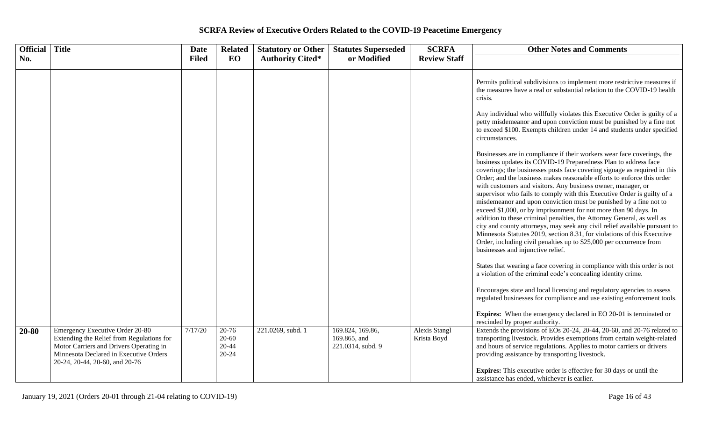| <b>Official</b> Title |                                                                                                                                                                                                     | <b>Date</b>  | <b>Related</b>                               | <b>Statutory or Other</b> | <b>Statutes Superseded</b>                            | <b>SCRFA</b>                        | <b>Other Notes and Comments</b>                                                                                                                                                                                                                                                                                                                                                                                                                                                                                                                                                                                                                                                                                                                                                                                                                                                                                                     |
|-----------------------|-----------------------------------------------------------------------------------------------------------------------------------------------------------------------------------------------------|--------------|----------------------------------------------|---------------------------|-------------------------------------------------------|-------------------------------------|-------------------------------------------------------------------------------------------------------------------------------------------------------------------------------------------------------------------------------------------------------------------------------------------------------------------------------------------------------------------------------------------------------------------------------------------------------------------------------------------------------------------------------------------------------------------------------------------------------------------------------------------------------------------------------------------------------------------------------------------------------------------------------------------------------------------------------------------------------------------------------------------------------------------------------------|
| No.                   |                                                                                                                                                                                                     | <b>Filed</b> | EO                                           | <b>Authority Cited*</b>   | or Modified                                           | <b>Review Staff</b>                 |                                                                                                                                                                                                                                                                                                                                                                                                                                                                                                                                                                                                                                                                                                                                                                                                                                                                                                                                     |
|                       |                                                                                                                                                                                                     |              |                                              |                           |                                                       |                                     | Permits political subdivisions to implement more restrictive measures if<br>the measures have a real or substantial relation to the COVID-19 health<br>crisis.                                                                                                                                                                                                                                                                                                                                                                                                                                                                                                                                                                                                                                                                                                                                                                      |
|                       |                                                                                                                                                                                                     |              |                                              |                           |                                                       |                                     | Any individual who willfully violates this Executive Order is guilty of a<br>petty misdemeanor and upon conviction must be punished by a fine not<br>to exceed \$100. Exempts children under 14 and students under specified<br>circumstances.                                                                                                                                                                                                                                                                                                                                                                                                                                                                                                                                                                                                                                                                                      |
|                       |                                                                                                                                                                                                     |              |                                              |                           |                                                       |                                     | Businesses are in compliance if their workers wear face coverings, the<br>business updates its COVID-19 Preparedness Plan to address face<br>coverings; the businesses posts face covering signage as required in this<br>Order; and the business makes reasonable efforts to enforce this order<br>with customers and visitors. Any business owner, manager, or<br>supervisor who fails to comply with this Executive Order is guilty of a<br>misdemeanor and upon conviction must be punished by a fine not to<br>exceed \$1,000, or by imprisonment for not more than 90 days. In<br>addition to these criminal penalties, the Attorney General, as well as<br>city and county attorneys, may seek any civil relief available pursuant to<br>Minnesota Statutes 2019, section 8.31, for violations of this Executive<br>Order, including civil penalties up to \$25,000 per occurrence from<br>businesses and injunctive relief. |
|                       |                                                                                                                                                                                                     |              |                                              |                           |                                                       |                                     | States that wearing a face covering in compliance with this order is not<br>a violation of the criminal code's concealing identity crime.                                                                                                                                                                                                                                                                                                                                                                                                                                                                                                                                                                                                                                                                                                                                                                                           |
|                       |                                                                                                                                                                                                     |              |                                              |                           |                                                       |                                     | Encourages state and local licensing and regulatory agencies to assess<br>regulated businesses for compliance and use existing enforcement tools.                                                                                                                                                                                                                                                                                                                                                                                                                                                                                                                                                                                                                                                                                                                                                                                   |
|                       |                                                                                                                                                                                                     |              |                                              |                           |                                                       |                                     | <b>Expires:</b> When the emergency declared in EO 20-01 is terminated or<br>rescinded by proper authority.                                                                                                                                                                                                                                                                                                                                                                                                                                                                                                                                                                                                                                                                                                                                                                                                                          |
| 20-80                 | Emergency Executive Order 20-80<br>Extending the Relief from Regulations for<br>Motor Carriers and Drivers Operating in<br>Minnesota Declared in Executive Orders<br>20-24, 20-44, 20-60, and 20-76 | 7/17/20      | $20 - 76$<br>$20 - 60$<br>20-44<br>$20 - 24$ | 221.0269, subd. 1         | 169.824, 169.86,<br>169.865, and<br>221.0314, subd. 9 | <b>Alexis Stangl</b><br>Krista Boyd | Extends the provisions of EOs 20-24, 20-44, 20-60, and 20-76 related to<br>transporting livestock. Provides exemptions from certain weight-related<br>and hours of service regulations. Applies to motor carriers or drivers<br>providing assistance by transporting livestock.                                                                                                                                                                                                                                                                                                                                                                                                                                                                                                                                                                                                                                                     |
|                       |                                                                                                                                                                                                     |              |                                              |                           |                                                       |                                     | <b>Expires:</b> This executive order is effective for 30 days or until the<br>assistance has ended, whichever is earlier.                                                                                                                                                                                                                                                                                                                                                                                                                                                                                                                                                                                                                                                                                                                                                                                                           |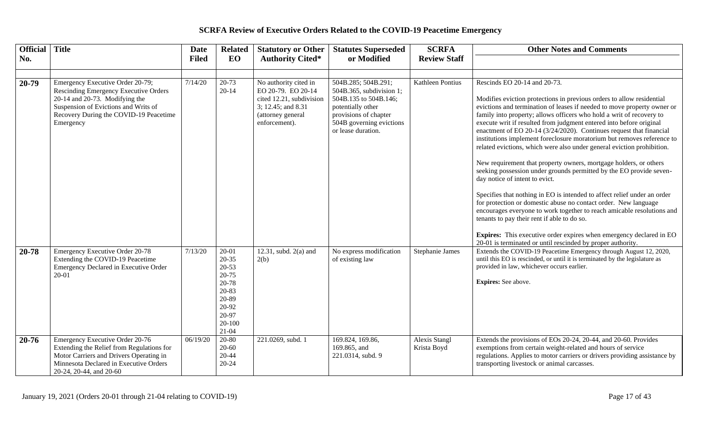| <b>Official</b> | Title                                                                                                                                                                                                                  | <b>Date</b>  | <b>Related</b>                                                                                               | <b>Statutory or Other</b>                                                                                                           | <b>Statutes Superseded</b>                                                                                                                                               | <b>SCRFA</b>                        | <b>Other Notes and Comments</b>                                                                                                                                                                                                                                                                                                                                                                                                                                                                                                                                                                                                                                                                                                                                                                                                                                                                                                                                                                                                                                                                                                                        |
|-----------------|------------------------------------------------------------------------------------------------------------------------------------------------------------------------------------------------------------------------|--------------|--------------------------------------------------------------------------------------------------------------|-------------------------------------------------------------------------------------------------------------------------------------|--------------------------------------------------------------------------------------------------------------------------------------------------------------------------|-------------------------------------|--------------------------------------------------------------------------------------------------------------------------------------------------------------------------------------------------------------------------------------------------------------------------------------------------------------------------------------------------------------------------------------------------------------------------------------------------------------------------------------------------------------------------------------------------------------------------------------------------------------------------------------------------------------------------------------------------------------------------------------------------------------------------------------------------------------------------------------------------------------------------------------------------------------------------------------------------------------------------------------------------------------------------------------------------------------------------------------------------------------------------------------------------------|
| No.             |                                                                                                                                                                                                                        | <b>Filed</b> | EO                                                                                                           | <b>Authority Cited*</b>                                                                                                             | or Modified                                                                                                                                                              | <b>Review Staff</b>                 |                                                                                                                                                                                                                                                                                                                                                                                                                                                                                                                                                                                                                                                                                                                                                                                                                                                                                                                                                                                                                                                                                                                                                        |
|                 |                                                                                                                                                                                                                        |              |                                                                                                              |                                                                                                                                     |                                                                                                                                                                          |                                     |                                                                                                                                                                                                                                                                                                                                                                                                                                                                                                                                                                                                                                                                                                                                                                                                                                                                                                                                                                                                                                                                                                                                                        |
| 20-79           | Emergency Executive Order 20-79;<br><b>Rescinding Emergency Executive Orders</b><br>$20-14$ and $20-73$ . Modifying the<br>Suspension of Evictions and Writs of<br>Recovery During the COVID-19 Peacetime<br>Emergency | 7/14/20      | $20 - 73$<br>$20 - 14$                                                                                       | No authority cited in<br>EO 20-79. EO 20-14<br>cited 12.21, subdivision<br>3; 12.45; and 8.31<br>(attorney general<br>enforcement). | 504B.285; 504B.291;<br>504B.365, subdivision 1;<br>504B.135 to 504B.146;<br>potentially other<br>provisions of chapter<br>504B governing evictions<br>or lease duration. | Kathleen Pontius                    | Rescinds EO 20-14 and 20-73.<br>Modifies eviction protections in previous orders to allow residential<br>evictions and termination of leases if needed to move property owner or<br>family into property; allows officers who hold a writ of recovery to<br>execute writ if resulted from judgment entered into before original<br>enactment of EO 20-14 (3/24/2020). Continues request that financial<br>institutions implement foreclosure moratorium but removes reference to<br>related evictions, which were also under general eviction prohibition.<br>New requirement that property owners, mortgage holders, or others<br>seeking possession under grounds permitted by the EO provide seven-<br>day notice of intent to evict.<br>Specifies that nothing in EO is intended to affect relief under an order<br>for protection or domestic abuse no contact order. New language<br>encourages everyone to work together to reach amicable resolutions and<br>tenants to pay their rent if able to do so.<br>Expires: This executive order expires when emergency declared in EO<br>20-01 is terminated or until rescinded by proper authority. |
| 20-78           | <b>Emergency Executive Order 20-78</b><br>Extending the COVID-19 Peacetime<br><b>Emergency Declared in Executive Order</b><br>$20 - 01$                                                                                | 7/13/20      | 20-01<br>20-35<br>$20 - 53$<br>20-75<br>20-78<br>20-83<br>20-89<br>20-92<br>20-97<br>$20 - 100$<br>$21 - 04$ | 12.31, subd. 2(a) and<br>2(b)                                                                                                       | No express modification<br>of existing law                                                                                                                               | Stephanie James                     | Extends the COVID-19 Peacetime Emergency through August 12, 2020,<br>until this EO is rescinded, or until it is terminated by the legislature as<br>provided in law, whichever occurs earlier.<br>Expires: See above.                                                                                                                                                                                                                                                                                                                                                                                                                                                                                                                                                                                                                                                                                                                                                                                                                                                                                                                                  |
| $20 - 76$       | <b>Emergency Executive Order 20-76</b><br>Extending the Relief from Regulations for<br>Motor Carriers and Drivers Operating in<br>Minnesota Declared in Executive Orders<br>20-24, 20-44, and 20-60                    | 06/19/20     | $20-80$<br>20-60<br>$20 - 44$<br>20-24                                                                       | 221.0269, subd. 1                                                                                                                   | 169.824, 169.86,<br>169.865, and<br>221.0314, subd. 9                                                                                                                    | <b>Alexis Stangl</b><br>Krista Boyd | Extends the provisions of EOs 20-24, 20-44, and 20-60. Provides<br>exemptions from certain weight-related and hours of service<br>regulations. Applies to motor carriers or drivers providing assistance by<br>transporting livestock or animal carcasses.                                                                                                                                                                                                                                                                                                                                                                                                                                                                                                                                                                                                                                                                                                                                                                                                                                                                                             |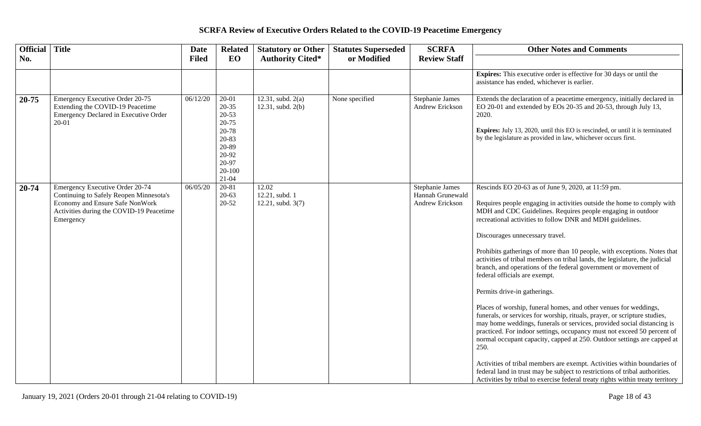| Official Title |                                                                                                                                                                        | <b>Date</b>  | <b>Related</b>                                                                                                       | <b>Statutory or Other</b>                    | <b>Statutes Superseded</b> | <b>SCRFA</b>                                           | <b>Other Notes and Comments</b>                                                                                                                                                                                                                                                                                                                                                                                                                                                                                                                                                                                                                                                                                                                                                                                                                                                                                                                                                                                                                                                                                                                                                                                                  |
|----------------|------------------------------------------------------------------------------------------------------------------------------------------------------------------------|--------------|----------------------------------------------------------------------------------------------------------------------|----------------------------------------------|----------------------------|--------------------------------------------------------|----------------------------------------------------------------------------------------------------------------------------------------------------------------------------------------------------------------------------------------------------------------------------------------------------------------------------------------------------------------------------------------------------------------------------------------------------------------------------------------------------------------------------------------------------------------------------------------------------------------------------------------------------------------------------------------------------------------------------------------------------------------------------------------------------------------------------------------------------------------------------------------------------------------------------------------------------------------------------------------------------------------------------------------------------------------------------------------------------------------------------------------------------------------------------------------------------------------------------------|
| No.            |                                                                                                                                                                        | <b>Filed</b> | EO                                                                                                                   | <b>Authority Cited*</b>                      | or Modified                | <b>Review Staff</b>                                    |                                                                                                                                                                                                                                                                                                                                                                                                                                                                                                                                                                                                                                                                                                                                                                                                                                                                                                                                                                                                                                                                                                                                                                                                                                  |
|                |                                                                                                                                                                        |              |                                                                                                                      |                                              |                            |                                                        | <b>Expires:</b> This executive order is effective for 30 days or until the<br>assistance has ended, whichever is earlier.                                                                                                                                                                                                                                                                                                                                                                                                                                                                                                                                                                                                                                                                                                                                                                                                                                                                                                                                                                                                                                                                                                        |
| $20 - 75$      | Emergency Executive Order 20-75<br>Extending the COVID-19 Peacetime<br>Emergency Declared in Executive Order<br>20-01                                                  | 06/12/20     | $20 - 01$<br>$20 - 35$<br>$20 - 53$<br>20-75<br>20-78<br>20-83<br>20-89<br>20-92<br>20-97<br>$20 - 100$<br>$21 - 04$ | 12.31, subd. $2(a)$<br>12.31, subd. 2(b)     | None specified             | Stephanie James<br>Andrew Erickson                     | Extends the declaration of a peacetime emergency, initially declared in<br>EO 20-01 and extended by EOs 20-35 and 20-53, through July 13,<br>2020.<br>Expires: July 13, 2020, until this EO is rescinded, or until it is terminated<br>by the legislature as provided in law, whichever occurs first.                                                                                                                                                                                                                                                                                                                                                                                                                                                                                                                                                                                                                                                                                                                                                                                                                                                                                                                            |
| 20-74          | Emergency Executive Order 20-74<br>Continuing to Safely Reopen Minnesota's<br>Economy and Ensure Safe NonWork<br>Activities during the COVID-19 Peacetime<br>Emergency | 06/05/20     | $20 - 81$<br>$20 - 63$<br>$20 - 52$                                                                                  | 12.02<br>12.21, subd. 1<br>12.21, subd. 3(7) |                            | Stephanie James<br>Hannah Grunewald<br>Andrew Erickson | Rescinds EO 20-63 as of June 9, 2020, at 11:59 pm.<br>Requires people engaging in activities outside the home to comply with<br>MDH and CDC Guidelines. Requires people engaging in outdoor<br>recreational activities to follow DNR and MDH guidelines.<br>Discourages unnecessary travel.<br>Prohibits gatherings of more than 10 people, with exceptions. Notes that<br>activities of tribal members on tribal lands, the legislature, the judicial<br>branch, and operations of the federal government or movement of<br>federal officials are exempt.<br>Permits drive-in gatherings.<br>Places of worship, funeral homes, and other venues for weddings,<br>funerals, or services for worship, rituals, prayer, or scripture studies,<br>may home weddings, funerals or services, provided social distancing is<br>practiced. For indoor settings, occupancy must not exceed 50 percent of<br>normal occupant capacity, capped at 250. Outdoor settings are capped at<br>250.<br>Activities of tribal members are exempt. Activities within boundaries of<br>federal land in trust may be subject to restrictions of tribal authorities.<br>Activities by tribal to exercise federal treaty rights within treaty territory |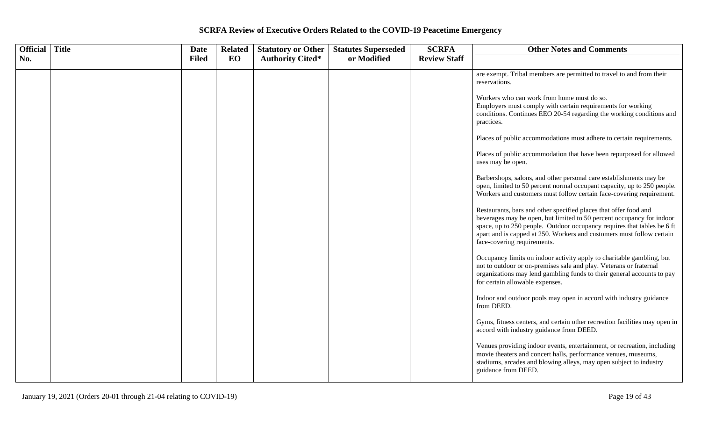| Official | <b>Title</b> | <b>Date</b>  | <b>Related</b> | <b>Statutory or Other</b> | <b>Statutes Superseded</b> | <b>SCRFA</b>        | <b>Other Notes and Comments</b>                                                                                                                                                                                                                                                                                              |
|----------|--------------|--------------|----------------|---------------------------|----------------------------|---------------------|------------------------------------------------------------------------------------------------------------------------------------------------------------------------------------------------------------------------------------------------------------------------------------------------------------------------------|
| No.      |              | <b>Filed</b> | EO             | <b>Authority Cited*</b>   | or Modified                | <b>Review Staff</b> |                                                                                                                                                                                                                                                                                                                              |
|          |              |              |                |                           |                            |                     | are exempt. Tribal members are permitted to travel to and from their<br>reservations.                                                                                                                                                                                                                                        |
|          |              |              |                |                           |                            |                     | Workers who can work from home must do so.<br>Employers must comply with certain requirements for working<br>conditions. Continues EEO 20-54 regarding the working conditions and<br>practices.                                                                                                                              |
|          |              |              |                |                           |                            |                     | Places of public accommodations must adhere to certain requirements.                                                                                                                                                                                                                                                         |
|          |              |              |                |                           |                            |                     | Places of public accommodation that have been repurposed for allowed<br>uses may be open.                                                                                                                                                                                                                                    |
|          |              |              |                |                           |                            |                     | Barbershops, salons, and other personal care establishments may be<br>open, limited to 50 percent normal occupant capacity, up to 250 people.<br>Workers and customers must follow certain face-covering requirement.                                                                                                        |
|          |              |              |                |                           |                            |                     | Restaurants, bars and other specified places that offer food and<br>beverages may be open, but limited to 50 percent occupancy for indoor<br>space, up to 250 people. Outdoor occupancy requires that tables be 6 ft<br>apart and is capped at 250. Workers and customers must follow certain<br>face-covering requirements. |
|          |              |              |                |                           |                            |                     | Occupancy limits on indoor activity apply to charitable gambling, but<br>not to outdoor or on-premises sale and play. Veterans or fraternal<br>organizations may lend gambling funds to their general accounts to pay<br>for certain allowable expenses.                                                                     |
|          |              |              |                |                           |                            |                     | Indoor and outdoor pools may open in accord with industry guidance<br>from DEED.                                                                                                                                                                                                                                             |
|          |              |              |                |                           |                            |                     | Gyms, fitness centers, and certain other recreation facilities may open in<br>accord with industry guidance from DEED.                                                                                                                                                                                                       |
|          |              |              |                |                           |                            |                     | Venues providing indoor events, entertainment, or recreation, including<br>movie theaters and concert halls, performance venues, museums,<br>stadiums, arcades and blowing alleys, may open subject to industry<br>guidance from DEED.                                                                                       |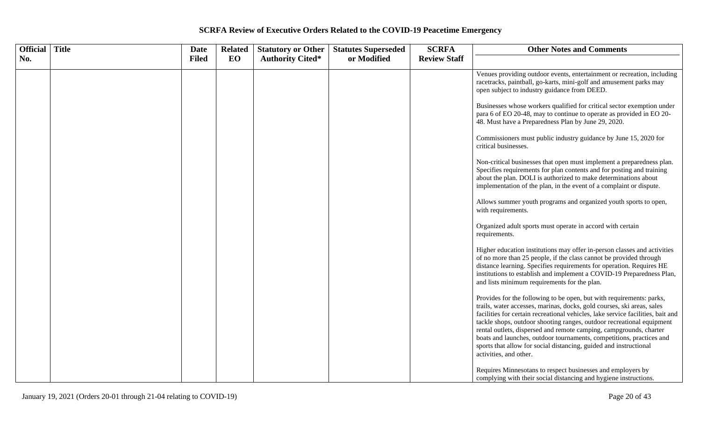| Official | <b>Title</b> | Date         | <b>Related</b> | <b>Statutory or Other</b> | <b>Statutes Superseded</b> | <b>SCRFA</b>        | <b>Other Notes and Comments</b>                                                                                                                                                                                                                                                                                                                                                                                                                                                                                                                         |
|----------|--------------|--------------|----------------|---------------------------|----------------------------|---------------------|---------------------------------------------------------------------------------------------------------------------------------------------------------------------------------------------------------------------------------------------------------------------------------------------------------------------------------------------------------------------------------------------------------------------------------------------------------------------------------------------------------------------------------------------------------|
| No.      |              | <b>Filed</b> | EO             | <b>Authority Cited*</b>   | or Modified                | <b>Review Staff</b> |                                                                                                                                                                                                                                                                                                                                                                                                                                                                                                                                                         |
|          |              |              |                |                           |                            |                     | Venues providing outdoor events, entertainment or recreation, including<br>racetracks, paintball, go-karts, mini-golf and amusement parks may<br>open subject to industry guidance from DEED.                                                                                                                                                                                                                                                                                                                                                           |
|          |              |              |                |                           |                            |                     | Businesses whose workers qualified for critical sector exemption under<br>para 6 of EO 20-48, may to continue to operate as provided in EO 20-<br>48. Must have a Preparedness Plan by June 29, 2020.                                                                                                                                                                                                                                                                                                                                                   |
|          |              |              |                |                           |                            |                     | Commissioners must public industry guidance by June 15, 2020 for<br>critical businesses.                                                                                                                                                                                                                                                                                                                                                                                                                                                                |
|          |              |              |                |                           |                            |                     | Non-critical businesses that open must implement a preparedness plan.<br>Specifies requirements for plan contents and for posting and training<br>about the plan. DOLI is authorized to make determinations about<br>implementation of the plan, in the event of a complaint or dispute.                                                                                                                                                                                                                                                                |
|          |              |              |                |                           |                            |                     | Allows summer youth programs and organized youth sports to open,<br>with requirements.                                                                                                                                                                                                                                                                                                                                                                                                                                                                  |
|          |              |              |                |                           |                            |                     | Organized adult sports must operate in accord with certain<br>requirements.                                                                                                                                                                                                                                                                                                                                                                                                                                                                             |
|          |              |              |                |                           |                            |                     | Higher education institutions may offer in-person classes and activities<br>of no more than 25 people, if the class cannot be provided through<br>distance learning. Specifies requirements for operation. Requires HE<br>institutions to establish and implement a COVID-19 Preparedness Plan,<br>and lists minimum requirements for the plan.                                                                                                                                                                                                         |
|          |              |              |                |                           |                            |                     | Provides for the following to be open, but with requirements: parks,<br>trails, water accesses, marinas, docks, gold courses, ski areas, sales<br>facilities for certain recreational vehicles, lake service facilities, bait and<br>tackle shops, outdoor shooting ranges, outdoor recreational equipment<br>rental outlets, dispersed and remote camping, campgrounds, charter<br>boats and launches, outdoor tournaments, competitions, practices and<br>sports that allow for social distancing, guided and instructional<br>activities, and other. |
|          |              |              |                |                           |                            |                     | Requires Minnesotans to respect businesses and employers by<br>complying with their social distancing and hygiene instructions.                                                                                                                                                                                                                                                                                                                                                                                                                         |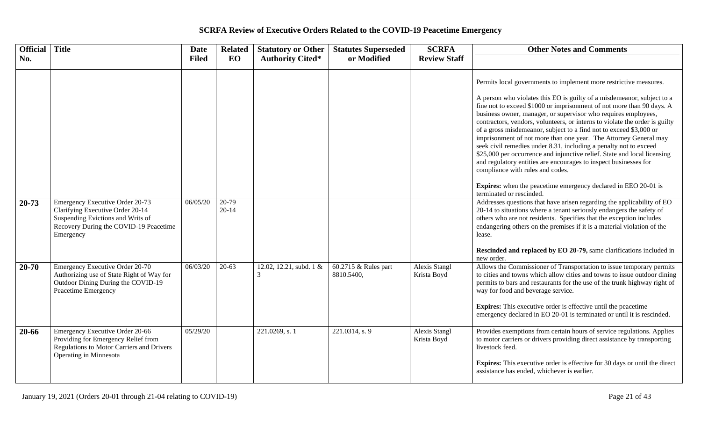| Official Title |                                                                                                                                                                 | <b>Date</b>  | <b>Related</b>       | <b>Statutory or Other</b>    | <b>Statutes Superseded</b>         | <b>SCRFA</b>                 | <b>Other Notes and Comments</b>                                                                                                                                                                                                                                                                                                                                                                                                                                                                                                                                                                                                                                                                                                                                                                                                                                               |
|----------------|-----------------------------------------------------------------------------------------------------------------------------------------------------------------|--------------|----------------------|------------------------------|------------------------------------|------------------------------|-------------------------------------------------------------------------------------------------------------------------------------------------------------------------------------------------------------------------------------------------------------------------------------------------------------------------------------------------------------------------------------------------------------------------------------------------------------------------------------------------------------------------------------------------------------------------------------------------------------------------------------------------------------------------------------------------------------------------------------------------------------------------------------------------------------------------------------------------------------------------------|
| No.            |                                                                                                                                                                 | <b>Filed</b> | EO                   | <b>Authority Cited*</b>      | or Modified                        | <b>Review Staff</b>          |                                                                                                                                                                                                                                                                                                                                                                                                                                                                                                                                                                                                                                                                                                                                                                                                                                                                               |
|                |                                                                                                                                                                 |              |                      |                              |                                    |                              | Permits local governments to implement more restrictive measures.<br>A person who violates this EO is guilty of a misdemeanor, subject to a<br>fine not to exceed \$1000 or imprisonment of not more than 90 days. A<br>business owner, manager, or supervisor who requires employees,<br>contractors, vendors, volunteers, or interns to violate the order is guilty<br>of a gross misdemeanor, subject to a find not to exceed \$3,000 or<br>imprisonment of not more than one year. The Attorney General may<br>seek civil remedies under 8.31, including a penalty not to exceed<br>\$25,000 per occurrence and injunctive relief. State and local licensing<br>and regulatory entities are encourages to inspect businesses for<br>compliance with rules and codes.<br><b>Expires:</b> when the peacetime emergency declared in EEO 20-01 is<br>terminated or rescinded. |
| 20-73          | Emergency Executive Order 20-73<br>Clarifying Executive Order 20-14<br>Suspending Evictions and Writs of<br>Recovery During the COVID-19 Peacetime<br>Emergency | 06/05/20     | $20-79$<br>$20 - 14$ |                              |                                    |                              | Addresses questions that have arisen regarding the applicability of EO<br>20-14 to situations where a tenant seriously endangers the safety of<br>others who are not residents. Specifies that the exception includes<br>endangering others on the premises if it is a material violation of the<br>lease.<br>Rescinded and replaced by EO 20-79, same clarifications included in                                                                                                                                                                                                                                                                                                                                                                                                                                                                                             |
| $20 - 70$      | <b>Emergency Executive Order 20-70</b><br>Authorizing use of State Right of Way for<br>Outdoor Dining During the COVID-19<br>Peacetime Emergency                | 06/03/20     | $20 - 63$            | 12.02, 12.21, subd. 1 &<br>3 | 60.2715 & Rules part<br>8810.5400, | Alexis Stangl<br>Krista Boyd | new order.<br>Allows the Commissioner of Transportation to issue temporary permits<br>to cities and towns which allow cities and towns to issue outdoor dining<br>permits to bars and restaurants for the use of the trunk highway right of<br>way for food and beverage service.<br><b>Expires:</b> This executive order is effective until the peacetime<br>emergency declared in EO 20-01 is terminated or until it is rescinded.                                                                                                                                                                                                                                                                                                                                                                                                                                          |
| 20-66          | Emergency Executive Order 20-66<br>Providing for Emergency Relief from<br>Regulations to Motor Carriers and Drivers<br>Operating in Minnesota                   | 05/29/20     |                      | 221.0269, s. 1               | 221.0314, s. 9                     | Alexis Stangl<br>Krista Boyd | Provides exemptions from certain hours of service regulations. Applies<br>to motor carriers or drivers providing direct assistance by transporting<br>livestock feed.<br><b>Expires:</b> This executive order is effective for 30 days or until the direct<br>assistance has ended, whichever is earlier.                                                                                                                                                                                                                                                                                                                                                                                                                                                                                                                                                                     |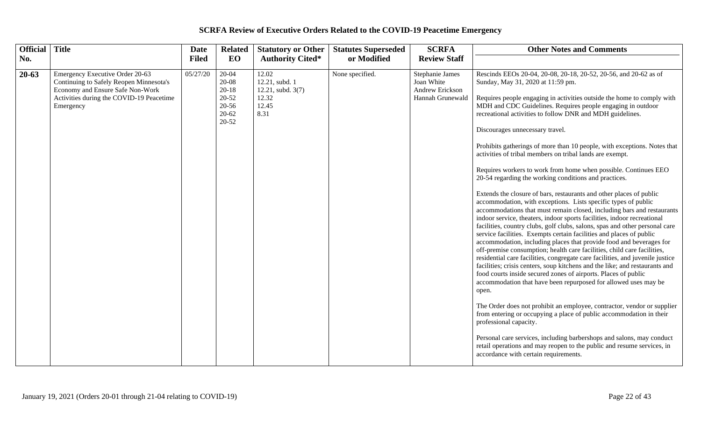| <b>Official</b> | <b>Title</b>                                                                                                                                                            | <b>Date</b>  | <b>Related</b>                                                      | <b>Statutory or Other</b>                                                | <b>Statutes Superseded</b> | <b>SCRFA</b>                                                         | <b>Other Notes and Comments</b>                                                                                                                                                                                                                                                                                                                                                                                                                                                                                                                                                                                                                                                                                                                                                                                                                                                                                                                                                                                                                                                                                                                                                                                                                                                                                                                                                                                                                                                                                                                                                                                                                                                                                                                                                                                                                                                                                |
|-----------------|-------------------------------------------------------------------------------------------------------------------------------------------------------------------------|--------------|---------------------------------------------------------------------|--------------------------------------------------------------------------|----------------------------|----------------------------------------------------------------------|----------------------------------------------------------------------------------------------------------------------------------------------------------------------------------------------------------------------------------------------------------------------------------------------------------------------------------------------------------------------------------------------------------------------------------------------------------------------------------------------------------------------------------------------------------------------------------------------------------------------------------------------------------------------------------------------------------------------------------------------------------------------------------------------------------------------------------------------------------------------------------------------------------------------------------------------------------------------------------------------------------------------------------------------------------------------------------------------------------------------------------------------------------------------------------------------------------------------------------------------------------------------------------------------------------------------------------------------------------------------------------------------------------------------------------------------------------------------------------------------------------------------------------------------------------------------------------------------------------------------------------------------------------------------------------------------------------------------------------------------------------------------------------------------------------------------------------------------------------------------------------------------------------------|
| No.             |                                                                                                                                                                         | <b>Filed</b> | EO                                                                  | <b>Authority Cited*</b>                                                  | or Modified                | <b>Review Staff</b>                                                  |                                                                                                                                                                                                                                                                                                                                                                                                                                                                                                                                                                                                                                                                                                                                                                                                                                                                                                                                                                                                                                                                                                                                                                                                                                                                                                                                                                                                                                                                                                                                                                                                                                                                                                                                                                                                                                                                                                                |
| $20 - 63$       | Emergency Executive Order 20-63<br>Continuing to Safely Reopen Minnesota's<br>Economy and Ensure Safe Non-Work<br>Activities during the COVID-19 Peacetime<br>Emergency | 05/27/20     | 20-04<br>20-08<br>$20 - 18$<br>20-52<br>20-56<br>$20 - 62$<br>20-52 | 12.02<br>12.21, subd. 1<br>12.21, subd. $3(7)$<br>12.32<br>12.45<br>8.31 | None specified.            | Stephanie James<br>Joan White<br>Andrew Erickson<br>Hannah Grunewald | Rescinds EEOs 20-04, 20-08, 20-18, 20-52, 20-56, and 20-62 as of<br>Sunday, May 31, 2020 at 11:59 pm.<br>Requires people engaging in activities outside the home to comply with<br>MDH and CDC Guidelines. Requires people engaging in outdoor<br>recreational activities to follow DNR and MDH guidelines.<br>Discourages unnecessary travel.<br>Prohibits gatherings of more than 10 people, with exceptions. Notes that<br>activities of tribal members on tribal lands are exempt.<br>Requires workers to work from home when possible. Continues EEO<br>20-54 regarding the working conditions and practices.<br>Extends the closure of bars, restaurants and other places of public<br>accommodation, with exceptions. Lists specific types of public<br>accommodations that must remain closed, including bars and restaurants<br>indoor service, theaters, indoor sports facilities, indoor recreational<br>facilities, country clubs, golf clubs, salons, spas and other personal care<br>service facilities. Exempts certain facilities and places of public<br>accommodation, including places that provide food and beverages for<br>off-premise consumption; health care facilities, child care facilities,<br>residential care facilities, congregate care facilities, and juvenile justice<br>facilities; crisis centers, soup kitchens and the like; and restaurants and<br>food courts inside secured zones of airports. Places of public<br>accommodation that have been repurposed for allowed uses may be<br>open.<br>The Order does not prohibit an employee, contractor, vendor or supplier<br>from entering or occupying a place of public accommodation in their<br>professional capacity.<br>Personal care services, including barbershops and salons, may conduct<br>retail operations and may reopen to the public and resume services, in<br>accordance with certain requirements. |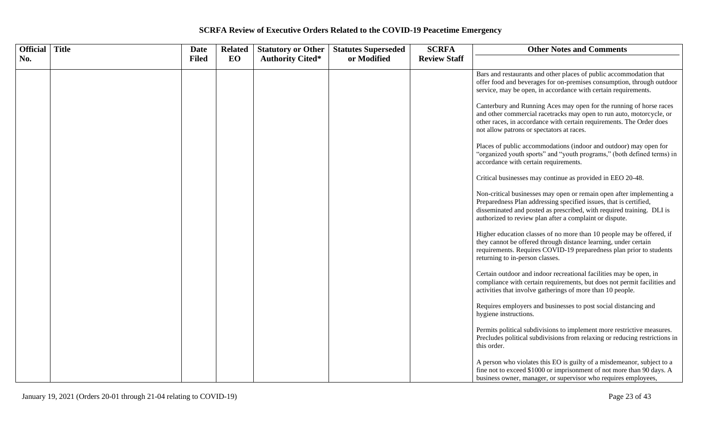| Official   Title | Date         | <b>Related</b> | <b>Statutory or Other</b> | <b>Statutes Superseded</b> | <b>SCRFA</b>        | <b>Other Notes and Comments</b>                                                                                                                                                                                                                                               |
|------------------|--------------|----------------|---------------------------|----------------------------|---------------------|-------------------------------------------------------------------------------------------------------------------------------------------------------------------------------------------------------------------------------------------------------------------------------|
| No.              | <b>Filed</b> | EO             | <b>Authority Cited*</b>   | or Modified                | <b>Review Staff</b> |                                                                                                                                                                                                                                                                               |
|                  |              |                |                           |                            |                     | Bars and restaurants and other places of public accommodation that<br>offer food and beverages for on-premises consumption, through outdoor<br>service, may be open, in accordance with certain requirements.                                                                 |
|                  |              |                |                           |                            |                     | Canterbury and Running Aces may open for the running of horse races<br>and other commercial racetracks may open to run auto, motorcycle, or<br>other races, in accordance with certain requirements. The Order does<br>not allow patrons or spectators at races.              |
|                  |              |                |                           |                            |                     | Places of public accommodations (indoor and outdoor) may open for<br>"organized youth sports" and "youth programs," (both defined terms) in<br>accordance with certain requirements.                                                                                          |
|                  |              |                |                           |                            |                     | Critical businesses may continue as provided in EEO 20-48.                                                                                                                                                                                                                    |
|                  |              |                |                           |                            |                     | Non-critical businesses may open or remain open after implementing a<br>Preparedness Plan addressing specified issues, that is certified,<br>disseminated and posted as prescribed, with required training. DLI is<br>authorized to review plan after a complaint or dispute. |
|                  |              |                |                           |                            |                     | Higher education classes of no more than 10 people may be offered, if<br>they cannot be offered through distance learning, under certain<br>requirements. Requires COVID-19 preparedness plan prior to students<br>returning to in-person classes.                            |
|                  |              |                |                           |                            |                     | Certain outdoor and indoor recreational facilities may be open, in<br>compliance with certain requirements, but does not permit facilities and<br>activities that involve gatherings of more than 10 people.                                                                  |
|                  |              |                |                           |                            |                     | Requires employers and businesses to post social distancing and<br>hygiene instructions.                                                                                                                                                                                      |
|                  |              |                |                           |                            |                     | Permits political subdivisions to implement more restrictive measures.<br>Precludes political subdivisions from relaxing or reducing restrictions in<br>this order.                                                                                                           |
|                  |              |                |                           |                            |                     | A person who violates this EO is guilty of a misdemeanor, subject to a<br>fine not to exceed \$1000 or imprisonment of not more than 90 days. A<br>business owner, manager, or supervisor who requires employees,                                                             |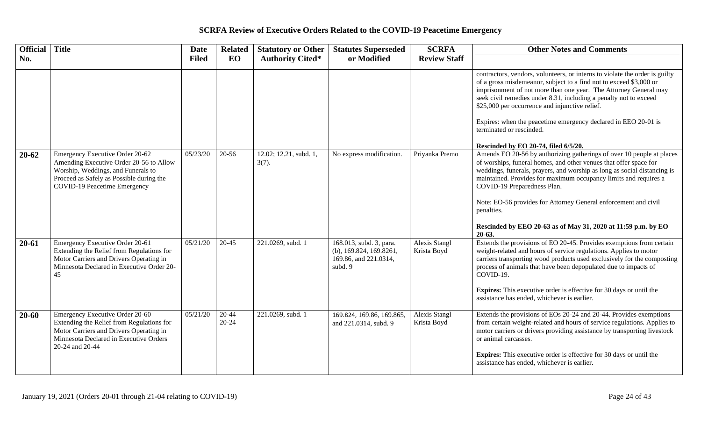| Official Title |                                                                                                                                                                                              | Date         | <b>Related</b>         | <b>Statutory or Other</b>          | <b>Statutes Superseded</b>                                                               | <b>SCRFA</b>                 | <b>Other Notes and Comments</b>                                                                                                                                                                                                                                                                                                                                                                                                                                                         |
|----------------|----------------------------------------------------------------------------------------------------------------------------------------------------------------------------------------------|--------------|------------------------|------------------------------------|------------------------------------------------------------------------------------------|------------------------------|-----------------------------------------------------------------------------------------------------------------------------------------------------------------------------------------------------------------------------------------------------------------------------------------------------------------------------------------------------------------------------------------------------------------------------------------------------------------------------------------|
| No.            |                                                                                                                                                                                              | <b>Filed</b> | EO                     | <b>Authority Cited*</b>            | or Modified                                                                              | <b>Review Staff</b>          |                                                                                                                                                                                                                                                                                                                                                                                                                                                                                         |
|                |                                                                                                                                                                                              |              |                        |                                    |                                                                                          |                              | contractors, vendors, volunteers, or interns to violate the order is guilty<br>of a gross misdemeanor, subject to a find not to exceed \$3,000 or<br>imprisonment of not more than one year. The Attorney General may<br>seek civil remedies under 8.31, including a penalty not to exceed<br>\$25,000 per occurrence and injunctive relief.<br>Expires: when the peacetime emergency declared in EEO 20-01 is<br>terminated or rescinded.<br>Rescinded by EO 20-74, filed 6/5/20.      |
| $20 - 62$      | Emergency Executive Order 20-62<br>Amending Executive Order 20-56 to Allow<br>Worship, Weddings, and Funerals to<br>Proceed as Safely as Possible during the<br>COVID-19 Peacetime Emergency | 05/23/20     | 20-56                  | 12.02; 12.21, subd. 1,<br>$3(7)$ . | No express modification.                                                                 | Priyanka Premo               | Amends EO 20-56 by authorizing gatherings of over 10 people at places<br>of worships, funeral homes, and other venues that offer space for<br>weddings, funerals, prayers, and worship as long as social distancing is<br>maintained. Provides for maximum occupancy limits and requires a<br>COVID-19 Preparedness Plan.<br>Note: EO-56 provides for Attorney General enforcement and civil<br>penalties.<br>Rescinded by EEO 20-63 as of May 31, 2020 at 11:59 p.m. by EO<br>$20-63.$ |
| $20 - 61$      | Emergency Executive Order 20-61<br>Extending the Relief from Regulations for<br>Motor Carriers and Drivers Operating in<br>Minnesota Declared in Executive Order 20-<br>45                   | 05/21/20     | $20 - 45$              | 221.0269, subd. 1                  | 168.013, subd. 3, para.<br>(b), $169.824, 169.8261,$<br>169.86, and 221.0314,<br>subd. 9 | Alexis Stangl<br>Krista Boyd | Extends the provisions of EO 20-45. Provides exemptions from certain<br>weight-related and hours of service regulations. Applies to motor<br>carriers transporting wood products used exclusively for the composting<br>process of animals that have been depopulated due to impacts of<br>COVID-19.<br>Expires: This executive order is effective for 30 days or until the<br>assistance has ended, whichever is earlier.                                                              |
| $20 - 60$      | Emergency Executive Order 20-60<br>Extending the Relief from Regulations for<br>Motor Carriers and Drivers Operating in<br>Minnesota Declared in Executive Orders<br>20-24 and 20-44         | 05/21/20     | $20 - 44$<br>$20 - 24$ | 221.0269, subd. 1                  | 169.824, 169.86, 169.865,<br>and 221.0314, subd. 9                                       | Alexis Stangl<br>Krista Boyd | Extends the provisions of EOs 20-24 and 20-44. Provides exemptions<br>from certain weight-related and hours of service regulations. Applies to<br>motor carriers or drivers providing assistance by transporting livestock<br>or animal carcasses.<br><b>Expires:</b> This executive order is effective for 30 days or until the<br>assistance has ended, whichever is earlier.                                                                                                         |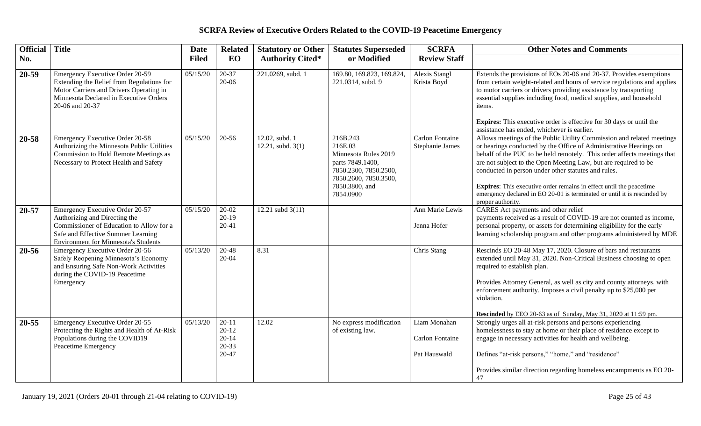| Official Title |                                                                                                                                                                                                   | <b>Date</b>  | <b>Related</b>                                            | <b>Statutory or Other</b>           | <b>Statutes Superseded</b>                                                                                                                       | <b>SCRFA</b>                                    | <b>Other Notes and Comments</b>                                                                                                                                                                                                                                                                                                                                                                                                                                                                                                |
|----------------|---------------------------------------------------------------------------------------------------------------------------------------------------------------------------------------------------|--------------|-----------------------------------------------------------|-------------------------------------|--------------------------------------------------------------------------------------------------------------------------------------------------|-------------------------------------------------|--------------------------------------------------------------------------------------------------------------------------------------------------------------------------------------------------------------------------------------------------------------------------------------------------------------------------------------------------------------------------------------------------------------------------------------------------------------------------------------------------------------------------------|
| No.            |                                                                                                                                                                                                   | <b>Filed</b> | EO                                                        | <b>Authority Cited*</b>             | or Modified                                                                                                                                      | <b>Review Staff</b>                             |                                                                                                                                                                                                                                                                                                                                                                                                                                                                                                                                |
| $20 - 59$      | Emergency Executive Order 20-59<br>Extending the Relief from Regulations for<br>Motor Carriers and Drivers Operating in<br>Minnesota Declared in Executive Orders<br>20-06 and 20-37              | 05/15/20     | $20 - 37$<br>20-06                                        | 221.0269, subd. 1                   | 169.80, 169.823, 169.824,<br>221.0314, subd. 9                                                                                                   | Alexis Stangl<br>Krista Boyd                    | Extends the provisions of EOs 20-06 and 20-37. Provides exemptions<br>from certain weight-related and hours of service regulations and applies<br>to motor carriers or drivers providing assistance by transporting<br>essential supplies including food, medical supplies, and household<br>items.<br><b>Expires:</b> This executive order is effective for 30 days or until the<br>assistance has ended, whichever is earlier.                                                                                               |
| 20-58          | <b>Emergency Executive Order 20-58</b><br>Authorizing the Minnesota Public Utilities<br>Commission to Hold Remote Meetings as<br>Necessary to Protect Health and Safety                           | 05/15/20     | $20 - 56$                                                 | 12.02, subd. 1<br>12.21, subd. 3(1) | 216B.243<br>216E.03<br>Minnesota Rules 2019<br>parts 7849.1400,<br>7850.2300, 7850.2500,<br>7850.2600, 7850.3500,<br>7850.3800, and<br>7854.0900 | <b>Carlon Fontaine</b><br>Stephanie James       | Allows meetings of the Public Utility Commission and related meetings<br>or hearings conducted by the Office of Administrative Hearings on<br>behalf of the PUC to be held remotely. This order affects meetings that<br>are not subject to the Open Meeting Law, but are required to be<br>conducted in person under other statutes and rules.<br><b>Expires:</b> This executive order remains in effect until the peacetime<br>emergency declared in EO 20-01 is terminated or until it is rescinded by<br>proper authority. |
| 20-57          | Emergency Executive Order 20-57<br>Authorizing and Directing the<br>Commissioner of Education to Allow for a<br>Safe and Effective Summer Learning<br><b>Environment for Minnesota's Students</b> | 05/15/20     | $20-02$<br>$20-19$<br>$20 - 41$                           | 12.21 subd $3(11)$                  |                                                                                                                                                  | Ann Marie Lewis<br>Jenna Hofer                  | CARES Act payments and other relief<br>payments received as a result of COVID-19 are not counted as income,<br>personal property, or assets for determining eligibility for the early<br>learning scholarship program and other programs administered by MDE                                                                                                                                                                                                                                                                   |
| 20-56          | Emergency Executive Order 20-56<br>Safely Reopening Minnesota's Economy<br>and Ensuring Safe Non-Work Activities<br>during the COVID-19 Peacetime<br>Emergency                                    | 05/13/20     | 20-48<br>$20 - 04$                                        | 8.31                                |                                                                                                                                                  | Chris Stang                                     | Rescinds EO 20-48 May 17, 2020. Closure of bars and restaurants<br>extended until May 31, 2020. Non-Critical Business choosing to open<br>required to establish plan.<br>Provides Attorney General, as well as city and county attorneys, with<br>enforcement authority. Imposes a civil penalty up to \$25,000 per<br>violation.<br>Rescinded by EEO 20-63 as of Sunday, May 31, 2020 at 11:59 pm.                                                                                                                            |
| $20 - 55$      | Emergency Executive Order 20-55<br>Protecting the Rights and Health of At-Risk<br>Populations during the COVID19<br>Peacetime Emergency                                                           | 05/13/20     | $20 - 11$<br>$20 - 12$<br>$20 - 14$<br>$20 - 33$<br>20-47 | 12.02                               | No express modification<br>of existing law.                                                                                                      | Liam Monahan<br>Carlon Fontaine<br>Pat Hauswald | Strongly urges all at-risk persons and persons experiencing<br>homelessness to stay at home or their place of residence except to<br>engage in necessary activities for health and wellbeing.<br>Defines "at-risk persons," "home," and "residence"<br>Provides similar direction regarding homeless encampments as EO 20-<br>47                                                                                                                                                                                               |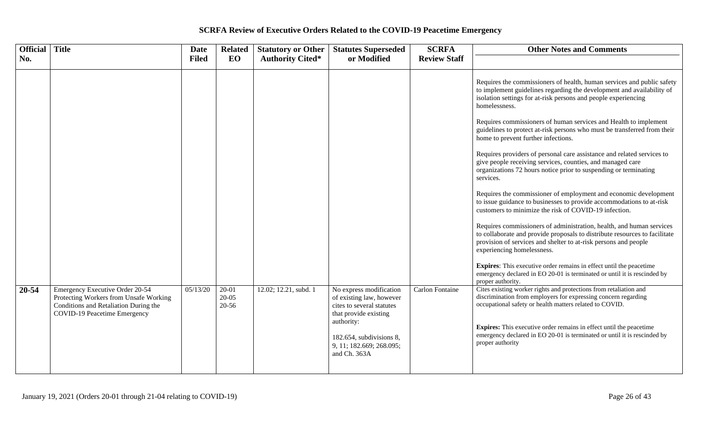| <b>Official</b> Title |                                                                                                                                                    | <b>Date</b>  | <b>Related</b>                | <b>Statutory or Other</b> | <b>Statutes Superseded</b>                                                                                                                                                                      | <b>SCRFA</b>           | <b>Other Notes and Comments</b>                                                                                                                                                                                                                                                                                                                                                                                                                                                                                                                                                                                                                                                                                                                                                                                                                                                                                                                                                                                                                                                                                                                                                                                                                                                               |
|-----------------------|----------------------------------------------------------------------------------------------------------------------------------------------------|--------------|-------------------------------|---------------------------|-------------------------------------------------------------------------------------------------------------------------------------------------------------------------------------------------|------------------------|-----------------------------------------------------------------------------------------------------------------------------------------------------------------------------------------------------------------------------------------------------------------------------------------------------------------------------------------------------------------------------------------------------------------------------------------------------------------------------------------------------------------------------------------------------------------------------------------------------------------------------------------------------------------------------------------------------------------------------------------------------------------------------------------------------------------------------------------------------------------------------------------------------------------------------------------------------------------------------------------------------------------------------------------------------------------------------------------------------------------------------------------------------------------------------------------------------------------------------------------------------------------------------------------------|
| No.                   |                                                                                                                                                    | <b>Filed</b> | EO                            | <b>Authority Cited*</b>   | or Modified                                                                                                                                                                                     | <b>Review Staff</b>    |                                                                                                                                                                                                                                                                                                                                                                                                                                                                                                                                                                                                                                                                                                                                                                                                                                                                                                                                                                                                                                                                                                                                                                                                                                                                                               |
|                       |                                                                                                                                                    |              |                               |                           |                                                                                                                                                                                                 |                        | Requires the commissioners of health, human services and public safety<br>to implement guidelines regarding the development and availability of<br>isolation settings for at-risk persons and people experiencing<br>homelessness.<br>Requires commissioners of human services and Health to implement<br>guidelines to protect at-risk persons who must be transferred from their<br>home to prevent further infections.<br>Requires providers of personal care assistance and related services to<br>give people receiving services, counties, and managed care<br>organizations 72 hours notice prior to suspending or terminating<br>services.<br>Requires the commissioner of employment and economic development<br>to issue guidance to businesses to provide accommodations to at-risk<br>customers to minimize the risk of COVID-19 infection.<br>Requires commissioners of administration, health, and human services<br>to collaborate and provide proposals to distribute resources to facilitate<br>provision of services and shelter to at-risk persons and people<br>experiencing homelessness.<br><b>Expires:</b> This executive order remains in effect until the peacetime<br>emergency declared in EO 20-01 is terminated or until it is rescinded by<br>proper authority. |
| 20-54                 | Emergency Executive Order 20-54<br>Protecting Workers from Unsafe Working<br>Conditions and Retaliation During the<br>COVID-19 Peacetime Emergency | 05/13/20     | $20 - 01$<br>$20-05$<br>20-56 | 12.02; 12.21, subd. 1     | No express modification<br>of existing law, however<br>cites to several statutes<br>that provide existing<br>authority:<br>182.654, subdivisions 8,<br>9, 11; 182.669; 268.095;<br>and Ch. 363A | <b>Carlon Fontaine</b> | Cites existing worker rights and protections from retaliation and<br>discrimination from employers for expressing concern regarding<br>occupational safety or health matters related to COVID.<br>Expires: This executive order remains in effect until the peacetime<br>emergency declared in EO 20-01 is terminated or until it is rescinded by<br>proper authority                                                                                                                                                                                                                                                                                                                                                                                                                                                                                                                                                                                                                                                                                                                                                                                                                                                                                                                         |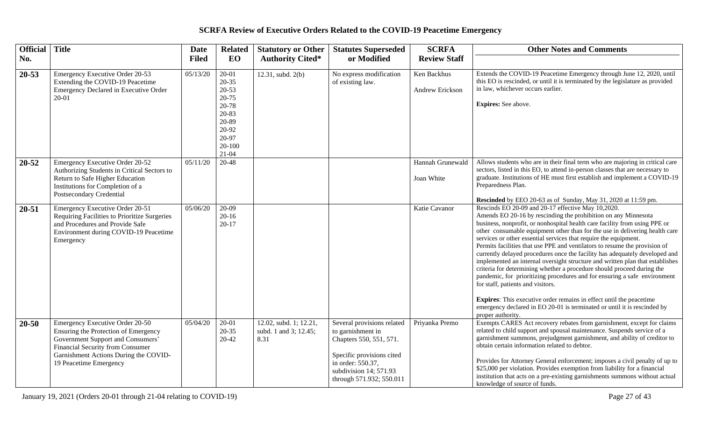| Official  | <b>Title</b>                                                                                                                                                                                                        | <b>Date</b>  | <b>Related</b>                                                                                                       | <b>Statutory or Other</b>                               | <b>Statutes Superseded</b>                                                                                                                                                         | <b>SCRFA</b>                   | <b>Other Notes and Comments</b>                                                                                                                                                                                                                                                                                                                                                                                                                                                                                                                                                                                                                                                                                                                                                                                                                                                                                                                                                |
|-----------|---------------------------------------------------------------------------------------------------------------------------------------------------------------------------------------------------------------------|--------------|----------------------------------------------------------------------------------------------------------------------|---------------------------------------------------------|------------------------------------------------------------------------------------------------------------------------------------------------------------------------------------|--------------------------------|--------------------------------------------------------------------------------------------------------------------------------------------------------------------------------------------------------------------------------------------------------------------------------------------------------------------------------------------------------------------------------------------------------------------------------------------------------------------------------------------------------------------------------------------------------------------------------------------------------------------------------------------------------------------------------------------------------------------------------------------------------------------------------------------------------------------------------------------------------------------------------------------------------------------------------------------------------------------------------|
| No.       |                                                                                                                                                                                                                     | <b>Filed</b> | EO                                                                                                                   | <b>Authority Cited*</b>                                 | or Modified                                                                                                                                                                        | <b>Review Staff</b>            |                                                                                                                                                                                                                                                                                                                                                                                                                                                                                                                                                                                                                                                                                                                                                                                                                                                                                                                                                                                |
| $20 - 53$ | Emergency Executive Order 20-53<br>Extending the COVID-19 Peacetime<br>Emergency Declared in Executive Order<br>$20 - 01$                                                                                           | 05/13/20     | $20 - 01$<br>$20 - 35$<br>$20 - 53$<br>$20 - 75$<br>20-78<br>20-83<br>20-89<br>20-92<br>20-97<br>20-100<br>$21 - 04$ | 12.31, subd. 2(b)                                       | No express modification<br>of existing law.                                                                                                                                        | Ken Backhus<br>Andrew Erickson | Extends the COVID-19 Peacetime Emergency through June 12, 2020, until<br>this EO is rescinded, or until it is terminated by the legislature as provided<br>in law, whichever occurs earlier.<br>Expires: See above.                                                                                                                                                                                                                                                                                                                                                                                                                                                                                                                                                                                                                                                                                                                                                            |
| 20-52     | Emergency Executive Order 20-52<br>Authorizing Students in Critical Sectors to<br>Return to Safe Higher Education<br>Institutions for Completion of a<br><b>Postsecondary Credential</b>                            | 05/11/20     | 20-48                                                                                                                |                                                         |                                                                                                                                                                                    | Hannah Grunewald<br>Joan White | Allows students who are in their final term who are majoring in critical care<br>sectors, listed in this EO, to attend in-person classes that are necessary to<br>graduate. Institutions of HE must first establish and implement a COVID-19<br>Preparedness Plan.<br>Rescinded by EEO 20-63 as of Sunday, May 31, 2020 at 11:59 pm.                                                                                                                                                                                                                                                                                                                                                                                                                                                                                                                                                                                                                                           |
| $20 - 51$ | Emergency Executive Order 20-51<br>Requiring Facilities to Prioritize Surgeries<br>and Procedures and Provide Safe<br>Environment during COVID-19 Peacetime<br>Emergency                                            | 05/06/20     | 20-09<br>$20 - 16$<br>$20 - 17$                                                                                      |                                                         |                                                                                                                                                                                    | Katie Cavanor                  | Rescinds EO 20-09 and 20-17 effective May 10,2020.<br>Amends EO 20-16 by rescinding the prohibition on any Minnesota<br>business, nonprofit, or nonhospital health care facility from using PPE or<br>other consumable equipment other than for the use in delivering health care<br>services or other essential services that require the equipment.<br>Permits facilities that use PPE and ventilators to resume the provision of<br>currently delayed procedures once the facility has adequately developed and<br>implemented an internal oversight structure and written plan that establishes<br>criteria for determining whether a procedure should proceed during the<br>pandemic, for prioritizing procedures and for ensuring a safe environment<br>for staff, patients and visitors.<br><b>Expires:</b> This executive order remains in effect until the peacetime<br>emergency declared in EO 20-01 is terminated or until it is rescinded by<br>proper authority. |
| $20 - 50$ | Emergency Executive Order 20-50<br>Ensuring the Protection of Emergency<br>Government Support and Consumers'<br>Financial Security from Consumer<br>Garnishment Actions During the COVID-<br>19 Peacetime Emergency | 05/04/20     | $20 - 01$<br>$20 - 35$<br>20-42                                                                                      | 12.02, subd. 1; 12.21,<br>subd. 1 and 3; 12.45;<br>8.31 | Several provisions related<br>to garnishment in<br>Chapters 550, 551, 571.<br>Specific provisions cited<br>in order: 550.37,<br>subdivision 14; 571.93<br>through 571.932; 550.011 | Priyanka Premo                 | Exempts CARES Act recovery rebates from garnishment, except for claims<br>related to child support and spousal maintenance. Suspends service of a<br>garnishment summons, prejudgment garnishment, and ability of creditor to<br>obtain certain information related to debtor.<br>Provides for Attorney General enforcement; imposes a civil penalty of up to<br>\$25,000 per violation. Provides exemption from liability for a financial<br>institution that acts on a pre-existing garnishments summons without actual<br>knowledge of source of funds.                                                                                                                                                                                                                                                                                                                                                                                                                     |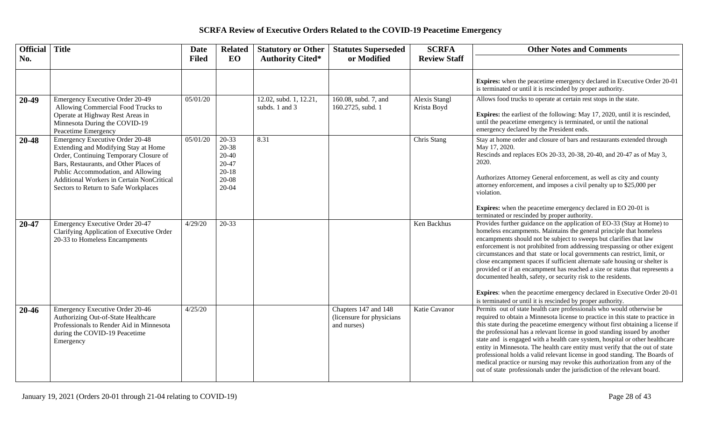| Official | <b>Title</b>                                                                                                                                                                                                                                                                                  | Date         | <b>Related</b>                                                              | <b>Statutory or Other</b>                | <b>Statutes Superseded</b>                                        | <b>SCRFA</b>                        | <b>Other Notes and Comments</b>                                                                                                                                                                                                                                                                                                                                                                                                                                                                                                                                                                                                                                                                                                                                                                                |
|----------|-----------------------------------------------------------------------------------------------------------------------------------------------------------------------------------------------------------------------------------------------------------------------------------------------|--------------|-----------------------------------------------------------------------------|------------------------------------------|-------------------------------------------------------------------|-------------------------------------|----------------------------------------------------------------------------------------------------------------------------------------------------------------------------------------------------------------------------------------------------------------------------------------------------------------------------------------------------------------------------------------------------------------------------------------------------------------------------------------------------------------------------------------------------------------------------------------------------------------------------------------------------------------------------------------------------------------------------------------------------------------------------------------------------------------|
| No.      |                                                                                                                                                                                                                                                                                               | <b>Filed</b> | EO                                                                          | <b>Authority Cited*</b>                  | or Modified                                                       | <b>Review Staff</b>                 |                                                                                                                                                                                                                                                                                                                                                                                                                                                                                                                                                                                                                                                                                                                                                                                                                |
|          |                                                                                                                                                                                                                                                                                               |              |                                                                             |                                          |                                                                   |                                     | Expires: when the peacetime emergency declared in Executive Order 20-01<br>is terminated or until it is rescinded by proper authority.                                                                                                                                                                                                                                                                                                                                                                                                                                                                                                                                                                                                                                                                         |
| 20-49    | Emergency Executive Order 20-49<br>Allowing Commercial Food Trucks to<br>Operate at Highway Rest Areas in<br>Minnesota During the COVID-19<br>Peacetime Emergency                                                                                                                             | 05/01/20     |                                                                             | 12.02, subd. 1, 12.21,<br>subds. 1 and 3 | 160.08, subd. $7, \overline{and}$<br>160.2725, subd. 1            | <b>Alexis Stangl</b><br>Krista Boyd | Allows food trucks to operate at certain rest stops in the state.<br><b>Expires:</b> the earliest of the following: May 17, 2020, until it is rescinded,<br>until the peacetime emergency is terminated, or until the national<br>emergency declared by the President ends.                                                                                                                                                                                                                                                                                                                                                                                                                                                                                                                                    |
| 20-48    | <b>Emergency Executive Order 20-48</b><br>Extending and Modifying Stay at Home<br>Order, Continuing Temporary Closure of<br>Bars, Restaurants, and Other Places of<br>Public Accommodation, and Allowing<br>Additional Workers in Certain NonCritical<br>Sectors to Return to Safe Workplaces | 05/01/20     | $20-33$<br>20-38<br>$20 - 40$<br>20-47<br>$20 - 18$<br>$20-08$<br>$20 - 04$ | 8.31                                     |                                                                   | Chris Stang                         | Stay at home order and closure of bars and restaurants extended through<br>May 17, 2020.<br>Rescinds and replaces EOs 20-33, 20-38, 20-40, and 20-47 as of May 3,<br>2020.<br>Authorizes Attorney General enforcement, as well as city and county<br>attorney enforcement, and imposes a civil penalty up to \$25,000 per<br>violation.<br><b>Expires:</b> when the peacetime emergency declared in EO 20-01 is                                                                                                                                                                                                                                                                                                                                                                                                |
| 20-47    | Emergency Executive Order 20-47<br>Clarifying Application of Executive Order<br>20-33 to Homeless Encampments                                                                                                                                                                                 | 4/29/20      | 20-33                                                                       |                                          |                                                                   | Ken Backhus                         | terminated or rescinded by proper authority.<br>Provides further guidance on the application of EO-33 (Stay at Home) to<br>homeless encampments. Maintains the general principle that homeless<br>encampments should not be subject to sweeps but clarifies that law<br>enforcement is not prohibited from addressing trespassing or other exigent<br>circumstances and that state or local governments can restrict, limit, or<br>close encampment spaces if sufficient alternate safe housing or shelter is<br>provided or if an encampment has reached a size or status that represents a<br>documented health, safety, or security risk to the residents.<br><b>Expires:</b> when the peacetime emergency declared in Executive Order 20-01<br>is terminated or until it is rescinded by proper authority. |
| 20-46    | Emergency Executive Order 20-46<br>Authorizing Out-of-State Healthcare<br>Professionals to Render Aid in Minnesota<br>during the COVID-19 Peacetime<br>Emergency                                                                                                                              | 4/25/20      |                                                                             |                                          | Chapters 147 and 148<br>(licensure for physicians)<br>and nurses) | Katie Cavanor                       | Permits out of state health care professionals who would otherwise be<br>required to obtain a Minnesota license to practice in this state to practice in<br>this state during the peacetime emergency without first obtaining a license if<br>the professional has a relevant license in good standing issued by another<br>state and is engaged with a health care system, hospital or other healthcare<br>entity in Minnesota. The health care entity must verify that the out of state<br>professional holds a valid relevant license in good standing. The Boards of<br>medical practice or nursing may revoke this authorization from any of the<br>out of state professionals under the jurisdiction of the relevant board.                                                                              |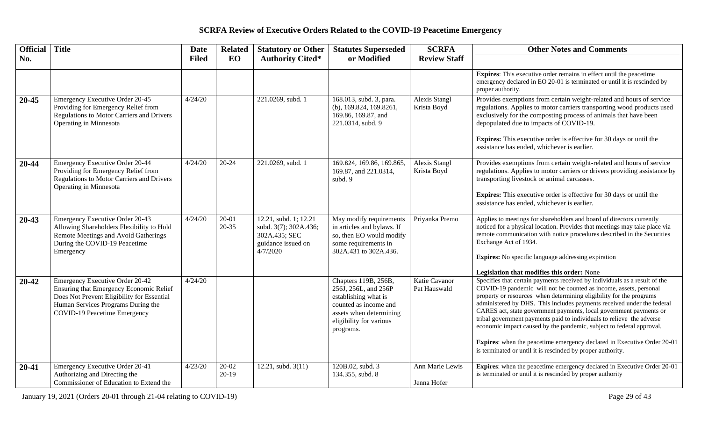| <b>Official</b> Title |                                                                                                                                                                                                | <b>Date</b>  | <b>Related</b>     | <b>Statutory or Other</b>                                                                         | <b>Statutes Superseded</b>                                                                                                                                       | <b>SCRFA</b>                        | <b>Other Notes and Comments</b>                                                                                                                                                                                                                                                                                                                                                                                                                                                                                                                                                                                                                                   |
|-----------------------|------------------------------------------------------------------------------------------------------------------------------------------------------------------------------------------------|--------------|--------------------|---------------------------------------------------------------------------------------------------|------------------------------------------------------------------------------------------------------------------------------------------------------------------|-------------------------------------|-------------------------------------------------------------------------------------------------------------------------------------------------------------------------------------------------------------------------------------------------------------------------------------------------------------------------------------------------------------------------------------------------------------------------------------------------------------------------------------------------------------------------------------------------------------------------------------------------------------------------------------------------------------------|
| No.                   |                                                                                                                                                                                                | <b>Filed</b> | EO                 | <b>Authority Cited*</b>                                                                           | or Modified                                                                                                                                                      | <b>Review Staff</b>                 |                                                                                                                                                                                                                                                                                                                                                                                                                                                                                                                                                                                                                                                                   |
|                       |                                                                                                                                                                                                |              |                    |                                                                                                   |                                                                                                                                                                  |                                     | <b>Expires:</b> This executive order remains in effect until the peacetime<br>emergency declared in EO 20-01 is terminated or until it is rescinded by<br>proper authority.                                                                                                                                                                                                                                                                                                                                                                                                                                                                                       |
| $20 - 45$             | <b>Emergency Executive Order 20-45</b><br>Providing for Emergency Relief from<br><b>Regulations to Motor Carriers and Drivers</b><br>Operating in Minnesota                                    | 4/24/20      |                    | 221.0269, subd. 1                                                                                 | 168.013, subd. 3, para.<br>(b), $169.824$ , $169.8261$ ,<br>169.86, 169.87, and<br>221.0314, subd. 9                                                             | <b>Alexis Stangl</b><br>Krista Boyd | Provides exemptions from certain weight-related and hours of service<br>regulations. Applies to motor carriers transporting wood products used<br>exclusively for the composting process of animals that have been<br>depopulated due to impacts of COVID-19.<br><b>Expires:</b> This executive order is effective for 30 days or until the<br>assistance has ended, whichever is earlier.                                                                                                                                                                                                                                                                        |
| 20-44                 | <b>Emergency Executive Order 20-44</b><br>Providing for Emergency Relief from<br><b>Regulations to Motor Carriers and Drivers</b><br>Operating in Minnesota                                    | 4/24/20      | $20 - 24$          | 221.0269, subd. 1                                                                                 | 169.824, 169.86, 169.865,<br>169.87, and 221.0314,<br>subd. 9                                                                                                    | Alexis Stangl<br>Krista Boyd        | Provides exemptions from certain weight-related and hours of service<br>regulations. Applies to motor carriers or drivers providing assistance by<br>transporting livestock or animal carcasses.<br><b>Expires:</b> This executive order is effective for 30 days or until the<br>assistance has ended, whichever is earlier.                                                                                                                                                                                                                                                                                                                                     |
| $20 - 43$             | Emergency Executive Order 20-43<br>Allowing Shareholders Flexibility to Hold<br>Remote Meetings and Avoid Gatherings<br>During the COVID-19 Peacetime<br>Emergency                             | 4/24/20      | $20 - 01$<br>20-35 | 12.21, subd. 1; 12.21<br>subd. 3(7); 302A.436;<br>302A.435; SEC<br>guidance issued on<br>4/7/2020 | May modify requirements<br>in articles and bylaws. If<br>so, then EO would modify<br>some requirements in<br>302A.431 to 302A.436.                               | Priyanka Premo                      | Applies to meetings for shareholders and board of directors currently<br>noticed for a physical location. Provides that meetings may take place via<br>remote communication with notice procedures described in the Securities<br>Exchange Act of 1934.<br><b>Expires:</b> No specific language addressing expiration<br>Legislation that modifies this order: None                                                                                                                                                                                                                                                                                               |
| $20 - 42$             | Emergency Executive Order 20-42<br>Ensuring that Emergency Economic Relief<br>Does Not Prevent Eligibility for Essential<br>Human Services Programs During the<br>COVID-19 Peacetime Emergency | 4/24/20      |                    |                                                                                                   | Chapters 119B, 256B,<br>256J, 256L, and 256P<br>establishing what is<br>counted as income and<br>assets when determining<br>eligibility for various<br>programs. | Katie Cavanor<br>Pat Hauswald       | Specifies that certain payments received by individuals as a result of the<br>COVID-19 pandemic will not be counted as income, assets, personal<br>property or resources when determining eligibility for the programs<br>administered by DHS. This includes payments received under the federal<br>CARES act, state government payments, local government payments or<br>tribal government payments paid to individuals to relieve the adverse<br>economic impact caused by the pandemic, subject to federal approval.<br>Expires: when the peacetime emergency declared in Executive Order 20-01<br>is terminated or until it is rescinded by proper authority. |
| $20 - 41$             | Emergency Executive Order 20-41<br>Authorizing and Directing the<br>Commissioner of Education to Extend the                                                                                    | 4/23/20      | 20-02<br>$20-19$   | 12.21, subd. $3(11)$                                                                              | 120B.02, subd. 3<br>134.355, subd. 8                                                                                                                             | Ann Marie Lewis<br>Jenna Hofer      | Expires: when the peacetime emergency declared in Executive Order 20-01<br>is terminated or until it is rescinded by proper authority                                                                                                                                                                                                                                                                                                                                                                                                                                                                                                                             |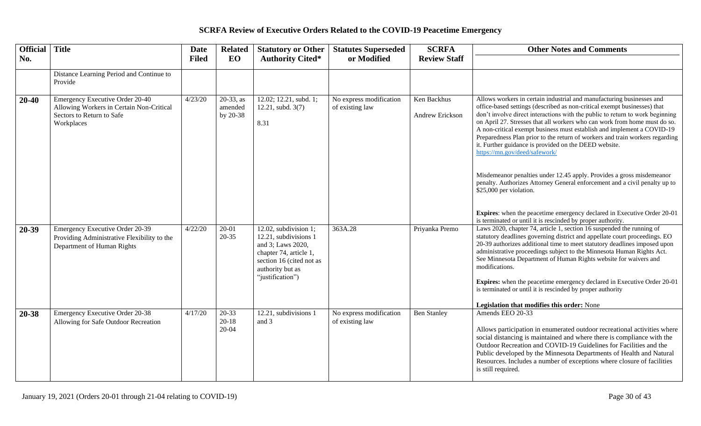| <b>Official</b> | <b>Title</b>                                                                                                           | Date         | <b>Related</b>                      | <b>Statutory or Other</b>                                                                                                                                         | <b>Statutes Superseded</b>                 | <b>SCRFA</b>                   | <b>Other Notes and Comments</b>                                                                                                                                                                                                                                                                                                                                                                                                                                                                                                                                                                                                                                                                                                                                                                                                  |
|-----------------|------------------------------------------------------------------------------------------------------------------------|--------------|-------------------------------------|-------------------------------------------------------------------------------------------------------------------------------------------------------------------|--------------------------------------------|--------------------------------|----------------------------------------------------------------------------------------------------------------------------------------------------------------------------------------------------------------------------------------------------------------------------------------------------------------------------------------------------------------------------------------------------------------------------------------------------------------------------------------------------------------------------------------------------------------------------------------------------------------------------------------------------------------------------------------------------------------------------------------------------------------------------------------------------------------------------------|
| No.             |                                                                                                                        | <b>Filed</b> | EO                                  | <b>Authority Cited*</b>                                                                                                                                           | or Modified                                | <b>Review Staff</b>            |                                                                                                                                                                                                                                                                                                                                                                                                                                                                                                                                                                                                                                                                                                                                                                                                                                  |
|                 | Distance Learning Period and Continue to<br>Provide                                                                    |              |                                     |                                                                                                                                                                   |                                            |                                |                                                                                                                                                                                                                                                                                                                                                                                                                                                                                                                                                                                                                                                                                                                                                                                                                                  |
| $20 - 40$       | Emergency Executive Order 20-40<br>Allowing Workers in Certain Non-Critical<br>Sectors to Return to Safe<br>Workplaces | 4/23/20      | $20-33$ , as<br>amended<br>by 20-38 | 12.02; 12.21, subd. 1;<br>12.21, subd. 3(7)<br>8.31                                                                                                               | No express modification<br>of existing law | Ken Backhus<br>Andrew Erickson | Allows workers in certain industrial and manufacturing businesses and<br>office-based settings (described as non-critical exempt businesses) that<br>don't involve direct interactions with the public to return to work beginning<br>on April 27. Stresses that all workers who can work from home must do so.<br>A non-critical exempt business must establish and implement a COVID-19<br>Preparedness Plan prior to the return of workers and train workers regarding<br>it. Further guidance is provided on the DEED website.<br>https://mn.gov/deed/safework/<br>Misdemeanor penalties under 12.45 apply. Provides a gross misdemeanor<br>penalty. Authorizes Attorney General enforcement and a civil penalty up to<br>\$25,000 per violation.<br>Expires: when the peacetime emergency declared in Executive Order 20-01 |
|                 |                                                                                                                        |              |                                     |                                                                                                                                                                   |                                            |                                | is terminated or until it is rescinded by proper authority.                                                                                                                                                                                                                                                                                                                                                                                                                                                                                                                                                                                                                                                                                                                                                                      |
| 20-39           | <b>Emergency Executive Order 20-39</b><br>Providing Administrative Flexibility to the<br>Department of Human Rights    | 4/22/20      | $20-01$<br>$20 - 35$                | 12.02, subdivision 1;<br>12.21, subdivisions 1<br>and 3; Laws 2020,<br>chapter 74, article 1,<br>section 16 (cited not as<br>authority but as<br>"justification") | 363A.28                                    | Priyanka Premo                 | Laws 2020, chapter 74, article 1, section 16 suspended the running of<br>statutory deadlines governing district and appellate court proceedings. EO<br>20-39 authorizes additional time to meet statutory deadlines imposed upon<br>administrative proceedings subject to the Minnesota Human Rights Act.<br>See Minnesota Department of Human Rights website for waivers and<br>modifications.<br>Expires: when the peacetime emergency declared in Executive Order 20-01<br>is terminated or until it is rescinded by proper authority<br>Legislation that modifies this order: None                                                                                                                                                                                                                                           |
| 20-38           | <b>Emergency Executive Order 20-38</b>                                                                                 | 4/17/20      | 20-33                               | 12.21, subdivisions 1                                                                                                                                             | No express modification                    | <b>Ben Stanley</b>             | Amends EEO 20-33                                                                                                                                                                                                                                                                                                                                                                                                                                                                                                                                                                                                                                                                                                                                                                                                                 |
|                 | Allowing for Safe Outdoor Recreation                                                                                   |              | $20 - 18$<br>$20 - 04$              | and 3                                                                                                                                                             | of existing law                            |                                | Allows participation in enumerated outdoor recreational activities where<br>social distancing is maintained and where there is compliance with the<br>Outdoor Recreation and COVID-19 Guidelines for Facilities and the<br>Public developed by the Minnesota Departments of Health and Natural<br>Resources. Includes a number of exceptions where closure of facilities<br>is still required.                                                                                                                                                                                                                                                                                                                                                                                                                                   |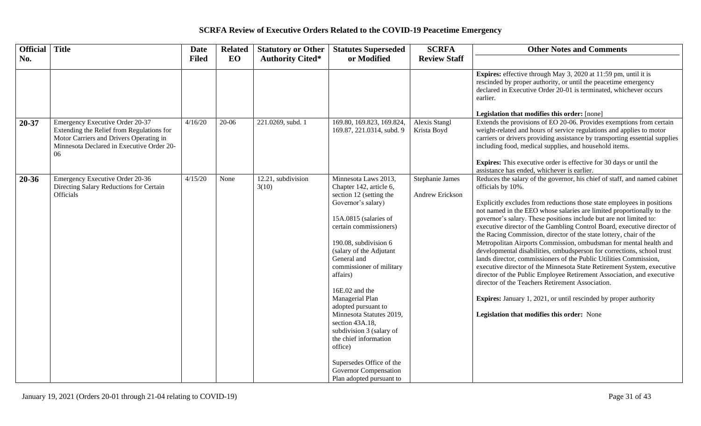| <b>Official</b> | <b>Title</b>                                                                                                                                                               | <b>Date</b>  | <b>Related</b> | <b>Statutory or Other</b>   | <b>Statutes Superseded</b>                                                                                                                                                                                                                                                                                                                                                                                                                                                                                                        | <b>SCRFA</b>                       | <b>Other Notes and Comments</b>                                                                                                                                                                                                                                                                                                                                                                                                                                                                                                                                                                                                                                                                                                                                                                                                                                                                                                                                                                                              |
|-----------------|----------------------------------------------------------------------------------------------------------------------------------------------------------------------------|--------------|----------------|-----------------------------|-----------------------------------------------------------------------------------------------------------------------------------------------------------------------------------------------------------------------------------------------------------------------------------------------------------------------------------------------------------------------------------------------------------------------------------------------------------------------------------------------------------------------------------|------------------------------------|------------------------------------------------------------------------------------------------------------------------------------------------------------------------------------------------------------------------------------------------------------------------------------------------------------------------------------------------------------------------------------------------------------------------------------------------------------------------------------------------------------------------------------------------------------------------------------------------------------------------------------------------------------------------------------------------------------------------------------------------------------------------------------------------------------------------------------------------------------------------------------------------------------------------------------------------------------------------------------------------------------------------------|
| No.             |                                                                                                                                                                            | <b>Filed</b> | EO             | <b>Authority Cited*</b>     | or Modified                                                                                                                                                                                                                                                                                                                                                                                                                                                                                                                       | <b>Review Staff</b>                |                                                                                                                                                                                                                                                                                                                                                                                                                                                                                                                                                                                                                                                                                                                                                                                                                                                                                                                                                                                                                              |
|                 |                                                                                                                                                                            |              |                |                             |                                                                                                                                                                                                                                                                                                                                                                                                                                                                                                                                   |                                    | <b>Expires:</b> effective through May 3, 2020 at 11:59 pm, until it is<br>rescinded by proper authority, or until the peacetime emergency<br>declared in Executive Order 20-01 is terminated, whichever occurs<br>earlier.<br>Legislation that modifies this order: [none]                                                                                                                                                                                                                                                                                                                                                                                                                                                                                                                                                                                                                                                                                                                                                   |
| $20 - 37$       | Emergency Executive Order 20-37<br>Extending the Relief from Regulations for<br>Motor Carriers and Drivers Operating in<br>Minnesota Declared in Executive Order 20-<br>06 | 4/16/20      | $20-06$        | 221.0269, subd. 1           | 169.80, 169.823, 169.824,<br>169.87, 221.0314, subd. 9                                                                                                                                                                                                                                                                                                                                                                                                                                                                            | Alexis Stangl<br>Krista Boyd       | Extends the provisions of EO 20-06. Provides exemptions from certain<br>weight-related and hours of service regulations and applies to motor<br>carriers or drivers providing assistance by transporting essential supplies<br>including food, medical supplies, and household items.<br><b>Expires:</b> This executive order is effective for 30 days or until the<br>assistance has ended, whichever is earlier.                                                                                                                                                                                                                                                                                                                                                                                                                                                                                                                                                                                                           |
| 20-36           | Emergency Executive Order 20-36<br>Directing Salary Reductions for Certain<br><b>Officials</b>                                                                             | 4/15/20      | None           | 12.21, subdivision<br>3(10) | Minnesota Laws 2013,<br>Chapter 142, article 6,<br>section 12 (setting the<br>Governor's salary)<br>15A.0815 (salaries of<br>certain commissioners)<br>190.08, subdivision 6<br>(salary of the Adjutant<br>General and<br>commissioner of military<br>affairs)<br>16E.02 and the<br>Managerial Plan<br>adopted pursuant to<br>Minnesota Statutes 2019,<br>section 43A.18,<br>subdivision 3 (salary of<br>the chief information<br>office)<br>Supersedes Office of the<br><b>Governor Compensation</b><br>Plan adopted pursuant to | Stephanie James<br>Andrew Erickson | Reduces the salary of the governor, his chief of staff, and named cabinet<br>officials by 10%.<br>Explicitly excludes from reductions those state employees in positions<br>not named in the EEO whose salaries are limited proportionally to the<br>governor's salary. These positions include but are not limited to:<br>executive director of the Gambling Control Board, executive director of<br>the Racing Commission, director of the state lottery, chair of the<br>Metropolitan Airports Commission, ombudsman for mental health and<br>developmental disabilities, ombudsperson for corrections, school trust<br>lands director, commissioners of the Public Utilities Commission,<br>executive director of the Minnesota State Retirement System, executive<br>director of the Public Employee Retirement Association, and executive<br>director of the Teachers Retirement Association.<br><b>Expires:</b> January 1, 2021, or until rescinded by proper authority<br>Legislation that modifies this order: None |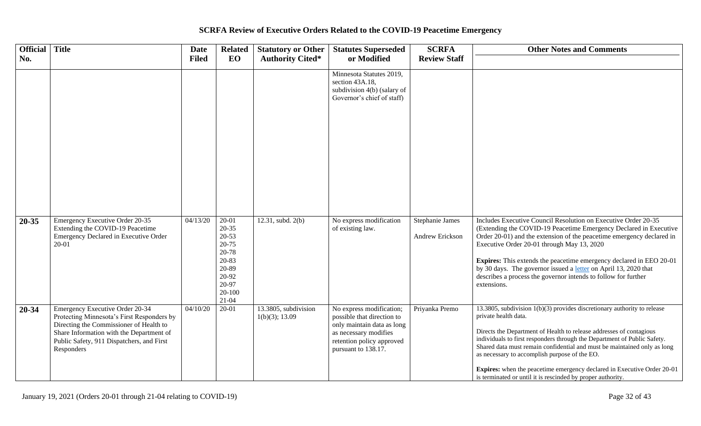| <b>Official</b> Title<br>No. |                                                                                                                                                                                                                                        | Date<br><b>Filed</b> | <b>Related</b><br>EO                                                                                             | <b>Statutory or Other</b><br><b>Authority Cited*</b> | <b>Statutes Superseded</b><br>or Modified                                                                                                                         | <b>SCRFA</b><br><b>Review Staff</b> | <b>Other Notes and Comments</b>                                                                                                                                                                                                                                                                                                                                                                                                                                                                                                     |
|------------------------------|----------------------------------------------------------------------------------------------------------------------------------------------------------------------------------------------------------------------------------------|----------------------|------------------------------------------------------------------------------------------------------------------|------------------------------------------------------|-------------------------------------------------------------------------------------------------------------------------------------------------------------------|-------------------------------------|-------------------------------------------------------------------------------------------------------------------------------------------------------------------------------------------------------------------------------------------------------------------------------------------------------------------------------------------------------------------------------------------------------------------------------------------------------------------------------------------------------------------------------------|
|                              |                                                                                                                                                                                                                                        |                      |                                                                                                                  |                                                      | Minnesota Statutes 2019,<br>section 43A.18,<br>subdivision 4(b) (salary of<br>Governor's chief of staff)                                                          |                                     |                                                                                                                                                                                                                                                                                                                                                                                                                                                                                                                                     |
| $20 - 35$                    | Emergency Executive Order 20-35<br>Extending the COVID-19 Peacetime<br>Emergency Declared in Executive Order<br>$20 - 01$                                                                                                              | 04/13/20             | $20 - 01$<br>$20 - 35$<br>20-53<br>20-75<br>20-78<br>20-83<br>20-89<br>20-92<br>20-97<br>$20 - 100$<br>$21 - 04$ | 12.31, subd. 2(b)                                    | No express modification<br>of existing law.                                                                                                                       | Stephanie James<br>Andrew Erickson  | Includes Executive Council Resolution on Executive Order 20-35<br>(Extending the COVID-19 Peacetime Emergency Declared in Executive<br>Order 20-01) and the extension of the peacetime emergency declared in<br>Executive Order 20-01 through May 13, 2020<br>Expires: This extends the peacetime emergency declared in EEO 20-01<br>by 30 days. The governor issued a letter on April 13, 2020 that<br>describes a process the governor intends to follow for further<br>extensions.                                               |
| 20-34                        | <b>Emergency Executive Order 20-34</b><br>Protecting Minnesota's First Responders by<br>Directing the Commissioner of Health to<br>Share Information with the Department of<br>Public Safety, 911 Dispatchers, and First<br>Responders | 04/10/20             | $20 - 01$                                                                                                        | 13.3805, subdivision<br>1(b)(3); 13.09               | No express modification;<br>possible that direction to<br>only maintain data as long<br>as necessary modifies<br>retention policy approved<br>pursuant to 138.17. | Priyanka Premo                      | 13.3805, subdivision $1(b)(3)$ provides discretionary authority to release<br>private health data.<br>Directs the Department of Health to release addresses of contagious<br>individuals to first responders through the Department of Public Safety.<br>Shared data must remain confidential and must be maintained only as long<br>as necessary to accomplish purpose of the EO.<br><b>Expires:</b> when the peacetime emergency declared in Executive Order 20-01<br>is terminated or until it is rescinded by proper authority. |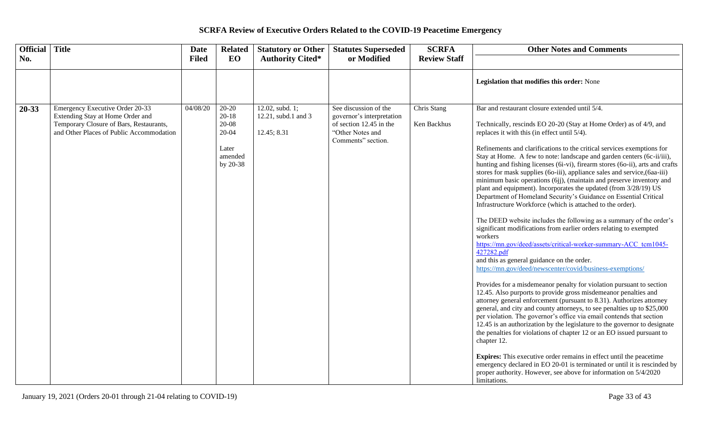| Official Title |                                                                                                                                                            | <b>Date</b>  | <b>Related</b>                                                             | <b>Statutory or Other</b>                             | <b>Statutes Superseded</b>                                                                                              | <b>SCRFA</b>               | <b>Other Notes and Comments</b>                                                                                                                                                                                                                                                                                                                                                                                                                                                                                                                                                                                                                                                                                                                                                                                                                                                                                                                                                                                                                                                                                                                                                                                                                                                                                                                                                                                                                                                                                                                                                                                                                                                                                                                                                                                                                                                                                    |
|----------------|------------------------------------------------------------------------------------------------------------------------------------------------------------|--------------|----------------------------------------------------------------------------|-------------------------------------------------------|-------------------------------------------------------------------------------------------------------------------------|----------------------------|--------------------------------------------------------------------------------------------------------------------------------------------------------------------------------------------------------------------------------------------------------------------------------------------------------------------------------------------------------------------------------------------------------------------------------------------------------------------------------------------------------------------------------------------------------------------------------------------------------------------------------------------------------------------------------------------------------------------------------------------------------------------------------------------------------------------------------------------------------------------------------------------------------------------------------------------------------------------------------------------------------------------------------------------------------------------------------------------------------------------------------------------------------------------------------------------------------------------------------------------------------------------------------------------------------------------------------------------------------------------------------------------------------------------------------------------------------------------------------------------------------------------------------------------------------------------------------------------------------------------------------------------------------------------------------------------------------------------------------------------------------------------------------------------------------------------------------------------------------------------------------------------------------------------|
| No.            |                                                                                                                                                            | <b>Filed</b> | EO                                                                         | <b>Authority Cited*</b>                               | or Modified                                                                                                             | <b>Review Staff</b>        |                                                                                                                                                                                                                                                                                                                                                                                                                                                                                                                                                                                                                                                                                                                                                                                                                                                                                                                                                                                                                                                                                                                                                                                                                                                                                                                                                                                                                                                                                                                                                                                                                                                                                                                                                                                                                                                                                                                    |
|                |                                                                                                                                                            |              |                                                                            |                                                       |                                                                                                                         |                            | Legislation that modifies this order: None                                                                                                                                                                                                                                                                                                                                                                                                                                                                                                                                                                                                                                                                                                                                                                                                                                                                                                                                                                                                                                                                                                                                                                                                                                                                                                                                                                                                                                                                                                                                                                                                                                                                                                                                                                                                                                                                         |
| $20 - 33$      | Emergency Executive Order 20-33<br>Extending Stay at Home Order and<br>Temporary Closure of Bars, Restaurants,<br>and Other Places of Public Accommodation | 04/08/20     | $20 - 20$<br>$20 - 18$<br>$20-08$<br>20-04<br>Later<br>amended<br>by 20-38 | 12.02, subd. 1;<br>12.21, subd.1 and 3<br>12.45; 8.31 | See discussion of the<br>governor's interpretation<br>of section 12.45 in the<br>"Other Notes and<br>Comments" section. | Chris Stang<br>Ken Backhus | Bar and restaurant closure extended until 5/4.<br>Technically, rescinds EO 20-20 (Stay at Home Order) as of 4/9, and<br>replaces it with this (in effect until 5/4).<br>Refinements and clarifications to the critical services exemptions for<br>Stay at Home. A few to note: landscape and garden centers (6c-ii/iii),<br>hunting and fishing licenses (6i-vi), firearm stores (6o-ii), arts and crafts<br>stores for mask supplies (60-iii), appliance sales and service, (6aa-iii)<br>minimum basic operations (6jj), (maintain and preserve inventory and<br>plant and equipment). Incorporates the updated (from 3/28/19) US<br>Department of Homeland Security's Guidance on Essential Critical<br>Infrastructure Workforce (which is attached to the order).<br>The DEED website includes the following as a summary of the order's<br>significant modifications from earlier orders relating to exempted<br>workers<br>https://mn.gov/deed/assets/critical-worker-summary-ACC tcm1045-<br>427282.pdf<br>and this as general guidance on the order.<br>https://mn.gov/deed/newscenter/covid/business-exemptions/<br>Provides for a misdemeanor penalty for violation pursuant to section<br>12.45. Also purports to provide gross misdemeanor penalties and<br>attorney general enforcement (pursuant to 8.31). Authorizes attorney<br>general, and city and county attorneys, to see penalties up to \$25,000<br>per violation. The governor's office via email contends that section<br>12.45 is an authorization by the legislature to the governor to designate<br>the penalties for violations of chapter 12 or an EO issued pursuant to<br>chapter 12.<br><b>Expires:</b> This executive order remains in effect until the peacetime<br>emergency declared in EO 20-01 is terminated or until it is rescinded by<br>proper authority. However, see above for information on 5/4/2020<br>limitations. |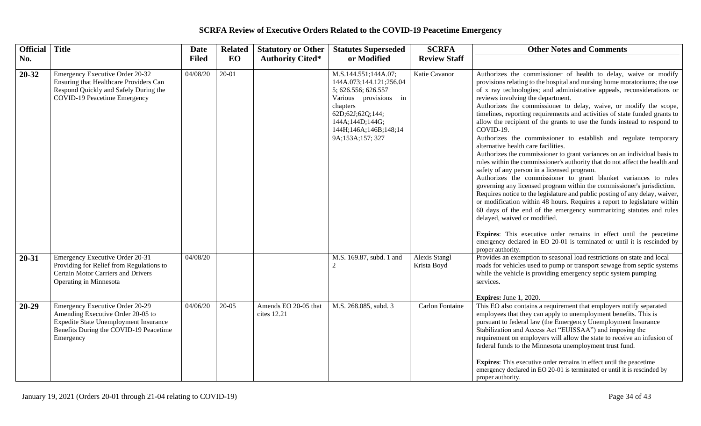| <b>Official</b> | <b>Title</b>                                                                                                                                                         | <b>Date</b>  | <b>Related</b> | <b>Statutory or Other</b>           | <b>Statutes Superseded</b>                                                                                                                                                                      | <b>SCRFA</b>                 | <b>Other Notes and Comments</b>                                                                                                                                                                                                                                                                                                                                                                                                                                                                                                                                                                                                                                                                                                                                                                                                                                                                                                                                                                                                                                                                                                                                                                                                                                                                                                                                                                                   |
|-----------------|----------------------------------------------------------------------------------------------------------------------------------------------------------------------|--------------|----------------|-------------------------------------|-------------------------------------------------------------------------------------------------------------------------------------------------------------------------------------------------|------------------------------|-------------------------------------------------------------------------------------------------------------------------------------------------------------------------------------------------------------------------------------------------------------------------------------------------------------------------------------------------------------------------------------------------------------------------------------------------------------------------------------------------------------------------------------------------------------------------------------------------------------------------------------------------------------------------------------------------------------------------------------------------------------------------------------------------------------------------------------------------------------------------------------------------------------------------------------------------------------------------------------------------------------------------------------------------------------------------------------------------------------------------------------------------------------------------------------------------------------------------------------------------------------------------------------------------------------------------------------------------------------------------------------------------------------------|
| No.             |                                                                                                                                                                      | <b>Filed</b> | EO             | <b>Authority Cited*</b>             | or Modified                                                                                                                                                                                     | <b>Review Staff</b>          |                                                                                                                                                                                                                                                                                                                                                                                                                                                                                                                                                                                                                                                                                                                                                                                                                                                                                                                                                                                                                                                                                                                                                                                                                                                                                                                                                                                                                   |
| $20 - 32$       | Emergency Executive Order 20-32<br>Ensuring that Healthcare Providers Can<br>Respond Quickly and Safely During the<br><b>COVID-19 Peacetime Emergency</b>            | 04/08/20     | $20 - 01$      |                                     | M.S.144.551;144A.07;<br>144A.073;144.121;256.04<br>5; 626.556; 626.557<br>Various provisions in<br>chapters<br>62D;62J;62Q;144;<br>144A;144D;144G;<br>144H;146A;146B;148;14<br>9A;153A;157; 327 | Katie Cavanor                | Authorizes the commissioner of health to delay, waive or modify<br>provisions relating to the hospital and nursing home moratoriums; the use<br>of x ray technologies; and administrative appeals, reconsiderations or<br>reviews involving the department.<br>Authorizes the commissioner to delay, waive, or modify the scope,<br>timelines, reporting requirements and activities of state funded grants to<br>allow the recipient of the grants to use the funds instead to respond to<br>COVID-19.<br>Authorizes the commissioner to establish and regulate temporary<br>alternative health care facilities.<br>Authorizes the commissioner to grant variances on an individual basis to<br>rules within the commissioner's authority that do not affect the health and<br>safety of any person in a licensed program.<br>Authorizes the commissioner to grant blanket variances to rules<br>governing any licensed program within the commissioner's jurisdiction.<br>Requires notice to the legislature and public posting of any delay, waiver,<br>or modification within 48 hours. Requires a report to legislature within<br>60 days of the end of the emergency summarizing statutes and rules<br>delayed, waived or modified.<br>Expires: This executive order remains in effect until the peacetime<br>emergency declared in EO 20-01 is terminated or until it is rescinded by<br>proper authority. |
| $20 - 31$       | Emergency Executive Order 20-31<br>Providing for Relief from Regulations to<br>Certain Motor Carriers and Drivers<br>Operating in Minnesota                          | 04/08/20     |                |                                     | M.S. 169.87, subd. 1 and<br>2                                                                                                                                                                   | Alexis Stangl<br>Krista Boyd | Provides an exemption to seasonal load restrictions on state and local<br>roads for vehicles used to pump or transport sewage from septic systems<br>while the vehicle is providing emergency septic system pumping<br>services.<br><b>Expires:</b> June 1, 2020.                                                                                                                                                                                                                                                                                                                                                                                                                                                                                                                                                                                                                                                                                                                                                                                                                                                                                                                                                                                                                                                                                                                                                 |
| $20 - 29$       | Emergency Executive Order 20-29<br>Amending Executive Order 20-05 to<br>Expedite State Unemployment Insurance<br>Benefits During the COVID-19 Peacetime<br>Emergency | 04/06/20     | $20-05$        | Amends EO 20-05 that<br>cites 12.21 | M.S. 268.085, subd. 3                                                                                                                                                                           | <b>Carlon Fontaine</b>       | This EO also contains a requirement that employers notify separated<br>employees that they can apply to unemployment benefits. This is<br>pursuant to federal law (the Emergency Unemployment Insurance<br>Stabilization and Access Act "EUISSAA") and imposing the<br>requirement on employers will allow the state to receive an infusion of<br>federal funds to the Minnesota unemployment trust fund.<br><b>Expires:</b> This executive order remains in effect until the peacetime<br>emergency declared in EO 20-01 is terminated or until it is rescinded by<br>proper authority.                                                                                                                                                                                                                                                                                                                                                                                                                                                                                                                                                                                                                                                                                                                                                                                                                          |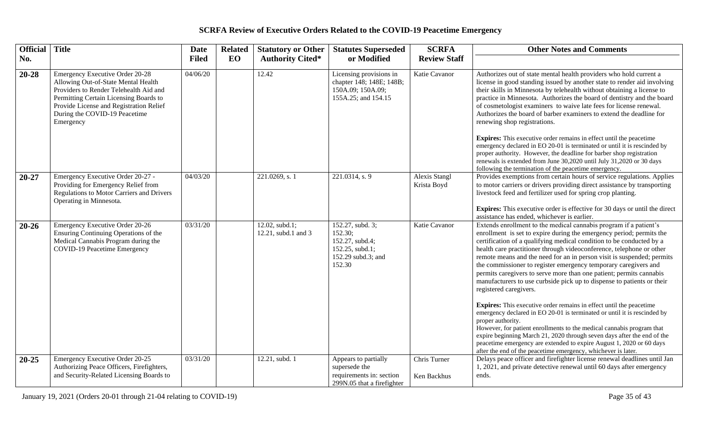| <b>Official</b> | <b>Title</b>                                                                                                                                                                                                                                        | <b>Date</b>  | <b>Related</b> | <b>Statutory or Other</b>             | <b>Statutes Superseded</b>                                                                        | <b>SCRFA</b>                 | <b>Other Notes and Comments</b>                                                                                                                                                                                                                                                                                                                                                                                                                                                                                                                                                                                                                                                                                                                                                                                                                                                                                                                                                                                                                                                               |
|-----------------|-----------------------------------------------------------------------------------------------------------------------------------------------------------------------------------------------------------------------------------------------------|--------------|----------------|---------------------------------------|---------------------------------------------------------------------------------------------------|------------------------------|-----------------------------------------------------------------------------------------------------------------------------------------------------------------------------------------------------------------------------------------------------------------------------------------------------------------------------------------------------------------------------------------------------------------------------------------------------------------------------------------------------------------------------------------------------------------------------------------------------------------------------------------------------------------------------------------------------------------------------------------------------------------------------------------------------------------------------------------------------------------------------------------------------------------------------------------------------------------------------------------------------------------------------------------------------------------------------------------------|
| No.             |                                                                                                                                                                                                                                                     | <b>Filed</b> | <b>EO</b>      | <b>Authority Cited*</b>               | or Modified                                                                                       | <b>Review Staff</b>          |                                                                                                                                                                                                                                                                                                                                                                                                                                                                                                                                                                                                                                                                                                                                                                                                                                                                                                                                                                                                                                                                                               |
| $20 - 28$       | Emergency Executive Order 20-28<br>Allowing Out-of-State Mental Health<br>Providers to Render Telehealth Aid and<br>Permitting Certain Licensing Boards to<br>Provide License and Registration Relief<br>During the COVID-19 Peacetime<br>Emergency | 04/06/20     |                | 12.42                                 | Licensing provisions in<br>chapter 148; 148E; 148B;<br>150A.09; 150A.09;<br>155A.25; and 154.15   | Katie Cavanor                | Authorizes out of state mental health providers who hold current a<br>license in good standing issued by another state to render aid involving<br>their skills in Minnesota by telehealth without obtaining a license to<br>practice in Minnesota. Authorizes the board of dentistry and the board<br>of cosmetologist examiners to waive late fees for license renewal.<br>Authorizes the board of barber examiners to extend the deadline for<br>renewing shop registrations.<br><b>Expires:</b> This executive order remains in effect until the peacetime<br>emergency declared in EO 20-01 is terminated or until it is rescinded by<br>proper authority. However, the deadline for barber shop registration<br>renewals is extended from June 30,2020 until July 31,2020 or 30 days<br>following the termination of the peacetime emergency.                                                                                                                                                                                                                                            |
| $20 - 27$       | Emergency Executive Order 20-27 -<br>Providing for Emergency Relief from<br><b>Regulations to Motor Carriers and Drivers</b><br>Operating in Minnesota.                                                                                             | 04/03/20     |                | 221.0269, s. 1                        | 221.0314, s. 9                                                                                    | Alexis Stangl<br>Krista Boyd | Provides exemptions from certain hours of service regulations. Applies<br>to motor carriers or drivers providing direct assistance by transporting<br>livestock feed and fertilizer used for spring crop planting.<br><b>Expires:</b> This executive order is effective for 30 days or until the direct<br>assistance has ended, whichever is earlier.                                                                                                                                                                                                                                                                                                                                                                                                                                                                                                                                                                                                                                                                                                                                        |
| $20 - 26$       | <b>Emergency Executive Order 20-26</b><br>Ensuring Continuing Operations of the<br>Medical Cannabis Program during the<br><b>COVID-19 Peacetime Emergency</b>                                                                                       | 03/31/20     |                | 12.02, subd.1;<br>12.21, subd.1 and 3 | 152.27, subd. 3;<br>152.30;<br>152.27, subd.4;<br>152.25, subd.1;<br>152.29 subd.3; and<br>152.30 | Katie Cavanor                | Extends enrollment to the medical cannabis program if a patient's<br>enrollment is set to expire during the emergency period; permits the<br>certification of a qualifying medical condition to be conducted by a<br>health care practitioner through videoconference, telephone or other<br>remote means and the need for an in person visit is suspended; permits<br>the commissioner to register emergency temporary caregivers and<br>permits caregivers to serve more than one patient; permits cannabis<br>manufacturers to use curbside pick up to dispense to patients or their<br>registered caregivers.<br><b>Expires:</b> This executive order remains in effect until the peacetime<br>emergency declared in EO 20-01 is terminated or until it is rescinded by<br>proper authority.<br>However, for patient enrollments to the medical cannabis program that<br>expire beginning March 21, 2020 through seven days after the end of the<br>peacetime emergency are extended to expire August 1, 2020 or 60 days<br>after the end of the peacetime emergency, whichever is later. |
| $20 - 25$       | Emergency Executive Order 20-25<br>Authorizing Peace Officers, Firefighters,<br>and Security-Related Licensing Boards to                                                                                                                            | 03/31/20     |                | 12.21, subd. 1                        | Appears to partially<br>supersede the<br>requirements in: section<br>299N.05 that a firefighter   | Chris Turner<br>Ken Backhus  | Delays peace officer and firefighter license renewal deadlines until Jan<br>1, 2021, and private detective renewal until 60 days after emergency<br>ends.                                                                                                                                                                                                                                                                                                                                                                                                                                                                                                                                                                                                                                                                                                                                                                                                                                                                                                                                     |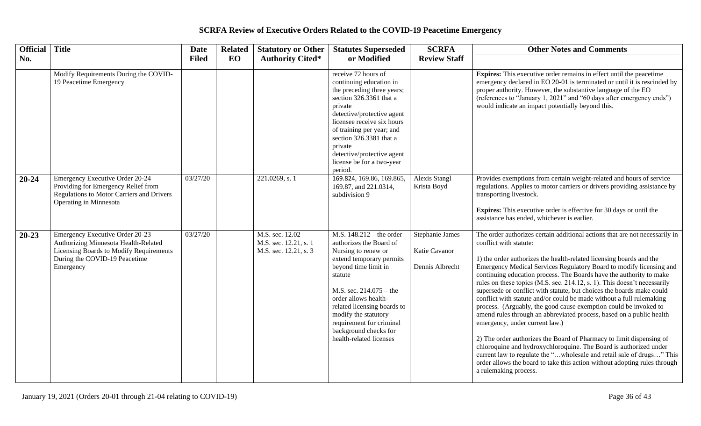| Official Title |                                                                                                                                                                  | <b>Date</b>  | <b>Related</b> | <b>Statutory or Other</b>                                         | <b>Statutes Superseded</b>                                                                                                                                                                                                                                                                                                              | <b>SCRFA</b>                                        | <b>Other Notes and Comments</b>                                                                                                                                                                                                                                                                                                                                                                                                                                                                                                                                                                                                                                                                                                                                                                                                                                                                                                                                                                                                                                   |
|----------------|------------------------------------------------------------------------------------------------------------------------------------------------------------------|--------------|----------------|-------------------------------------------------------------------|-----------------------------------------------------------------------------------------------------------------------------------------------------------------------------------------------------------------------------------------------------------------------------------------------------------------------------------------|-----------------------------------------------------|-------------------------------------------------------------------------------------------------------------------------------------------------------------------------------------------------------------------------------------------------------------------------------------------------------------------------------------------------------------------------------------------------------------------------------------------------------------------------------------------------------------------------------------------------------------------------------------------------------------------------------------------------------------------------------------------------------------------------------------------------------------------------------------------------------------------------------------------------------------------------------------------------------------------------------------------------------------------------------------------------------------------------------------------------------------------|
| No.            |                                                                                                                                                                  | <b>Filed</b> | EO             | <b>Authority Cited*</b>                                           | or Modified                                                                                                                                                                                                                                                                                                                             | <b>Review Staff</b>                                 |                                                                                                                                                                                                                                                                                                                                                                                                                                                                                                                                                                                                                                                                                                                                                                                                                                                                                                                                                                                                                                                                   |
|                | Modify Requirements During the COVID-<br>19 Peacetime Emergency                                                                                                  |              |                |                                                                   | receive 72 hours of<br>continuing education in<br>the preceding three years;<br>section 326.3361 that a<br>private<br>detective/protective agent<br>licensee receive six hours<br>of training per year; and<br>section 326.3381 that a<br>private<br>detective/protective agent<br>license be for a two-year<br>period.                 |                                                     | <b>Expires:</b> This executive order remains in effect until the peacetime<br>emergency declared in EO 20-01 is terminated or until it is rescinded by<br>proper authority. However, the substantive language of the EO<br>(references to "January 1, 2021" and "60 days after emergency ends")<br>would indicate an impact potentially beyond this.                                                                                                                                                                                                                                                                                                                                                                                                                                                                                                                                                                                                                                                                                                              |
| $20 - 24$      | <b>Emergency Executive Order 20-24</b><br>Providing for Emergency Relief from<br><b>Regulations to Motor Carriers and Drivers</b><br>Operating in Minnesota      | 03/27/20     |                | 221.0269, s. 1                                                    | 169.824, 169.86, 169.865,<br>169.87, and 221.0314,<br>subdivision 9                                                                                                                                                                                                                                                                     | <b>Alexis Stangl</b><br>Krista Boyd                 | Provides exemptions from certain weight-related and hours of service<br>regulations. Applies to motor carriers or drivers providing assistance by<br>transporting livestock.<br><b>Expires:</b> This executive order is effective for 30 days or until the<br>assistance has ended, whichever is earlier.                                                                                                                                                                                                                                                                                                                                                                                                                                                                                                                                                                                                                                                                                                                                                         |
| $20 - 23$      | Emergency Executive Order 20-23<br>Authorizing Minnesota Health-Related<br>Licensing Boards to Modify Requirements<br>During the COVID-19 Peacetime<br>Emergency | 03/27/20     |                | M.S. sec. 12.02<br>M.S. sec. 12.21, s. 1<br>M.S. sec. 12.21, s. 3 | M.S. $148.212 -$ the order<br>authorizes the Board of<br>Nursing to renew or<br>extend temporary permits<br>beyond time limit in<br>statute<br>M.S. sec. $214.075 -$ the<br>order allows health-<br>related licensing boards to<br>modify the statutory<br>requirement for criminal<br>background checks for<br>health-related licenses | Stephanie James<br>Katie Cavanor<br>Dennis Albrecht | The order authorizes certain additional actions that are not necessarily in<br>conflict with statute:<br>1) the order authorizes the health-related licensing boards and the<br>Emergency Medical Services Regulatory Board to modify licensing and<br>continuing education process. The Boards have the authority to make<br>rules on these topics (M.S. sec. 214.12, s. 1). This doesn't necessarily<br>supersede or conflict with statute, but choices the boards make could<br>conflict with statute and/or could be made without a full rulemaking<br>process. (Arguably, the good cause exemption could be invoked to<br>amend rules through an abbreviated process, based on a public health<br>emergency, under current law.)<br>2) The order authorizes the Board of Pharmacy to limit dispensing of<br>chloroquine and hydroxychloroquine. The Board is authorized under<br>current law to regulate the "wholesale and retail sale of drugs" This<br>order allows the board to take this action without adopting rules through<br>a rulemaking process. |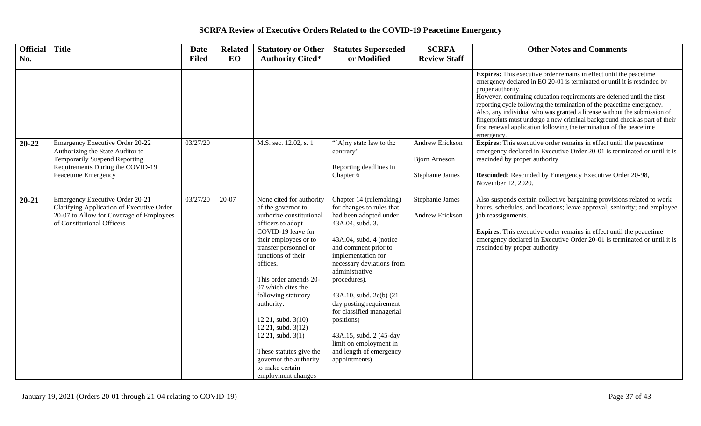| Official Title |                                                                                                                                                                        | <b>Date</b>  | <b>Related</b> | <b>Statutory or Other</b>                                                                                                                                                                                                                                                                                                                                                                                                                                              | <b>Statutes Superseded</b>                                                                                                                                                                                                                                                                                                                                                                                                                   | <b>SCRFA</b>                                                      | <b>Other Notes and Comments</b>                                                                                                                                                                                                                                                                                                                                                                                                                                                                                                                                                 |
|----------------|------------------------------------------------------------------------------------------------------------------------------------------------------------------------|--------------|----------------|------------------------------------------------------------------------------------------------------------------------------------------------------------------------------------------------------------------------------------------------------------------------------------------------------------------------------------------------------------------------------------------------------------------------------------------------------------------------|----------------------------------------------------------------------------------------------------------------------------------------------------------------------------------------------------------------------------------------------------------------------------------------------------------------------------------------------------------------------------------------------------------------------------------------------|-------------------------------------------------------------------|---------------------------------------------------------------------------------------------------------------------------------------------------------------------------------------------------------------------------------------------------------------------------------------------------------------------------------------------------------------------------------------------------------------------------------------------------------------------------------------------------------------------------------------------------------------------------------|
| No.            |                                                                                                                                                                        | <b>Filed</b> | EO             | <b>Authority Cited*</b>                                                                                                                                                                                                                                                                                                                                                                                                                                                | or Modified                                                                                                                                                                                                                                                                                                                                                                                                                                  | <b>Review Staff</b>                                               |                                                                                                                                                                                                                                                                                                                                                                                                                                                                                                                                                                                 |
|                |                                                                                                                                                                        |              |                |                                                                                                                                                                                                                                                                                                                                                                                                                                                                        |                                                                                                                                                                                                                                                                                                                                                                                                                                              |                                                                   | <b>Expires:</b> This executive order remains in effect until the peacetime<br>emergency declared in EO 20-01 is terminated or until it is rescinded by<br>proper authority.<br>However, continuing education requirements are deferred until the first<br>reporting cycle following the termination of the peacetime emergency.<br>Also, any individual who was granted a license without the submission of<br>fingerprints must undergo a new criminal background check as part of their<br>first renewal application following the termination of the peacetime<br>emergency. |
| $20 - 22$      | <b>Emergency Executive Order 20-22</b><br>Authorizing the State Auditor to<br>Temporarily Suspend Reporting<br>Requirements During the COVID-19<br>Peacetime Emergency | 03/27/20     |                | M.S. sec. 12.02, s. 1                                                                                                                                                                                                                                                                                                                                                                                                                                                  | "[A]ny state law to the<br>contrary"<br>Reporting deadlines in<br>Chapter 6                                                                                                                                                                                                                                                                                                                                                                  | <b>Andrew Erickson</b><br><b>Bjorn Arneson</b><br>Stephanie James | <b>Expires:</b> This executive order remains in effect until the peacetime<br>emergency declared in Executive Order 20-01 is terminated or until it is<br>rescinded by proper authority<br><b>Rescinded:</b> Rescinded by Emergency Executive Order 20-98,<br>November 12, 2020.                                                                                                                                                                                                                                                                                                |
| $20 - 21$      | Emergency Executive Order 20-21<br>Clarifying Application of Executive Order<br>20-07 to Allow for Coverage of Employees<br>of Constitutional Officers                 | 03/27/20     | 20-07          | None cited for authority<br>of the governor to<br>authorize constitutional<br>officers to adopt<br>COVID-19 leave for<br>their employees or to<br>transfer personnel or<br>functions of their<br>offices.<br>This order amends 20-<br>07 which cites the<br>following statutory<br>authority:<br>$12.21$ , subd. $3(10)$<br>12.21, subd. 3(12)<br>$12.21$ , subd. $3(1)$<br>These statutes give the<br>governor the authority<br>to make certain<br>employment changes | Chapter 14 (rulemaking)<br>for changes to rules that<br>had been adopted under<br>43A.04, subd. 3.<br>43A.04, subd. 4 (notice<br>and comment prior to<br>implementation for<br>necessary deviations from<br>administrative<br>procedures).<br>43A.10, subd. 2c(b) (21<br>day posting requirement<br>for classified managerial<br>positions)<br>43A.15, subd. 2 (45-day<br>limit on employment in<br>and length of emergency<br>appointments) | Stephanie James<br>Andrew Erickson                                | Also suspends certain collective bargaining provisions related to work<br>hours, schedules, and locations; leave approval; seniority; and employee<br>job reassignments.<br><b>Expires:</b> This executive order remains in effect until the peacetime<br>emergency declared in Executive Order 20-01 is terminated or until it is<br>rescinded by proper authority                                                                                                                                                                                                             |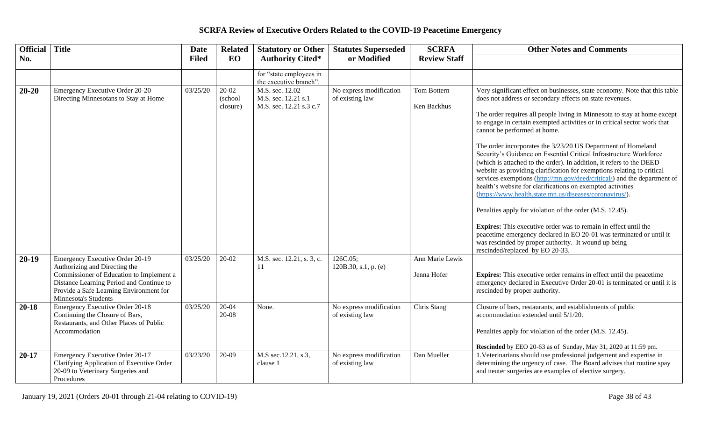| Official Title |                                                                                                                                                                                                                             | <b>Date</b>  | <b>Related</b>               | <b>Statutory or Other</b>                                         | <b>Statutes Superseded</b>                 | <b>SCRFA</b>                   | <b>Other Notes and Comments</b>                                                                                                                                                                                                                                                                                                                                                                                                                                                                                                                                                                                                                                                                                                                                                                                                                                                                                                                                                                                                                                                                                                     |
|----------------|-----------------------------------------------------------------------------------------------------------------------------------------------------------------------------------------------------------------------------|--------------|------------------------------|-------------------------------------------------------------------|--------------------------------------------|--------------------------------|-------------------------------------------------------------------------------------------------------------------------------------------------------------------------------------------------------------------------------------------------------------------------------------------------------------------------------------------------------------------------------------------------------------------------------------------------------------------------------------------------------------------------------------------------------------------------------------------------------------------------------------------------------------------------------------------------------------------------------------------------------------------------------------------------------------------------------------------------------------------------------------------------------------------------------------------------------------------------------------------------------------------------------------------------------------------------------------------------------------------------------------|
| No.            |                                                                                                                                                                                                                             | <b>Filed</b> | EO                           | <b>Authority Cited*</b>                                           | or Modified                                | <b>Review Staff</b>            |                                                                                                                                                                                                                                                                                                                                                                                                                                                                                                                                                                                                                                                                                                                                                                                                                                                                                                                                                                                                                                                                                                                                     |
|                |                                                                                                                                                                                                                             |              |                              | for "state employees in<br>the executive branch".                 |                                            |                                |                                                                                                                                                                                                                                                                                                                                                                                                                                                                                                                                                                                                                                                                                                                                                                                                                                                                                                                                                                                                                                                                                                                                     |
| $20 - 20$      | Emergency Executive Order 20-20<br>Directing Minnesotans to Stay at Home                                                                                                                                                    | 03/25/20     | 20-02<br>(school<br>closure) | M.S. sec. 12.02<br>M.S. sec. 12.21 s.1<br>M.S. sec. 12.21 s.3 c.7 | No express modification<br>of existing law | Tom Bottern<br>Ken Backhus     | Very significant effect on businesses, state economy. Note that this table<br>does not address or secondary effects on state revenues.<br>The order requires all people living in Minnesota to stay at home except<br>to engage in certain exempted activities or in critical sector work that<br>cannot be performed at home.<br>The order incorporates the 3/23/20 US Department of Homeland<br>Security's Guidance on Essential Critical Infrastructure Workforce<br>(which is attached to the order). In addition, it refers to the DEED<br>website as providing clarification for exemptions relating to critical<br>services exemptions (http://mn.gov/deed/critical/) and the department of<br>health's website for clarifications on exempted activities<br>(https://www.health.state.mn.us/diseases/coronavirus/).<br>Penalties apply for violation of the order (M.S. 12.45).<br><b>Expires:</b> This executive order was to remain in effect until the<br>peacetime emergency declared in EO 20-01 was terminated or until it<br>was rescinded by proper authority. It wound up being<br>rescinded/replaced by EO 20-33. |
| $20-19$        | Emergency Executive Order 20-19<br>Authorizing and Directing the<br>Commissioner of Education to Implement a<br>Distance Learning Period and Continue to<br>Provide a Safe Learning Environment for<br>Minnesota's Students | 03/25/20     | $20-02$                      | M.S. sec. 12.21, s. 3, c.<br>11                                   | 126C.05;<br>120B.30, s.1, p. $(e)$         | Ann Marie Lewis<br>Jenna Hofer | Expires: This executive order remains in effect until the peacetime<br>emergency declared in Executive Order 20-01 is terminated or until it is<br>rescinded by proper authority.                                                                                                                                                                                                                                                                                                                                                                                                                                                                                                                                                                                                                                                                                                                                                                                                                                                                                                                                                   |
| $20 - 18$      | Emergency Executive Order 20-18<br>Continuing the Closure of Bars,<br>Restaurants, and Other Places of Public<br>Accommodation                                                                                              | 03/25/20     | $20 - 04$<br>20-08           | None.                                                             | No express modification<br>of existing law | Chris Stang                    | Closure of bars, restaurants, and establishments of public<br>accommodation extended until 5/1/20.<br>Penalties apply for violation of the order (M.S. 12.45).<br>Rescinded by EEO 20-63 as of Sunday, May 31, 2020 at 11:59 pm.                                                                                                                                                                                                                                                                                                                                                                                                                                                                                                                                                                                                                                                                                                                                                                                                                                                                                                    |
| $20 - 17$      | Emergency Executive Order 20-17<br>Clarifying Application of Executive Order<br>20-09 to Veterinary Surgeries and<br>Procedures                                                                                             | 03/23/20     | $20-09$                      | M.S sec.12.21, s.3,<br>clause 1                                   | No express modification<br>of existing law | Dan Mueller                    | 1. Veterinarians should use professional judgement and expertise in<br>determining the urgency of case. The Board advises that routine spay<br>and neuter surgeries are examples of elective surgery.                                                                                                                                                                                                                                                                                                                                                                                                                                                                                                                                                                                                                                                                                                                                                                                                                                                                                                                               |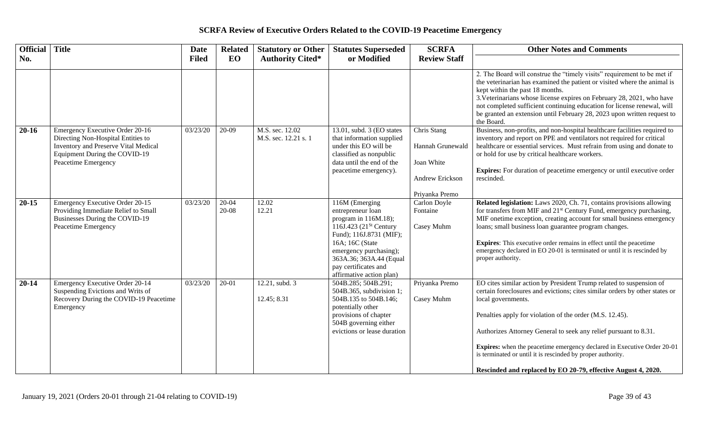| Official  | <b>Title</b>                                                                                                                                                          | <b>Date</b>  | <b>Related</b>         | <b>Statutory or Other</b>               | <b>Statutes Superseded</b>                                                                                                                                                                                                                          | <b>SCRFA</b>                                                                       | <b>Other Notes and Comments</b>                                                                                                                                                                                                                                                                                                                                                                                                                                                                                     |
|-----------|-----------------------------------------------------------------------------------------------------------------------------------------------------------------------|--------------|------------------------|-----------------------------------------|-----------------------------------------------------------------------------------------------------------------------------------------------------------------------------------------------------------------------------------------------------|------------------------------------------------------------------------------------|---------------------------------------------------------------------------------------------------------------------------------------------------------------------------------------------------------------------------------------------------------------------------------------------------------------------------------------------------------------------------------------------------------------------------------------------------------------------------------------------------------------------|
| No.       |                                                                                                                                                                       | <b>Filed</b> | EO                     | <b>Authority Cited*</b>                 | or Modified                                                                                                                                                                                                                                         | <b>Review Staff</b>                                                                |                                                                                                                                                                                                                                                                                                                                                                                                                                                                                                                     |
|           |                                                                                                                                                                       |              |                        |                                         |                                                                                                                                                                                                                                                     |                                                                                    | 2. The Board will construe the "timely visits" requirement to be met if<br>the veterinarian has examined the patient or visited where the animal is<br>kept within the past 18 months.<br>3. Veterinarians whose license expires on February 28, 2021, who have<br>not completed sufficient continuing education for license renewal, will<br>be granted an extension until February 28, 2023 upon written request to<br>the Board.                                                                                 |
| $20 - 16$ | Emergency Executive Order 20-16<br>Directing Non-Hospital Entities to<br>Inventory and Preserve Vital Medical<br>Equipment During the COVID-19<br>Peacetime Emergency | 03/23/20     | 20-09                  | M.S. sec. 12.02<br>M.S. sec. 12.21 s. 1 | 13.01, subd. 3 (EO states<br>that information supplied<br>under this EO will be<br>classified as nonpublic<br>data until the end of the<br>peacetime emergency).                                                                                    | Chris Stang<br>Hannah Grunewald<br>Joan White<br>Andrew Erickson<br>Priyanka Premo | Business, non-profits, and non-hospital healthcare facilities required to<br>inventory and report on PPE and ventilators not required for critical<br>healthcare or essential services. Must refrain from using and donate to<br>or hold for use by critical healthcare workers.<br><b>Expires:</b> For duration of peacetime emergency or until executive order<br>rescinded.                                                                                                                                      |
| $20 - 15$ | Emergency Executive Order 20-15<br>Providing Immediate Relief to Small<br>Businesses During the COVID-19<br>Peacetime Emergency                                       | 03/23/20     | $20 - 04$<br>$20 - 08$ | 12.02<br>12.21                          | 116M (Emerging<br>entrepreneur loan<br>program in $116M.18$ ;<br>116J.423 $(21^{St}$ Century<br>Fund); 116J.8731 (MIF);<br>16A; 16C (State<br>emergency purchasing);<br>363A.36; 363A.44 (Equal<br>pay certificates and<br>affirmative action plan) | Carlon Doyle<br>Fontaine<br>Casey Muhm                                             | Related legislation: Laws 2020, Ch. 71, contains provisions allowing<br>for transfers from MIF and 21 <sup>st</sup> Century Fund, emergency purchasing,<br>MIF onetime exception, creating account for small business emergency<br>loans; small business loan guarantee program changes.<br><b>Expires:</b> This executive order remains in effect until the peacetime<br>emergency declared in EO 20-01 is terminated or until it is rescinded by<br>proper authority.                                             |
| $20 - 14$ | Emergency Executive Order 20-14<br>Suspending Evictions and Writs of<br>Recovery During the COVID-19 Peacetime<br>Emergency                                           | 03/23/20     | $20 - 01$              | 12.21, subd. 3<br>12.45; 8.31           | 504B.285; 504B.291;<br>504B.365, subdivision 1;<br>504B.135 to 504B.146;<br>potentially other<br>provisions of chapter<br>504B governing either<br>evictions or lease duration                                                                      | Priyanka Premo<br>Casey Muhm                                                       | EO cites similar action by President Trump related to suspension of<br>certain foreclosures and evictions; cites similar orders by other states or<br>local governments.<br>Penalties apply for violation of the order (M.S. 12.45).<br>Authorizes Attorney General to seek any relief pursuant to 8.31.<br>Expires: when the peacetime emergency declared in Executive Order 20-01<br>is terminated or until it is rescinded by proper authority.<br>Rescinded and replaced by EO 20-79, effective August 4, 2020. |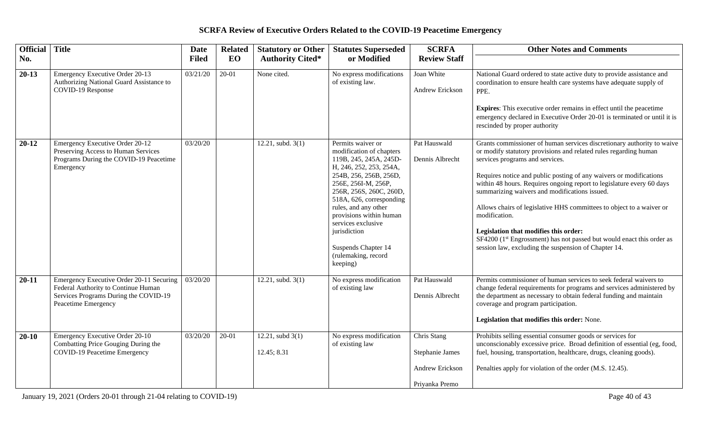| <b>Official</b> Title |                                                                                                                                                 | <b>Date</b>  | <b>Related</b> | <b>Statutory or Other</b>                     | <b>Statutes Superseded</b>                                                                                                                                                                                                                                                                                                                                    | <b>SCRFA</b>                                                        | <b>Other Notes and Comments</b>                                                                                                                                                                                                                                                                                                                                                                                                                                                                                                                                                                                                                              |
|-----------------------|-------------------------------------------------------------------------------------------------------------------------------------------------|--------------|----------------|-----------------------------------------------|---------------------------------------------------------------------------------------------------------------------------------------------------------------------------------------------------------------------------------------------------------------------------------------------------------------------------------------------------------------|---------------------------------------------------------------------|--------------------------------------------------------------------------------------------------------------------------------------------------------------------------------------------------------------------------------------------------------------------------------------------------------------------------------------------------------------------------------------------------------------------------------------------------------------------------------------------------------------------------------------------------------------------------------------------------------------------------------------------------------------|
| No.                   |                                                                                                                                                 | <b>Filed</b> | EO             | <b>Authority Cited*</b>                       | or Modified                                                                                                                                                                                                                                                                                                                                                   | <b>Review Staff</b>                                                 |                                                                                                                                                                                                                                                                                                                                                                                                                                                                                                                                                                                                                                                              |
| $20-13$               | Emergency Executive Order 20-13<br>Authorizing National Guard Assistance to<br>COVID-19 Response                                                | 03/21/20     | $20 - 01$      | None cited.                                   | No express modifications<br>of existing law.                                                                                                                                                                                                                                                                                                                  | Joan White<br>Andrew Erickson                                       | National Guard ordered to state active duty to provide assistance and<br>coordination to ensure health care systems have adequate supply of<br>PPE.<br><b>Expires:</b> This executive order remains in effect until the peacetime<br>emergency declared in Executive Order 20-01 is terminated or until it is<br>rescinded by proper authority                                                                                                                                                                                                                                                                                                               |
| $20 - 12$             | Emergency Executive Order 20-12<br>Preserving Access to Human Services<br>Programs During the COVID-19 Peacetime<br>Emergency                   | 03/20/20     |                | 12.21, subd. $3(1)$                           | Permits waiver or<br>modification of chapters<br>119B, 245, 245A, 245D-<br>H, 246, 252, 253, 254A,<br>254B, 256, 256B, 256D,<br>256E, 256I-M, 256P,<br>256R, 256S, 260C, 260D,<br>518A, 626, corresponding<br>rules, and any other<br>provisions within human<br>services exclusive<br>jurisdiction<br>Suspends Chapter 14<br>(rulemaking, record<br>keeping) | Pat Hauswald<br>Dennis Albrecht                                     | Grants commissioner of human services discretionary authority to waive<br>or modify statutory provisions and related rules regarding human<br>services programs and services.<br>Requires notice and public posting of any waivers or modifications<br>within 48 hours. Requires ongoing report to legislature every 60 days<br>summarizing waivers and modifications issued.<br>Allows chairs of legislative HHS committees to object to a waiver or<br>modification.<br>Legislation that modifies this order:<br>SF4200 (1 <sup>st</sup> Engrossment) has not passed but would enact this order as<br>session law, excluding the suspension of Chapter 14. |
| $20 - 11$             | Emergency Executive Order 20-11 Securing<br>Federal Authority to Continue Human<br>Services Programs During the COVID-19<br>Peacetime Emergency | 03/20/20     |                | 12.21, subd. 3(1)                             | No express modification<br>of existing law                                                                                                                                                                                                                                                                                                                    | Pat Hauswald<br>Dennis Albrecht                                     | Permits commissioner of human services to seek federal waivers to<br>change federal requirements for programs and services administered by<br>the department as necessary to obtain federal funding and maintain<br>coverage and program participation.<br>Legislation that modifies this order: None.                                                                                                                                                                                                                                                                                                                                                       |
| $20-10$               | Emergency Executive Order 20-10<br>Combatting Price Gouging During the<br>COVID-19 Peacetime Emergency                                          | 03/20/20     | $20 - 01$      | $\overline{12.21}$ , subd 3(1)<br>12.45; 8.31 | No express modification<br>of existing law                                                                                                                                                                                                                                                                                                                    | Chris Stang<br>Stephanie James<br>Andrew Erickson<br>Priyanka Premo | Prohibits selling essential consumer goods or services for<br>unconscionably excessive price. Broad definition of essential (eg, food,<br>fuel, housing, transportation, healthcare, drugs, cleaning goods).<br>Penalties apply for violation of the order (M.S. 12.45).                                                                                                                                                                                                                                                                                                                                                                                     |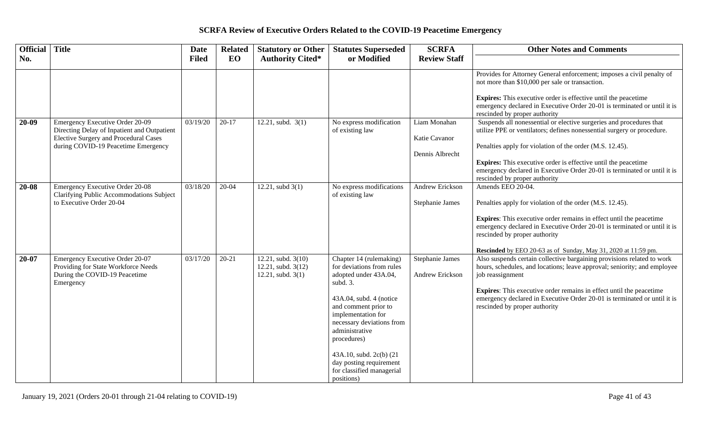| Official  | <b>Title</b>                                                                                                            | <b>Date</b>  | <b>Related</b> | <b>Statutory or Other</b>                                            | <b>Statutes Superseded</b>                                                                                                          | <b>SCRFA</b>                              | <b>Other Notes and Comments</b>                                                                                                                                                         |
|-----------|-------------------------------------------------------------------------------------------------------------------------|--------------|----------------|----------------------------------------------------------------------|-------------------------------------------------------------------------------------------------------------------------------------|-------------------------------------------|-----------------------------------------------------------------------------------------------------------------------------------------------------------------------------------------|
| No.       |                                                                                                                         | <b>Filed</b> | EO             | <b>Authority Cited*</b>                                              | or Modified                                                                                                                         | <b>Review Staff</b>                       |                                                                                                                                                                                         |
|           |                                                                                                                         |              |                |                                                                      |                                                                                                                                     |                                           | Provides for Attorney General enforcement; imposes a civil penalty of<br>not more than \$10,000 per sale or transaction.                                                                |
|           |                                                                                                                         |              |                |                                                                      |                                                                                                                                     |                                           | <b>Expires:</b> This executive order is effective until the peacetime<br>emergency declared in Executive Order 20-01 is terminated or until it is<br>rescinded by proper authority      |
| $20-09$   | Emergency Executive Order 20-09<br>Directing Delay of Inpatient and Outpatient<br>Elective Surgery and Procedural Cases | 03/19/20     | $20-17$        | $12.21$ , subd. $3(1)$                                               | No express modification<br>of existing law                                                                                          | Liam Monahan<br>Katie Cavanor             | Suspends all nonessential or elective surgeries and procedures that<br>utilize PPE or ventilators; defines nonessential surgery or procedure.                                           |
|           | during COVID-19 Peacetime Emergency                                                                                     |              |                |                                                                      |                                                                                                                                     | Dennis Albrecht                           | Penalties apply for violation of the order (M.S. 12.45).                                                                                                                                |
|           |                                                                                                                         |              |                |                                                                      |                                                                                                                                     |                                           | <b>Expires:</b> This executive order is effective until the peacetime<br>emergency declared in Executive Order 20-01 is terminated or until it is<br>rescinded by proper authority      |
| $20 - 08$ | <b>Emergency Executive Order 20-08</b><br>Clarifying Public Accommodations Subject                                      | 03/18/20     | $20-04$        | $12.21$ , subd $3(1)$                                                | No express modifications<br>of existing law                                                                                         | <b>Andrew Erickson</b>                    | Amends EEO 20-04.                                                                                                                                                                       |
|           | to Executive Order 20-04                                                                                                |              |                |                                                                      |                                                                                                                                     | Stephanie James                           | Penalties apply for violation of the order (M.S. 12.45).                                                                                                                                |
|           |                                                                                                                         |              |                |                                                                      |                                                                                                                                     |                                           | <b>Expires:</b> This executive order remains in effect until the peacetime<br>emergency declared in Executive Order 20-01 is terminated or until it is<br>rescinded by proper authority |
|           |                                                                                                                         |              |                |                                                                      |                                                                                                                                     |                                           | Rescinded by EEO 20-63 as of Sunday, May 31, 2020 at 11:59 pm.                                                                                                                          |
| $20 - 07$ | Emergency Executive Order 20-07<br>Providing for State Workforce Needs<br>During the COVID-19 Peacetime                 | 03/17/20     | $20 - 21$      | 12.21, subd. $3(10)$<br>12.21, subd. 3(12)<br>$12.21$ , subd. $3(1)$ | Chapter 14 (rulemaking)<br>for deviations from rules<br>adopted under 43A.04,                                                       | <b>Stephanie James</b><br>Andrew Erickson | Also suspends certain collective bargaining provisions related to work<br>hours, schedules, and locations; leave approval; seniority; and employee<br>job reassignment                  |
|           | Emergency                                                                                                               |              |                |                                                                      | subd. 3.                                                                                                                            |                                           |                                                                                                                                                                                         |
|           |                                                                                                                         |              |                |                                                                      | 43A.04, subd. 4 (notice<br>and comment prior to<br>implementation for<br>necessary deviations from<br>administrative<br>procedures) |                                           | <b>Expires:</b> This executive order remains in effect until the peacetime<br>emergency declared in Executive Order 20-01 is terminated or until it is<br>rescinded by proper authority |
|           |                                                                                                                         |              |                |                                                                      | 43A.10, subd. 2c(b) (21<br>day posting requirement<br>for classified managerial<br>positions)                                       |                                           |                                                                                                                                                                                         |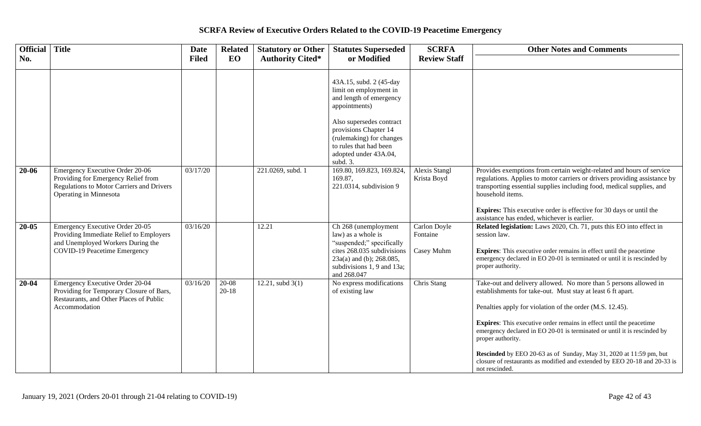| Official Title |                                                                                                                                                 | Date         | <b>Related</b>         | <b>Statutory or Other</b> | <b>Statutes Superseded</b>                                                                                                                                                                                                                    | <b>SCRFA</b>                           | <b>Other Notes and Comments</b>                                                                                                                                                                                                                                                                                                                                                                                                                                                                                                                 |
|----------------|-------------------------------------------------------------------------------------------------------------------------------------------------|--------------|------------------------|---------------------------|-----------------------------------------------------------------------------------------------------------------------------------------------------------------------------------------------------------------------------------------------|----------------------------------------|-------------------------------------------------------------------------------------------------------------------------------------------------------------------------------------------------------------------------------------------------------------------------------------------------------------------------------------------------------------------------------------------------------------------------------------------------------------------------------------------------------------------------------------------------|
| No.            |                                                                                                                                                 | <b>Filed</b> | EO                     | <b>Authority Cited*</b>   | or Modified                                                                                                                                                                                                                                   | <b>Review Staff</b>                    |                                                                                                                                                                                                                                                                                                                                                                                                                                                                                                                                                 |
|                |                                                                                                                                                 |              |                        |                           | 43A.15, subd. 2 (45-day<br>limit on employment in<br>and length of emergency<br>appointments)<br>Also supersedes contract<br>provisions Chapter 14<br>(rulemaking) for changes<br>to rules that had been<br>adopted under 43A.04,<br>subd. 3. |                                        |                                                                                                                                                                                                                                                                                                                                                                                                                                                                                                                                                 |
| 20-06          | Emergency Executive Order 20-06<br>Providing for Emergency Relief from<br>Regulations to Motor Carriers and Drivers<br>Operating in Minnesota   | 03/17/20     |                        | 221.0269, subd. 1         | 169.80, 169.823, 169.824,<br>169.87,<br>221.0314, subdivision 9                                                                                                                                                                               | Alexis Stangl<br>Krista Boyd           | Provides exemptions from certain weight-related and hours of service<br>regulations. Applies to motor carriers or drivers providing assistance by<br>transporting essential supplies including food, medical supplies, and<br>household items.<br><b>Expires:</b> This executive order is effective for 30 days or until the<br>assistance has ended, whichever is earlier.                                                                                                                                                                     |
| 20-05          | Emergency Executive Order 20-05<br>Providing Immediate Relief to Employers<br>and Unemployed Workers During the<br>COVID-19 Peacetime Emergency | 03/16/20     |                        | 12.21                     | Ch 268 (unemployment<br>law) as a whole is<br>"suspended;" specifically<br>cites 268.035 subdivisions<br>$23a(a)$ and (b); 268.085,<br>subdivisions 1, 9 and 13a;<br>and 268.047                                                              | Carlon Doyle<br>Fontaine<br>Casey Muhm | Related legislation: Laws 2020, Ch. 71, puts this EO into effect in<br>session law.<br><b>Expires:</b> This executive order remains in effect until the peacetime<br>emergency declared in EO 20-01 is terminated or until it is rescinded by<br>proper authority.                                                                                                                                                                                                                                                                              |
| $20 - 04$      | <b>Emergency Executive Order 20-04</b><br>Providing for Temporary Closure of Bars,<br>Restaurants, and Other Places of Public<br>Accommodation  | 03/16/20     | $20 - 08$<br>$20 - 18$ | 12.21, subd $3(1)$        | No express modifications<br>of existing law                                                                                                                                                                                                   | Chris Stang                            | Take-out and delivery allowed. No more than 5 persons allowed in<br>establishments for take-out. Must stay at least 6 ft apart.<br>Penalties apply for violation of the order (M.S. 12.45).<br><b>Expires:</b> This executive order remains in effect until the peacetime<br>emergency declared in EO 20-01 is terminated or until it is rescinded by<br>proper authority.<br>Rescinded by EEO 20-63 as of Sunday, May 31, 2020 at 11:59 pm, but<br>closure of restaurants as modified and extended by EEO 20-18 and 20-33 is<br>not rescinded. |